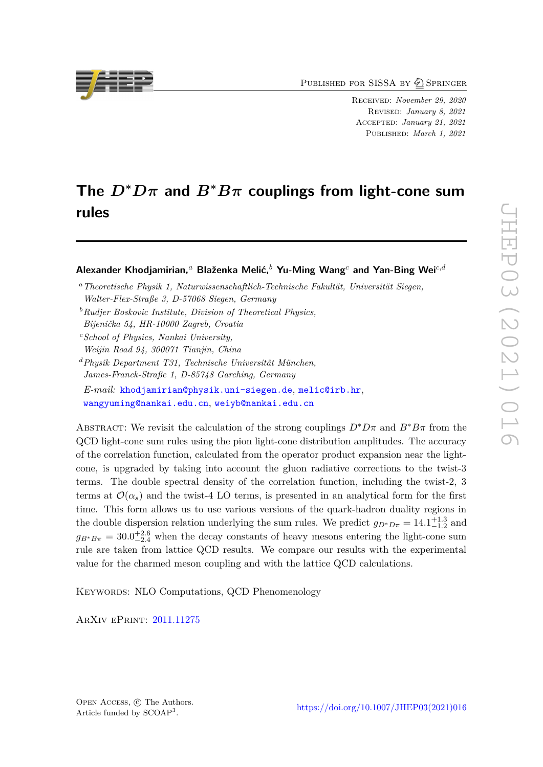PUBLISHED FOR SISSA BY 2 SPRINGER

Received: *November 29, 2020* Revised: *January 8, 2021* Accepted: *January 21, 2021* Published: *March 1, 2021*

# **The**  $D^*D\pi$  and  $B^*B\pi$  couplings from light-cone sum **rules**

# **Alexander Khodjamirian,***<sup>a</sup>* **Blaženka Melić,***<sup>b</sup>* **Yu-Ming Wang***<sup>c</sup>* **and Yan-Bing Wei***c,d*

- *<sup>a</sup>Theoretische Physik 1, Naturwissenschaftlich-Technische Fakultät, Universität Siegen, Walter-Flex-Straße 3, D-57068 Siegen, Germany*
- *<sup>b</sup>Rudjer Boskovic Institute, Division of Theoretical Physics,*
- *Bijenička 54, HR-10000 Zagreb, Croatia*
- *<sup>c</sup>School of Physics, Nankai University, Weijin Road 94, 300071 Tianjin, China*
- *<sup>d</sup>Physik Department T31, Technische Universität München, James-Franck-Straße 1, D-85748 Garching, Germany E-mail:* [khodjamirian@physik.uni-siegen.de](mailto:khodjamirian@physik.uni-siegen.de), [melic@irb.hr](mailto:melic@irb.hr), [wangyuming@nankai.edu.cn](mailto:wangyuming@nankai.edu.cn), [weiyb@nankai.edu.cn](mailto:weiyb@nankai.edu.cn)

ABSTRACT: We revisit the calculation of the strong couplings  $D^*D\pi$  and  $B^*B\pi$  from the QCD light-cone sum rules using the pion light-cone distribution amplitudes. The accuracy of the correlation function, calculated from the operator product expansion near the lightcone, is upgraded by taking into account the gluon radiative corrections to the twist-3 terms. The double spectral density of the correlation function, including the twist-2, 3 terms at  $\mathcal{O}(\alpha_s)$  and the twist-4 LO terms, is presented in an analytical form for the first time. This form allows us to use various versions of the quark-hadron duality regions in the double dispersion relation underlying the sum rules. We predict  $g_{D^*D\pi} = 14.1^{+1.3}_{-1.2}$  and  $g_{B^*B\pi} = 30.0^{+2.6}_{-2.4}$  when the decay constants of heavy mesons entering the light-cone sum rule are taken from lattice QCD results. We compare our results with the experimental value for the charmed meson coupling and with the lattice QCD calculations.

KEYWORDS: NLO Computations, QCD Phenomenology

ArXiv ePrint: [2011.11275](https://arxiv.org/abs/2011.11275)

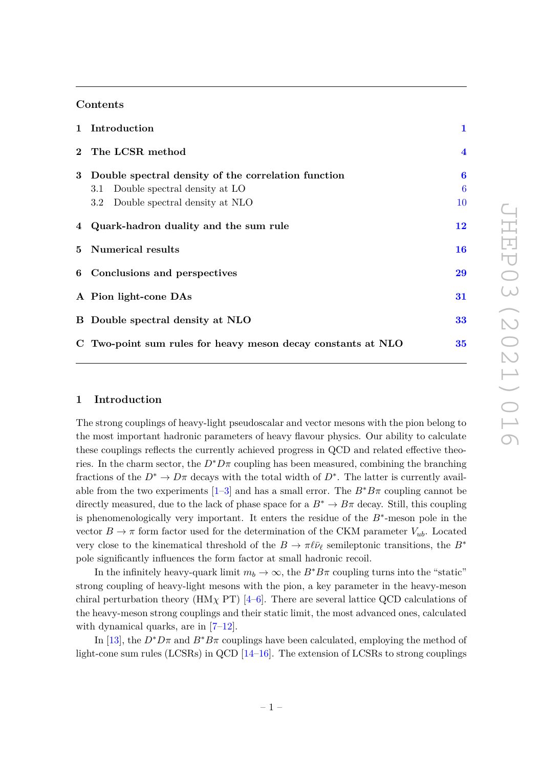# **Contents**

| 1 Introduction                                               | $\mathbf{1}$            |
|--------------------------------------------------------------|-------------------------|
| 2 The LCSR method                                            | $\overline{\mathbf{4}}$ |
| 3 Double spectral density of the correlation function        | 6                       |
| 3.1 Double spectral density at LO                            | $\boldsymbol{6}$        |
| 3.2 Double spectral density at NLO                           | 10                      |
| 4 Quark-hadron duality and the sum rule                      | 12                      |
| 5 Numerical results                                          | 16                      |
| 6 Conclusions and perspectives                               | 29                      |
| A Pion light-cone DAs                                        | 31                      |
| B Double spectral density at NLO                             | 33                      |
| C Two-point sum rules for heavy meson decay constants at NLO | 35                      |

# <span id="page-1-0"></span>**1 Introduction**

The strong couplings of heavy-light pseudoscalar and vector mesons with the pion belong to the most important hadronic parameters of heavy flavour physics. Our ability to calculate these couplings reflects the currently achieved progress in QCD and related effective theories. In the charm sector, the  $D^*D\pi$  coupling has been measured, combining the branching fractions of the  $D^* \to D\pi$  decays with the total width of  $D^*$ . The latter is currently available from the two experiments  $[1-3]$  $[1-3]$  and has a small error. The  $B^*B\pi$  coupling cannot be directly measured, due to the lack of phase space for a  $B^* \to B\pi$  decay. Still, this coupling is phenomenologically very important. It enters the residue of the *B*<sup>∗</sup> -meson pole in the vector  $B \to \pi$  form factor used for the determination of the CKM parameter  $V_{ub}$ . Located very close to the kinematical threshold of the  $B \to \pi \ell \bar{\nu}_{\ell}$  semileptonic transitions, the  $B^*$ pole significantly influences the form factor at small hadronic recoil.

In the infinitely heavy-quark limit  $m_b \to \infty$ , the  $B^*B\pi$  coupling turns into the "static" strong coupling of heavy-light mesons with the pion, a key parameter in the heavy-meson chiral perturbation theory (HM<sub>X</sub> PT) [\[4](#page-37-2)[–6\]](#page-37-3). There are several lattice QCD calculations of the heavy-meson strong couplings and their static limit, the most advanced ones, calculated with dynamical quarks, are in  $[7-12]$  $[7-12]$ .

In [\[13\]](#page-38-1), the  $D^*D\pi$  and  $B^*B\pi$  couplings have been calculated, employing the method of light-cone sum rules (LCSRs) in QCD [\[14](#page-38-2)[–16\]](#page-38-3). The extension of LCSRs to strong couplings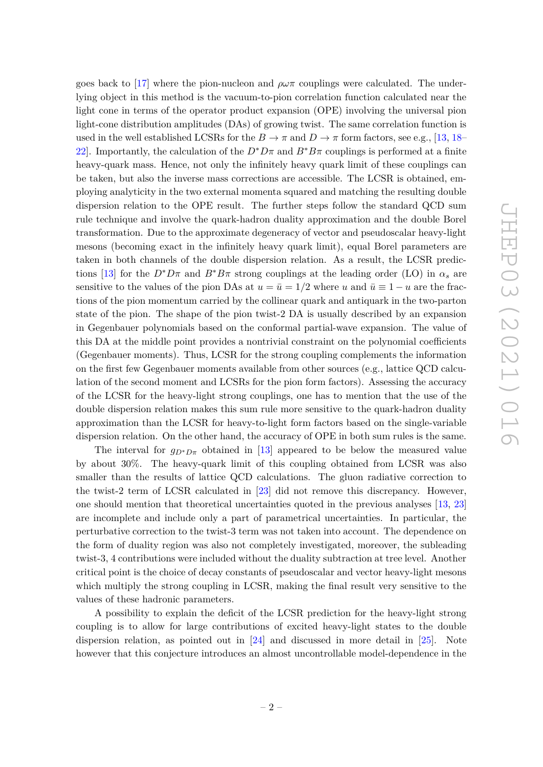goes back to [\[17\]](#page-38-4) where the pion-nucleon and  $\rho\omega\pi$  couplings were calculated. The underlying object in this method is the vacuum-to-pion correlation function calculated near the light cone in terms of the operator product expansion (OPE) involving the universal pion light-cone distribution amplitudes (DAs) of growing twist. The same correlation function is used in the well established LCSRs for the  $B \to \pi$  and  $D \to \pi$  form factors, see e.g., [\[13,](#page-38-1) [18–](#page-38-5) [22\]](#page-38-6). Importantly, the calculation of the  $D^*D\pi$  and  $B^*B\pi$  couplings is performed at a finite heavy-quark mass. Hence, not only the infinitely heavy quark limit of these couplings can be taken, but also the inverse mass corrections are accessible. The LCSR is obtained, employing analyticity in the two external momenta squared and matching the resulting double dispersion relation to the OPE result. The further steps follow the standard QCD sum rule technique and involve the quark-hadron duality approximation and the double Borel transformation. Due to the approximate degeneracy of vector and pseudoscalar heavy-light mesons (becoming exact in the infinitely heavy quark limit), equal Borel parameters are taken in both channels of the double dispersion relation. As a result, the LCSR predic-tions [\[13\]](#page-38-1) for the  $D^*D\pi$  and  $B^*B\pi$  strong couplings at the leading order (LO) in  $\alpha_s$  are sensitive to the values of the pion DAs at  $u = \bar{u} = 1/2$  where *u* and  $\bar{u} \equiv 1 - u$  are the fractions of the pion momentum carried by the collinear quark and antiquark in the two-parton state of the pion. The shape of the pion twist-2 DA is usually described by an expansion in Gegenbauer polynomials based on the conformal partial-wave expansion. The value of this DA at the middle point provides a nontrivial constraint on the polynomial coefficients (Gegenbauer moments). Thus, LCSR for the strong coupling complements the information on the first few Gegenbauer moments available from other sources (e.g., lattice QCD calculation of the second moment and LCSRs for the pion form factors). Assessing the accuracy of the LCSR for the heavy-light strong couplings, one has to mention that the use of the double dispersion relation makes this sum rule more sensitive to the quark-hadron duality approximation than the LCSR for heavy-to-light form factors based on the single-variable dispersion relation. On the other hand, the accuracy of OPE in both sum rules is the same.

The interval for  $g_{D^*D\pi}$  obtained in [\[13\]](#page-38-1) appeared to be below the measured value by about 30%. The heavy-quark limit of this coupling obtained from LCSR was also smaller than the results of lattice QCD calculations. The gluon radiative correction to the twist-2 term of LCSR calculated in [\[23\]](#page-38-7) did not remove this discrepancy. However, one should mention that theoretical uncertainties quoted in the previous analyses [\[13,](#page-38-1) [23\]](#page-38-7) are incomplete and include only a part of parametrical uncertainties. In particular, the perturbative correction to the twist-3 term was not taken into account. The dependence on the form of duality region was also not completely investigated, moreover, the subleading twist-3, 4 contributions were included without the duality subtraction at tree level. Another critical point is the choice of decay constants of pseudoscalar and vector heavy-light mesons which multiply the strong coupling in LCSR, making the final result very sensitive to the values of these hadronic parameters.

A possibility to explain the deficit of the LCSR prediction for the heavy-light strong coupling is to allow for large contributions of excited heavy-light states to the double dispersion relation, as pointed out in [\[24\]](#page-38-8) and discussed in more detail in [\[25\]](#page-38-9). Note however that this conjecture introduces an almost uncontrollable model-dependence in the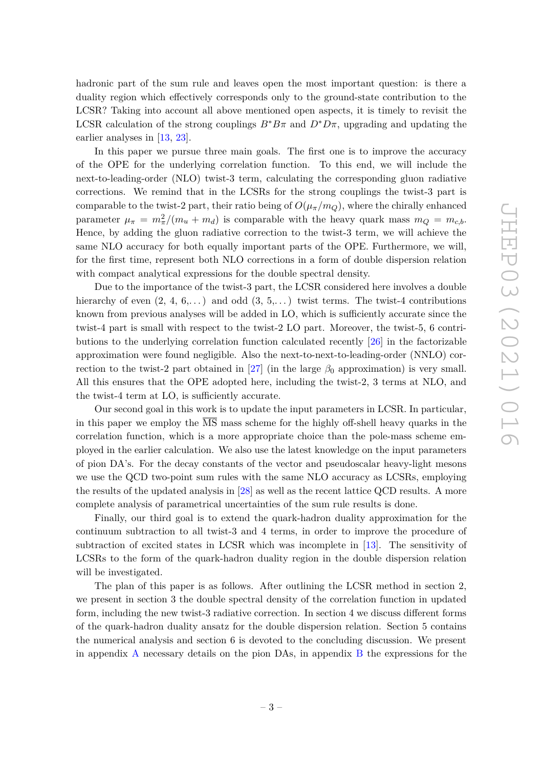hadronic part of the sum rule and leaves open the most important question: is there a duality region which effectively corresponds only to the ground-state contribution to the LCSR? Taking into account all above mentioned open aspects, it is timely to revisit the LCSR calculation of the strong couplings  $B^*B\pi$  and  $D^*D\pi$ , upgrading and updating the earlier analyses in [\[13,](#page-38-1) [23\]](#page-38-7).

In this paper we pursue three main goals. The first one is to improve the accuracy of the OPE for the underlying correlation function. To this end, we will include the next-to-leading-order (NLO) twist-3 term, calculating the corresponding gluon radiative corrections. We remind that in the LCSRs for the strong couplings the twist-3 part is comparable to the twist-2 part, their ratio being of  $O(\mu_{\pi}/m_{\Omega})$ , where the chirally enhanced parameter  $\mu_{\pi} = m_{\pi}^2/(m_u + m_d)$  is comparable with the heavy quark mass  $m_Q = m_{c,b}$ . Hence, by adding the gluon radiative correction to the twist-3 term, we will achieve the same NLO accuracy for both equally important parts of the OPE. Furthermore, we will, for the first time, represent both NLO corrections in a form of double dispersion relation with compact analytical expressions for the double spectral density.

Due to the importance of the twist-3 part, the LCSR considered here involves a double hierarchy of even  $(2, 4, 6,...)$  and odd  $(3, 5,...)$  twist terms. The twist-4 contributions known from previous analyses will be added in LO, which is sufficiently accurate since the twist-4 part is small with respect to the twist-2 LO part. Moreover, the twist-5, 6 contributions to the underlying correlation function calculated recently [\[26\]](#page-38-10) in the factorizable approximation were found negligible. Also the next-to-next-to-leading-order (NNLO) correction to the twist-2 part obtained in  $[27]$  (in the large  $\beta_0$  approximation) is very small. All this ensures that the OPE adopted here, including the twist-2, 3 terms at NLO, and the twist-4 term at LO, is sufficiently accurate.

Our second goal in this work is to update the input parameters in LCSR. In particular, in this paper we employ the  $\overline{\text{MS}}$  mass scheme for the highly off-shell heavy quarks in the correlation function, which is a more appropriate choice than the pole-mass scheme employed in the earlier calculation. We also use the latest knowledge on the input parameters of pion DA's. For the decay constants of the vector and pseudoscalar heavy-light mesons we use the QCD two-point sum rules with the same NLO accuracy as LCSRs, employing the results of the updated analysis in [\[28\]](#page-38-12) as well as the recent lattice QCD results. A more complete analysis of parametrical uncertainties of the sum rule results is done.

Finally, our third goal is to extend the quark-hadron duality approximation for the continuum subtraction to all twist-3 and 4 terms, in order to improve the procedure of subtraction of excited states in LCSR which was incomplete in [\[13\]](#page-38-1). The sensitivity of LCSRs to the form of the quark-hadron duality region in the double dispersion relation will be investigated.

The plan of this paper is as follows. After outlining the LCSR method in section 2, we present in section 3 the double spectral density of the correlation function in updated form, including the new twist-3 radiative correction. In section 4 we discuss different forms of the quark-hadron duality ansatz for the double dispersion relation. Section 5 contains the numerical analysis and section 6 is devoted to the concluding discussion. We present in appendix [A](#page-31-0) necessary details on the pion DAs, in appendix [B](#page-33-0) the expressions for the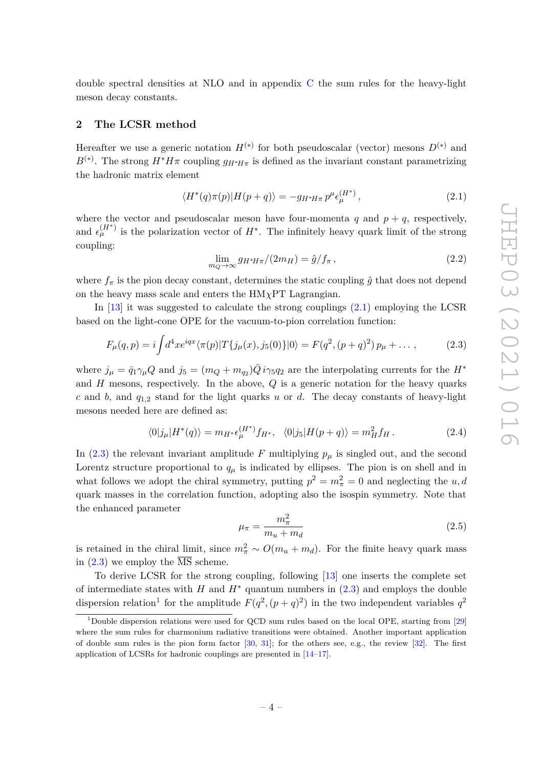double spectral densities at NLO and in appendix [C](#page-35-0) the sum rules for the heavy-light meson decay constants.

# <span id="page-4-0"></span>**2 The LCSR method**

Hereafter we use a generic notation  $H^{(*)}$  for both pseudoscalar (vector) mesons  $D^{(*)}$  and  $B^{(*)}$ . The strong  $H^*H\pi$  coupling  $g_{H^*H\pi}$  is defined as the invariant constant parametrizing the hadronic matrix element

<span id="page-4-1"></span>
$$
\langle H^*(q)\pi(p)|H(p+q)\rangle = -g_{H^*H\pi}p^{\mu}\epsilon_{\mu}^{(H^*)},\qquad(2.1)
$$

where the vector and pseudoscalar meson have four-momenta  $q$  and  $p + q$ , respectively, and  $\epsilon_{\mu}^{(H^*)}$  is the polarization vector of  $H^*$ . The infinitely heavy quark limit of the strong coupling:

<span id="page-4-5"></span>
$$
\lim_{m_Q \to \infty} g_{H^*H\pi}/(2m_H) = \hat{g}/f_\pi \,,\tag{2.2}
$$

where  $f_{\pi}$  is the pion decay constant, determines the static coupling  $\hat{g}$  that does not depend on the heavy mass scale and enters the HM*χ*PT Lagrangian.

In  $[13]$  it was suggested to calculate the strong couplings  $(2.1)$  employing the LCSR based on the light-cone OPE for the vacuum-to-pion correlation function:

<span id="page-4-2"></span>
$$
F_{\mu}(q, p) = i \int d^4x e^{iqx} \langle \pi(p) | T\{j_{\mu}(x), j_5(0)\} | 0 \rangle = F(q^2, (p+q)^2) p_{\mu} + \dots,
$$
 (2.3)

where  $j_{\mu} = \bar{q}_1 \gamma_{\mu} Q$  and  $j_5 = (m_Q + m_{q_2}) \bar{Q} i \gamma_5 q_2$  are the interpolating currents for the  $H^*$ and *H* mesons, respectively. In the above, *Q* is a generic notation for the heavy quarks *c* and *b*, and *q*1*,*<sup>2</sup> stand for the light quarks *u* or *d*. The decay constants of heavy-light mesons needed here are defined as:

$$
\langle 0|j_{\mu}|H^*(q)\rangle = m_{H^*}\epsilon_{\mu}^{(H^*)}f_{H^*}, \quad \langle 0|j_5|H(p+q)\rangle = m_H^2f_H.
$$
 (2.4)

In [\(2.3\)](#page-4-2) the relevant invariant amplitude F multiplying  $p_\mu$  is singled out, and the second Lorentz structure proportional to  $q<sub>\mu</sub>$  is indicated by ellipses. The pion is on shell and in what follows we adopt the chiral symmetry, putting  $p^2 = m_\pi^2 = 0$  and neglecting the *u*, *d* quark masses in the correlation function, adopting also the isospin symmetry. Note that the enhanced parameter

<span id="page-4-4"></span>
$$
\mu_{\pi} = \frac{m_{\pi}^2}{m_u + m_d} \tag{2.5}
$$

is retained in the chiral limit, since  $m_{\pi}^2 \sim O(m_u + m_d)$ . For the finite heavy quark mass in  $(2.3)$  we employ the  $\overline{\text{MS}}$  scheme.

To derive LCSR for the strong coupling, following [\[13\]](#page-38-1) one inserts the complete set of intermediate states with *H* and  $H^*$  quantum numbers in  $(2.3)$  and employs the double dispersion relation<sup>[1](#page-4-3)</sup> for the amplitude  $F(q^2, (p+q)^2)$  in the two independent variables  $q^2$ 

<span id="page-4-3"></span><sup>1</sup>Double dispersion relations were used for QCD sum rules based on the local OPE, starting from [\[29\]](#page-39-0) where the sum rules for charmonium radiative transitions were obtained. Another important application of double sum rules is the pion form factor  $[30, 31]$  $[30, 31]$  $[30, 31]$ ; for the others see, e.g., the review  $[32]$ . The first application of LCSRs for hadronic couplings are presented in [\[14–](#page-38-2)[17\]](#page-38-4).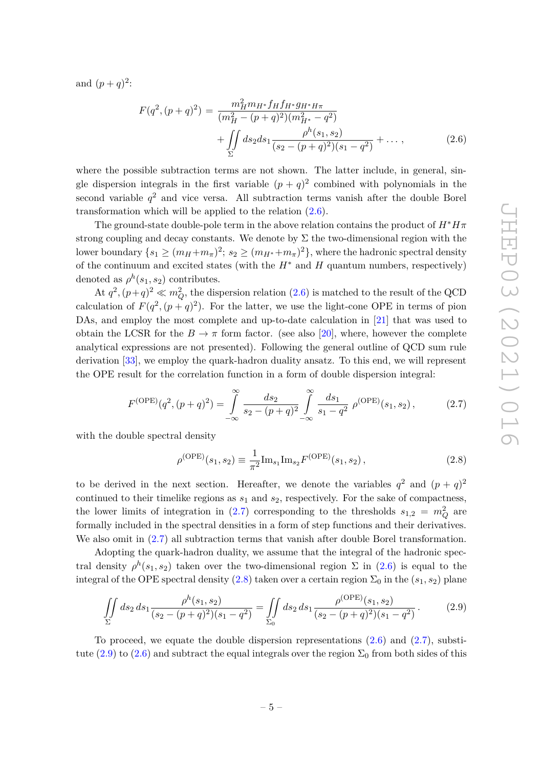and  $(p+q)^2$ :

<span id="page-5-0"></span>
$$
F(q^2, (p+q)^2) = \frac{m_H^2 m_{H^*} f_H f_{H^*} g_{H^*H\pi}}{(m_H^2 - (p+q)^2)(m_{H^*}^2 - q^2)} + \iint\limits_{\Sigma} ds_2 ds_1 \frac{\rho^h(s_1, s_2)}{(s_2 - (p+q)^2)(s_1 - q^2)} + \dots,
$$
 (2.6)

where the possible subtraction terms are not shown. The latter include, in general, single dispersion integrals in the first variable  $(p+q)^2$  combined with polynomials in the second variable  $q^2$  and vice versa. All subtraction terms vanish after the double Borel transformation which will be applied to the relation [\(2.6\)](#page-5-0).

The ground-state double-pole term in the above relation contains the product of  $H^*H\pi$ strong coupling and decay constants. We denote by  $\Sigma$  the two-dimensional region with the  $\text{lower boundary } \{s_1 \geq (m_H + m_\pi)^2; \, s_2 \geq (m_{H^*} + m_\pi)^2\}, \, \text{where the hadronic spectral density}$ of the continuum and excited states (with the  $H^*$  and  $H$  quantum numbers, respectively) denoted as  $\rho^h(s_1, s_2)$  contributes.

At  $q^2$ ,  $(p+q)^2 \ll m_Q^2$ , the dispersion relation [\(2.6\)](#page-5-0) is matched to the result of the QCD calculation of  $F(q^2, (p+q)^2)$ . For the latter, we use the light-cone OPE in terms of pion DAs, and employ the most complete and up-to-date calculation in [\[21\]](#page-38-13) that was used to obtain the LCSR for the  $B \to \pi$  form factor. (see also [\[20\]](#page-38-14), where, however the complete analytical expressions are not presented). Following the general outline of QCD sum rule derivation [\[33\]](#page-39-4), we employ the quark-hadron duality ansatz. To this end, we will represent the OPE result for the correlation function in a form of double dispersion integral:

<span id="page-5-1"></span>
$$
F^{(\text{OPE})}(q^2, (p+q)^2) = \int_{-\infty}^{\infty} \frac{ds_2}{s_2 - (p+q)^2} \int_{-\infty}^{\infty} \frac{ds_1}{s_1 - q^2} \rho^{(\text{OPE})}(s_1, s_2), \quad (2.7)
$$

with the double spectral density

<span id="page-5-2"></span>
$$
\rho^{\text{(OPE)}}(s_1, s_2) \equiv \frac{1}{\pi^2} \text{Im}_{s_1} \text{Im}_{s_2} F^{\text{(OPE)}}(s_1, s_2), \tag{2.8}
$$

to be derived in the next section. Hereafter, we denote the variables  $q^2$  and  $(p+q)^2$ continued to their timelike regions as *s*<sup>1</sup> and *s*2, respectively. For the sake of compactness, the lower limits of integration in [\(2.7\)](#page-5-1) corresponding to the thresholds  $s_{1,2} = m_Q^2$  are formally included in the spectral densities in a form of step functions and their derivatives. We also omit in  $(2.7)$  all subtraction terms that vanish after double Borel transformation.

Adopting the quark-hadron duality, we assume that the integral of the hadronic spectral density  $\rho^h(s_1, s_2)$  taken over the two-dimensional region  $\Sigma$  in [\(2.6\)](#page-5-0) is equal to the integral of the OPE spectral density [\(2.8\)](#page-5-2) taken over a certain region  $\Sigma_0$  in the  $(s_1, s_2)$  plane

<span id="page-5-3"></span>
$$
\iint\limits_{\Sigma} ds_2 ds_1 \frac{\rho^h(s_1, s_2)}{(s_2 - (p+q)^2)(s_1 - q^2)} = \iint\limits_{\Sigma_0} ds_2 ds_1 \frac{\rho^{\text{(OPE)}}(s_1, s_2)}{(s_2 - (p+q)^2)(s_1 - q^2)}.
$$
 (2.9)

To proceed, we equate the double dispersion representations  $(2.6)$  and  $(2.7)$ , substi-tute [\(2.9\)](#page-5-3) to [\(2.6\)](#page-5-0) and subtract the equal integrals over the region  $\Sigma_0$  from both sides of this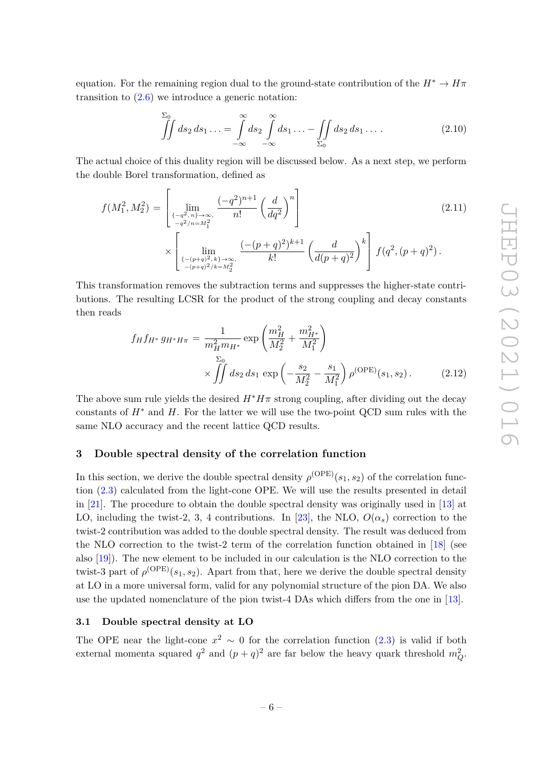equation. For the remaining region dual to the ground-state contribution of the  $H^* \to H\pi$ transition to [\(2.6\)](#page-5-0) we introduce a generic notation:

$$
\iint\limits_{-\infty}^{S_0} ds_2 ds_1 \ldots = \int\limits_{-\infty}^{\infty} ds_2 \int\limits_{-\infty}^{\infty} ds_1 \ldots - \iint\limits_{\Sigma_0} ds_2 ds_1 \ldots \qquad (2.10)
$$

The actual choice of this duality region will be discussed below. As a next step, we perform the double Borel transformation, defined as

$$
f(M_1^2, M_2^2) = \left[ \lim_{\substack{\{-q^2, n\} \to \infty, \atop -q^2/n = M_1^2}} \frac{(-q^2)^{n+1}}{n!} \left(\frac{d}{dq^2}\right)^n \right]
$$
(2.11)

$$
\times \left[\; \lim_{\substack{\{- (p+q)^2, k\} \to \infty, \atop -(p+q)^2/k=M_2^2}} \frac{(-(p+q)^2)^{k+1}}{k!} \left(\frac{d}{d(p+q)^2}\right)^k\right] \, f(q^2, (p+q)^2) \, .
$$

This transformation removes the subtraction terms and suppresses the higher-state contributions. The resulting LCSR for the product of the strong coupling and decay constants then reads

<span id="page-6-2"></span>
$$
f_H f_{H^*} g_{H^* H \pi} = \frac{1}{m_H^2 m_{H^*}} \exp\left(\frac{m_H^2}{M_2^2} + \frac{m_{H^*}^2}{M_1^2}\right) \times \iint ds_2 ds_1 \exp\left(-\frac{s_2}{M_2^2} - \frac{s_1}{M_1^2}\right) \rho^{(\text{OPE})}(s_1, s_2).
$$
 (2.12)

The above sum rule yields the desired  $H^*H\pi$  strong coupling, after dividing out the decay constants of  $H^*$  and  $H$ . For the latter we will use the two-point QCD sum rules with the same NLO accuracy and the recent lattice QCD results.

#### <span id="page-6-0"></span>**3 Double spectral density of the correlation function**

In this section, we derive the double spectral density  $\rho^{\text{(OPE)}}(s_1, s_2)$  of the correlation function [\(2.3\)](#page-4-2) calculated from the light-cone OPE. We will use the results presented in detail in [\[21\]](#page-38-13). The procedure to obtain the double spectral density was originally used in [\[13\]](#page-38-1) at LO, including the twist-2, 3, 4 contributions. In [\[23\]](#page-38-7), the NLO,  $O(\alpha_s)$  correction to the twist-2 contribution was added to the double spectral density. The result was deduced from the NLO correction to the twist-2 term of the correlation function obtained in [\[18\]](#page-38-5) (see also [\[19\]](#page-38-15)). The new element to be included in our calculation is the NLO correction to the twist-3 part of  $\rho^{\text{(OPE)}}(s_1, s_2)$ . Apart from that, here we derive the double spectral density at LO in a more universal form, valid for any polynomial structure of the pion DA. We also use the updated nomenclature of the pion twist-4 DAs which differs from the one in [\[13\]](#page-38-1).

# <span id="page-6-1"></span>**3.1 Double spectral density at LO**

The OPE near the light-cone  $x^2 \sim 0$  for the correlation function [\(2.3\)](#page-4-2) is valid if both external momenta squared  $q^2$  and  $(p+q)^2$  are far below the heavy quark threshold  $m_Q^2$ .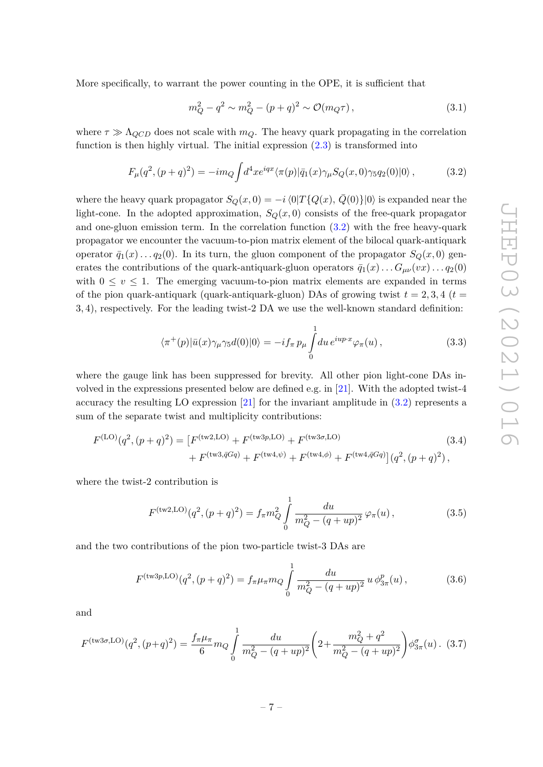More specifically, to warrant the power counting in the OPE, it is sufficient that

$$
m_Q^2 - q^2 \sim m_Q^2 - (p+q)^2 \sim \mathcal{O}(m_Q \tau) , \qquad (3.1)
$$

where  $\tau \gg \Lambda_{QCD}$  does not scale with  $m_Q$ . The heavy quark propagating in the correlation function is then highly virtual. The initial expression  $(2.3)$  is transformed into

<span id="page-7-0"></span>
$$
F_{\mu}(q^2,(p+q)^2) = -im_Q \int d^4x e^{iqx} \langle \pi(p)|\bar{q}_1(x)\gamma_{\mu}S_Q(x,0)\gamma_5 q_2(0)|0\rangle ,\qquad (3.2)
$$

where the heavy quark propagator  $S_Q(x,0) = -i \langle 0|T\{Q(x), Q(0)\}|0\rangle$  is expanded near the light-cone. In the adopted approximation,  $S_Q(x, 0)$  consists of the free-quark propagator and one-gluon emission term. In the correlation function [\(3.2\)](#page-7-0) with the free heavy-quark propagator we encounter the vacuum-to-pion matrix element of the bilocal quark-antiquark operator  $\bar{q}_1(x) \ldots q_2(0)$ . In its turn, the gluon component of the propagator  $S_Q(x,0)$  generates the contributions of the quark-antiquark-gluon operators  $\bar{q}_1(x) \dots G_{\mu\nu}(vx) \dots q_2(0)$ with  $0 \le v \le 1$ . The emerging vacuum-to-pion matrix elements are expanded in terms of the pion quark-antiquark (quark-antiquark-gluon) DAs of growing twist  $t = 2, 3, 4$  ( $t =$ 3*,* 4), respectively. For the leading twist-2 DA we use the well-known standard definition:

<span id="page-7-3"></span><span id="page-7-1"></span>
$$
\langle \pi^+(p)|\bar{u}(x)\gamma_\mu\gamma_5 d(0)|0\rangle = -if_\pi p_\mu \int_0^1 du \, e^{iup\cdot x} \varphi_\pi(u) ,\qquad (3.3)
$$

where the gauge link has been suppressed for brevity. All other pion light-cone DAs involved in the expressions presented below are defined e.g. in [\[21\]](#page-38-13). With the adopted twist-4 accuracy the resulting LO expression [\[21\]](#page-38-13) for the invariant amplitude in [\(3.2\)](#page-7-0) represents a sum of the separate twist and multiplicity contributions:

$$
F^{(\text{LO})}(q^2, (p+q)^2) = \left[F^{(\text{tw2}, \text{LO})} + F^{(\text{tw3}p, \text{LO})} + F^{(\text{tw3}\sigma, \text{LO})}\right] + F^{(\text{tw3}\sigma, \text{LO})} + F^{(\text{tw4}\phi)} + F^{(\text{tw4}\phi)} + F^{(\text{tw4}\phi)} + F^{(\text{tw4}\phi)} + F^{(\text{tw4}\phi)} + F^{(\text{tw4}\phi)} + F^{(\text{tw4}\phi)} + F^{(\text{tw4}\phi)} + F^{(\text{tw4}\phi)} + F^{(\text{tw4}\phi)} + F^{(\text{tw4}\phi)} + F^{(\text{tw4}\phi)} + F^{(\text{tw4}\phi)} + F^{(\text{tw4}\phi)} + F^{(\text{tw4}\phi)} + F^{(\text{tw4}\phi)} + F^{(\text{tw4}\phi)} + F^{(\text{tw4}\phi)} + F^{(\text{tw4}\phi)} + F^{(\text{tw4}\phi)} + F^{(\text{tw4}\phi)} + F^{(\text{tw4}\phi)} + F^{(\text{tw4}\phi)} + F^{(\text{tw4}\phi)} + F^{(\text{tw4}\phi)} + F^{(\text{tw4}\phi)} + F^{(\text{tw4}\phi)} + F^{(\text{tw4}\phi)} + F^{(\text{tw4}\phi)} + F^{(\text{tw4}\phi)} + F^{(\text{tw4}\phi)} + F^{(\text{tw4}\phi)} + F^{(\text{tw4}\phi)} + F^{(\text{tw4}\phi)} + F^{(\text{tw4}\phi)} + F^{(\text{tw4}\phi)} + F^{(\text{tw4}\phi)} + F^{(\text{tw4}\phi)} + F^{(\text{tw4}\phi)} + F^{(\text{tw4}\phi)} + F^{(\text{tw4}\phi)} + F^{(\text{tw4}\phi)} + F^{(\text{tw4}\phi)} + F^{(\text{tw4}\phi)} + F^{(\text{tw4}\phi)} + F^{(\text{tw4}\phi)} + F^{(\text{tw4}\phi)} + F^{(\text{tw4}\phi)} + F^{(\text{tw4}\phi)} + F^{(\text{tw4}\phi)} + F^{(\text{tw4}\phi)} + F^{(\text{tw4}\phi)} + F^{(\text{tw4}\phi)} + F^{(\text{tw4}\phi)} + F^{(\text{tw4}\phi)} + F^{(\text{tw4}\phi)} + F^{(\text{tw4}\phi)} + F^{(\text{tw4}\phi)} + F^{(\text{tw4}\phi)} + F^{(\text{tw4}\phi)} + F^{(\text{tw4}\phi
$$

where the twist-2 contribution is

<span id="page-7-2"></span>
$$
F^{(\text{tw2,LO})}(q^2, (p+q)^2) = f_{\pi} m_Q^2 \int_0^1 \frac{du}{m_Q^2 - (q+up)^2} \varphi_{\pi}(u) , \qquad (3.5)
$$

and the two contributions of the pion two-particle twist-3 DAs are

$$
F^{(\text{tw3p},\text{LO})}(q^2,(p+q)^2) = f_{\pi}\mu_{\pi}m_Q \int_0^1 \frac{du}{m_Q^2 - (q+up)^2} u \phi_{3\pi}^p(u), \qquad (3.6)
$$

and

$$
F^{(\text{tw3}\sigma,\text{LO})}(q^2,(p+q)^2) = \frac{f_\pi \mu_\pi}{6} m_Q \int_0^1 \frac{du}{m_Q^2 - (q+up)^2} \left(2 + \frac{m_Q^2 + q^2}{m_Q^2 - (q+up)^2}\right) \phi_{3\pi}^\sigma(u) \,. \tag{3.7}
$$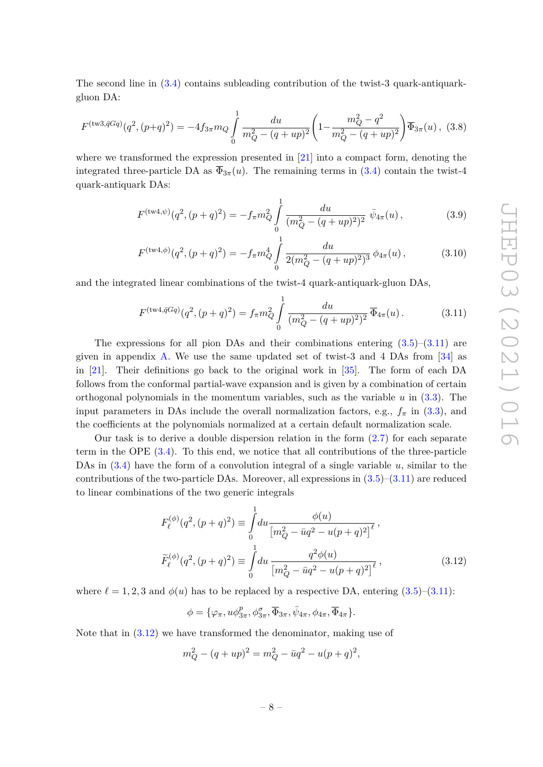The second line in [\(3.4\)](#page-7-1) contains subleading contribution of the twist-3 quark-antiquarkgluon DA:

<span id="page-8-3"></span>
$$
F^{(\text{tw3},\bar{q}Gq)}(q^2,(p+q)^2) = -4f_{3\pi}m_Q \int_0^1 \frac{du}{m_Q^2 - (q+up)^2} \left(1 - \frac{m_Q^2 - q^2}{m_Q^2 - (q+up)^2}\right) \overline{\Phi}_{3\pi}(u), \tag{3.8}
$$

where we transformed the expression presented in [\[21\]](#page-38-13) into a compact form, denoting the integrated three-particle DA as  $\overline{\Phi}_{3\pi}(u)$ . The remaining terms in [\(3.4\)](#page-7-1) contain the twist-4 quark-antiquark DAs:

<span id="page-8-4"></span>
$$
F^{(\text{tw4}, \psi)}(q^2, (p+q)^2) = -f_\pi m_Q^2 \int_0^1 \frac{du}{(m_Q^2 - (q+up)^2)^2} \, \bar{\psi}_{4\pi}(u) \,, \tag{3.9}
$$

<span id="page-8-2"></span>
$$
F^{(\text{tw4}, \phi)}(q^2, (p+q)^2) = -f_\pi m_Q^4 \int_0^1 \frac{du}{2(m_Q^2 - (q+up)^2)^3} \phi_{4\pi}(u) ,\qquad (3.10)
$$

and the integrated linear combinations of the twist-4 quark-antiquark-gluon DAs,

<span id="page-8-0"></span>
$$
F^{(\text{tw4},\bar{q}Gq)}(q^2,(p+q)^2) = f_{\pi}m_Q^2 \int_0^1 \frac{du}{(m_Q^2 - (q+up)^2)^2} \overline{\Phi}_{4\pi}(u). \tag{3.11}
$$

The expressions for all pion DAs and their combinations entering  $(3.5)$ – $(3.11)$  are given in appendix [A.](#page-31-0) We use the same updated set of twist-3 and 4 DAs from [\[34\]](#page-39-5) as in [\[21\]](#page-38-13). Their definitions go back to the original work in [\[35\]](#page-39-6). The form of each DA follows from the conformal partial-wave expansion and is given by a combination of certain orthogonal polynomials in the momentum variables, such as the variable *u* in [\(3.3\)](#page-7-3). The input parameters in DAs include the overall normalization factors, e.g.,  $f_{\pi}$  in [\(3.3\)](#page-7-3), and the coefficients at the polynomials normalized at a certain default normalization scale.

Our task is to derive a double dispersion relation in the form  $(2.7)$  for each separate term in the OPE [\(3.4\)](#page-7-1). To this end, we notice that all contributions of the three-particle DAs in [\(3.4\)](#page-7-1) have the form of a convolution integral of a single variable *u*, similar to the contributions of the two-particle DAs. Moreover, all expressions in  $(3.5)-(3.11)$  $(3.5)-(3.11)$  $(3.5)-(3.11)$  are reduced to linear combinations of the two generic integrals

$$
F_{\ell}^{(\phi)}(q^2, (p+q)^2) \equiv \int_0^1 du \frac{\phi(u)}{\left[m_Q^2 - \bar{u}q^2 - u(p+q)^2\right]^{\ell}},
$$
  

$$
\tilde{F}_{\ell}^{(\phi)}(q^2, (p+q)^2) \equiv \int_0^1 du \frac{q^2 \phi(u)}{\left[m_Q^2 - \bar{u}q^2 - u(p+q)^2\right]^{\ell}},
$$
(3.12)

where  $\ell = 1, 2, 3$  and  $\phi(u)$  has to be replaced by a respective DA, entering  $(3.5)$ – $(3.11)$ :

<span id="page-8-1"></span>
$$
\phi = \{\varphi_{\pi}, u\phi_{3\pi}^p, \phi_{3\pi}^{\sigma}, \overline{\Phi}_{3\pi}, \overline{\psi}_{4\pi}, \phi_{4\pi}, \overline{\Phi}_{4\pi}\}.
$$

Note that in  $(3.12)$  we have transformed the denominator, making use of

$$
m_Q^2 - (q + up)^2 = m_Q^2 - \bar{u}q^2 - u(p+q)^2,
$$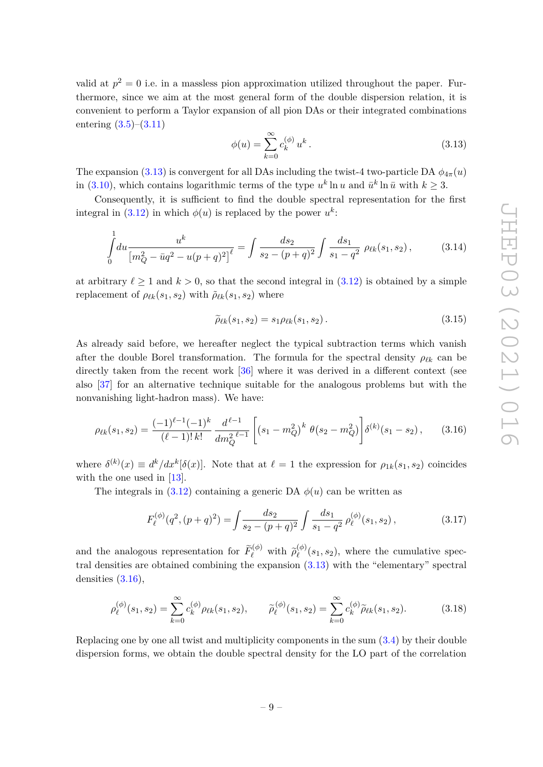valid at  $p^2 = 0$  i.e. in a massless pion approximation utilized throughout the paper. Furthermore, since we aim at the most general form of the double dispersion relation, it is convenient to perform a Taylor expansion of all pion DAs or their integrated combinations entering [\(3.5\)](#page-7-2)–[\(3.11\)](#page-8-0)

<span id="page-9-0"></span>
$$
\phi(u) = \sum_{k=0}^{\infty} c_k^{(\phi)} u^k.
$$
\n(3.13)

The expansion [\(3.13\)](#page-9-0) is convergent for all DAs including the twist-4 two-particle DA  $\phi_{4\pi}(u)$ in [\(3.10\)](#page-8-2), which contains logarithmic terms of the type  $u^k \ln u$  and  $\bar{u}^k \ln \bar{u}$  with  $k \geq 3$ .

Consequently, it is sufficient to find the double spectral representation for the first integral in [\(3.12\)](#page-8-1) in which  $\phi(u)$  is replaced by the power  $u^k$ :

$$
\int_{0}^{1} du \frac{u^{k}}{\left[m_{Q}^{2} - \bar{u}q^{2} - u(p+q)^{2}\right]^{\ell}} = \int \frac{ds_{2}}{s_{2} - (p+q)^{2}} \int \frac{ds_{1}}{s_{1} - q^{2}} \rho_{\ell k}(s_{1}, s_{2}), \tag{3.14}
$$

at arbitrary  $\ell > 1$  and  $k > 0$ , so that the second integral in [\(3.12\)](#page-8-1) is obtained by a simple replacement of  $\rho_{\ell k}(s_1, s_2)$  with  $\rho_{\ell k}(s_1, s_2)$  where

$$
\tilde{\rho}_{\ell k}(s_1, s_2) = s_1 \rho_{\ell k}(s_1, s_2).
$$
\n(3.15)

As already said before, we hereafter neglect the typical subtraction terms which vanish after the double Borel transformation. The formula for the spectral density  $\rho_{\ell k}$  can be directly taken from the recent work [\[36\]](#page-39-7) where it was derived in a different context (see also [\[37\]](#page-39-8) for an alternative technique suitable for the analogous problems but with the nonvanishing light-hadron mass). We have:

<span id="page-9-1"></span>
$$
\rho_{\ell k}(s_1, s_2) = \frac{(-1)^{\ell-1}(-1)^k}{(\ell-1)! \, k!} \, \frac{d^{\ell-1}}{dm_Q^{2\ell-1}} \left[ \left( s_1 - m_Q^2 \right)^k \, \theta \left( s_2 - m_Q^2 \right) \right] \delta^{(k)}(s_1 - s_2) \,, \tag{3.16}
$$

where  $\delta^{(k)}(x) \equiv d^k/dx^k[\delta(x)]$ . Note that at  $\ell = 1$  the expression for  $\rho_{1k}(s_1, s_2)$  coincides with the one used in [\[13\]](#page-38-1).

The integrals in  $(3.12)$  containing a generic DA  $\phi(u)$  can be written as

$$
F_{\ell}^{(\phi)}(q^2,(p+q)^2) = \int \frac{ds_2}{s_2 - (p+q)^2} \int \frac{ds_1}{s_1 - q^2} \rho_{\ell}^{(\phi)}(s_1, s_2), \tag{3.17}
$$

and the analogous representation for  $\tilde{F}^{(\phi)}_{\ell}$  with  $\tilde{\rho}^{(\phi)}_{\ell}$  $\chi_{\ell}^{(\phi)}(s_1, s_2)$ , where the cumulative spectral densities are obtained combining the expansion [\(3.13\)](#page-9-0) with the "elementary" spectral densities [\(3.16\)](#page-9-1),

<span id="page-9-2"></span>
$$
\rho_{\ell}^{(\phi)}(s_1, s_2) = \sum_{k=0}^{\infty} c_k^{(\phi)} \rho_{\ell k}(s_1, s_2), \qquad \tilde{\rho}_{\ell}^{(\phi)}(s_1, s_2) = \sum_{k=0}^{\infty} c_k^{(\phi)} \tilde{\rho}_{\ell k}(s_1, s_2).
$$
 (3.18)

Replacing one by one all twist and multiplicity components in the sum [\(3.4\)](#page-7-1) by their double dispersion forms, we obtain the double spectral density for the LO part of the correlation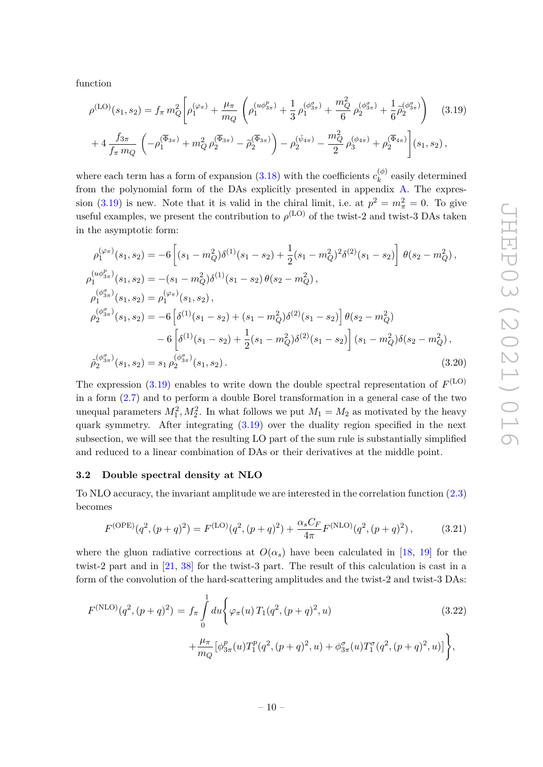function

<span id="page-10-1"></span>
$$
\rho^{(\text{LO})}(s_1, s_2) = f_{\pi} m_Q^2 \left[ \rho_1^{(\varphi_{\pi})} + \frac{\mu_{\pi}}{m_Q} \left( \rho_1^{(u\phi_{3\pi}^p)} + \frac{1}{3} \rho_1^{(\phi_{3\pi}^{\sigma})} + \frac{m_Q^2}{6} \rho_2^{(\phi_{3\pi}^{\sigma})} + \frac{1}{6} \tilde{\rho}_2^{(\phi_{3\pi}^{\sigma})} \right) \right]
$$
\n
$$
+ 4 \frac{f_{3\pi}}{f_{\pi} m_Q} \left( -\rho_1^{(\overline{\Phi}_{3\pi})} + m_Q^2 \rho_2^{(\overline{\Phi}_{3\pi})} - \tilde{\rho}_2^{(\overline{\Phi}_{3\pi})} \right) - \rho_2^{(\bar{\psi}_{4\pi})} - \frac{m_Q^2}{2} \rho_3^{(\phi_{4\pi})} + \rho_2^{(\overline{\Phi}_{4\pi})} \left[ (s_1, s_2), \right]
$$
\n(3.19)

where each term has a form of expansion  $(3.18)$  with the coefficients  $c_k^{(\phi)}$  $k_k^{(\varphi)}$  easily determined from the polynomial form of the DAs explicitly presented in appendix [A.](#page-31-0) The expres-sion [\(3.19\)](#page-10-1) is new. Note that it is valid in the chiral limit, i.e. at  $p^2 = m_{\pi}^2 = 0$ . To give useful examples, we present the contribution to  $\rho^{(\text{LO})}$  of the twist-2 and twist-3 DAs taken in the asymptotic form:

$$
\rho_1^{(\varphi_{\pi})}(s_1, s_2) = -6 \left[ (s_1 - m_Q^2) \delta^{(1)}(s_1 - s_2) + \frac{1}{2} (s_1 - m_Q^2)^2 \delta^{(2)}(s_1 - s_2) \right] \theta(s_2 - m_Q^2),
$$
  
\n
$$
\rho_1^{(u\phi_{3\pi}^p)}(s_1, s_2) = -(s_1 - m_Q^2) \delta^{(1)}(s_1 - s_2) \theta(s_2 - m_Q^2),
$$
  
\n
$$
\rho_1^{(\phi_{3\pi}^q)}(s_1, s_2) = \rho_1^{(\varphi_{\pi})}(s_1, s_2),
$$
  
\n
$$
\rho_2^{(\phi_{3\pi}^q)}(s_1, s_2) = -6 \left[ \delta^{(1)}(s_1 - s_2) + (s_1 - m_Q^2) \delta^{(2)}(s_1 - s_2) \right] \theta(s_2 - m_Q^2)
$$
  
\n
$$
-6 \left[ \delta^{(1)}(s_1 - s_2) + \frac{1}{2} (s_1 - m_Q^2) \delta^{(2)}(s_1 - s_2) \right] (s_1 - m_Q^2) \delta(s_2 - m_Q^2),
$$
  
\n
$$
\tilde{\rho}_2^{(\phi_{3\pi}^q)}(s_1, s_2) = s_1 \rho_2^{(\phi_{3\pi}^q)}(s_1, s_2).
$$
  
\n(3.20)

The expression  $(3.19)$  enables to write down the double spectral representation of  $F^{(\text{LO})}$ in a form [\(2.7\)](#page-5-1) and to perform a double Borel transformation in a general case of the two unequal parameters  $M_1^2, M_2^2$ . In what follows we put  $M_1 = M_2$  as motivated by the heavy quark symmetry. After integrating [\(3.19\)](#page-10-1) over the duality region specified in the next subsection, we will see that the resulting LO part of the sum rule is substantially simplified and reduced to a linear combination of DAs or their derivatives at the middle point.

#### <span id="page-10-0"></span>**3.2 Double spectral density at NLO**

To NLO accuracy, the invariant amplitude we are interested in the correlation function [\(2.3\)](#page-4-2) becomes

$$
F^{(\text{OPE})}(q^2, (p+q)^2) = F^{(\text{LO})}(q^2, (p+q)^2) + \frac{\alpha_s C_F}{4\pi} F^{(\text{NLO})}(q^2, (p+q)^2) ,\tag{3.21}
$$

where the gluon radiative corrections at  $O(\alpha_s)$  have been calculated in [\[18,](#page-38-5) [19\]](#page-38-15) for the twist-2 part and in [\[21,](#page-38-13) [38\]](#page-39-9) for the twist-3 part. The result of this calculation is cast in a form of the convolution of the hard-scattering amplitudes and the twist-2 and twist-3 DAs:

<span id="page-10-2"></span>
$$
F^{(\text{NLO})}(q^2, (p+q)^2) = f_{\pi} \int_{0}^{1} du \Biggl\{ \varphi_{\pi}(u) T_1(q^2, (p+q)^2, u) + \frac{\mu_{\pi}}{m_Q} \bigl[ \phi_{3\pi}^p(u) T_1^p(q^2, (p+q)^2, u) + \phi_{3\pi}^{\sigma}(u) T_1^{\sigma}(q^2, (p+q)^2, u) \bigr] \Biggr\},
$$
\n(3.22)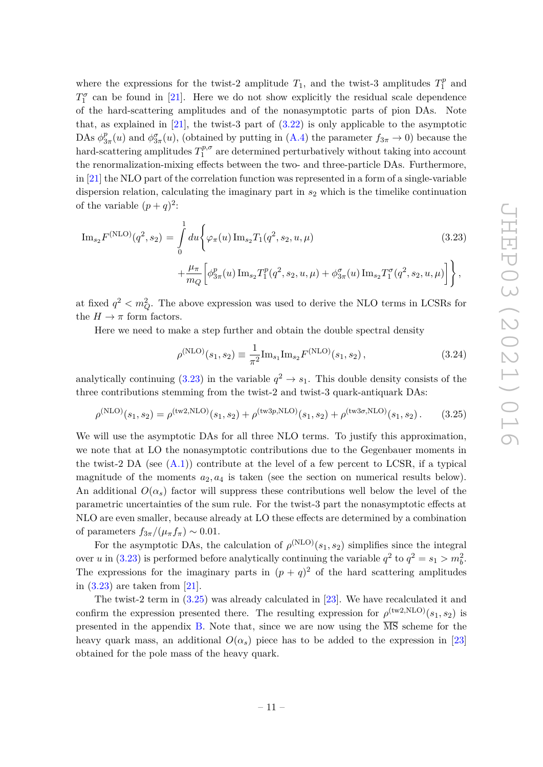where the expressions for the twist-2 amplitude  $T_1$ , and the twist-3 amplitudes  $T_1^p$  $j_1^p$  and  $T_1^{\sigma}$  can be found in [\[21\]](#page-38-13). Here we do not show explicitly the residual scale dependence of the hard-scattering amplitudes and of the nonasymptotic parts of pion DAs. Note that, as explained in  $[21]$ , the twist-3 part of  $(3.22)$  is only applicable to the asymptotic DAs  $\phi_3^p$  $\frac{p}{3\pi}(u)$  and  $\phi_{3\pi}^{\sigma}(u)$ , (obtained by putting in [\(A.4\)](#page-32-0) the parameter  $f_{3\pi} \to 0$ ) because the hard-scattering amplitudes  $T_1^{p,\sigma}$  $1^{p,o}$  are determined perturbatively without taking into account the renormalization-mixing effects between the two- and three-particle DAs. Furthermore, in [\[21\]](#page-38-13) the NLO part of the correlation function was represented in a form of a single-variable dispersion relation, calculating the imaginary part in *s*<sup>2</sup> which is the timelike continuation of the variable  $(p+q)^2$ :

<span id="page-11-0"></span>
$$
\mathrm{Im}_{s_2} F^{(\mathrm{NLO})}(q^2, s_2) = \int_0^1 du \Big\{ \varphi_\pi(u) \, \mathrm{Im}_{s_2} T_1(q^2, s_2, u, \mu) + \frac{\mu_\pi}{m_Q} \Big[ \phi_{3\pi}^p(u) \, \mathrm{Im}_{s_2} T_1^p(q^2, s_2, u, \mu) + \phi_{3\pi}^{\sigma}(u) \, \mathrm{Im}_{s_2} T_1^{\sigma}(q^2, s_2, u, \mu) \Big] \Big\}, \tag{3.23}
$$

at fixed  $q^2 < m_Q^2$ . The above expression was used to derive the NLO terms in LCSRs for the  $H \to \pi$  form factors.

Here we need to make a step further and obtain the double spectral density

$$
\rho^{(\text{NLO})}(s_1, s_2) \equiv \frac{1}{\pi^2} \text{Im}_{s_1} \text{Im}_{s_2} F^{(\text{NLO})}(s_1, s_2), \qquad (3.24)
$$

analytically continuing  $(3.23)$  in the variable  $q^2 \to s_1$ . This double density consists of the three contributions stemming from the twist-2 and twist-3 quark-antiquark DAs:

<span id="page-11-1"></span>
$$
\rho^{(NLO)}(s_1, s_2) = \rho^{(tw2, NLO)}(s_1, s_2) + \rho^{(tw3p, NLO)}(s_1, s_2) + \rho^{(tw3\sigma, NLO)}(s_1, s_2).
$$
 (3.25)

We will use the asymptotic DAs for all three NLO terms. To justify this approximation, we note that at LO the nonasymptotic contributions due to the Gegenbauer moments in the twist-2 DA (see  $(A.1)$ ) contribute at the level of a few percent to LCSR, if a typical magnitude of the moments  $a_2, a_4$  is taken (see the section on numerical results below). An additional  $O(\alpha_s)$  factor will suppress these contributions well below the level of the parametric uncertainties of the sum rule. For the twist-3 part the nonasymptotic effects at NLO are even smaller, because already at LO these effects are determined by a combination of parameters  $f_{3\pi}/(\mu_{\pi}f_{\pi}) \sim 0.01$ .

For the asymptotic DAs, the calculation of  $\rho^{(\text{NLO})}(s_1, s_2)$  simplifies since the integral over *u* in [\(3.23\)](#page-11-0) is performed before analytically continuing the variable  $q^2$  to  $q^2 = s_1 > m_b^2$ . The expressions for the imaginary parts in  $(p+q)^2$  of the hard scattering amplitudes in [\(3.23\)](#page-11-0) are taken from [\[21\]](#page-38-13).

The twist-2 term in [\(3.25\)](#page-11-1) was already calculated in [\[23\]](#page-38-7). We have recalculated it and confirm the expression presented there. The resulting expression for  $\rho^{(tw2,NLO)}(s_1, s_2)$  is presented in the appendix [B.](#page-33-0) Note that, since we are now using the  $\overline{\text{MS}}$  scheme for the heavy quark mass, an additional  $O(\alpha_s)$  piece has to be added to the expression in [\[23\]](#page-38-7) obtained for the pole mass of the heavy quark.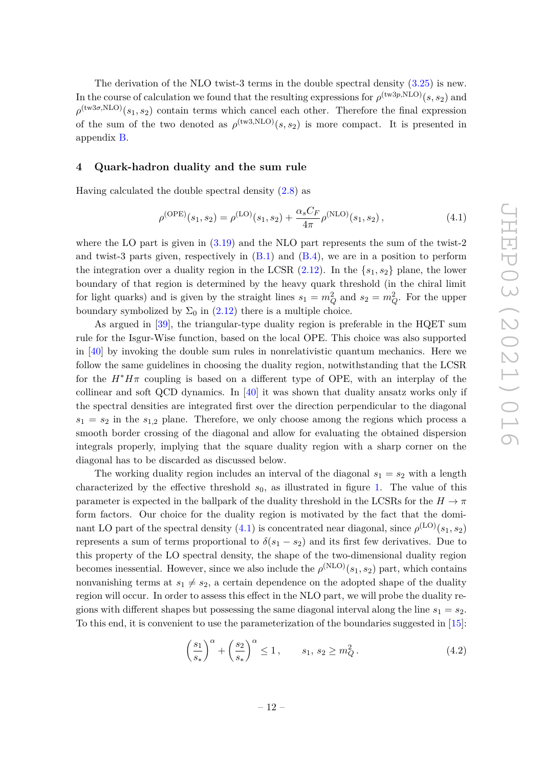The derivation of the NLO twist-3 terms in the double spectral density [\(3.25\)](#page-11-1) is new. In the course of calculation we found that the resulting expressions for  $\rho^{(\text{tw}3p,\text{NLO})}(s,s_2)$  and  $\rho^{(\text{tw3}\sigma,\text{NLO})}(s_1, s_2)$  contain terms which cancel each other. Therefore the final expression of the sum of the two denoted as  $\rho^{(tw3,NLO)}(s,s_2)$  is more compact. It is presented in appendix [B.](#page-33-0)

#### <span id="page-12-0"></span>**4 Quark-hadron duality and the sum rule**

Having calculated the double spectral density  $(2.8)$  as

<span id="page-12-1"></span>
$$
\rho^{(\text{OPE})}(s_1, s_2) = \rho^{(\text{LO})}(s_1, s_2) + \frac{\alpha_s C_F}{4\pi} \rho^{(\text{NLO})}(s_1, s_2), \tag{4.1}
$$

where the LO part is given in  $(3.19)$  and the NLO part represents the sum of the twist-2 and twist-3 parts given, respectively in  $(B.1)$  and  $(B.4)$ , we are in a position to perform the integration over a duality region in the LCSR  $(2.12)$ . In the  $\{s_1, s_2\}$  plane, the lower boundary of that region is determined by the heavy quark threshold (in the chiral limit for light quarks) and is given by the straight lines  $s_1 = m_Q^2$  and  $s_2 = m_Q^2$ . For the upper boundary symbolized by  $\Sigma_0$  in [\(2.12\)](#page-6-2) there is a multiple choice.

As argued in [\[39\]](#page-39-10), the triangular-type duality region is preferable in the HQET sum rule for the Isgur-Wise function, based on the local OPE. This choice was also supported in  $[40]$  by invoking the double sum rules in nonrelativistic quantum mechanics. Here we follow the same guidelines in choosing the duality region, notwithstanding that the LCSR for the  $H^*H\pi$  coupling is based on a different type of OPE, with an interplay of the collinear and soft QCD dynamics. In [\[40\]](#page-39-11) it was shown that duality ansatz works only if the spectral densities are integrated first over the direction perpendicular to the diagonal  $s_1 = s_2$  in the  $s_{1,2}$  plane. Therefore, we only choose among the regions which process a smooth border crossing of the diagonal and allow for evaluating the obtained dispersion integrals properly, implying that the square duality region with a sharp corner on the diagonal has to be discarded as discussed below.

The working duality region includes an interval of the diagonal  $s_1 = s_2$  with a length characterized by the effective threshold *s*0, as illustrated in figure [1.](#page-13-0) The value of this parameter is expected in the ballpark of the duality threshold in the LCSRs for the  $H \to \pi$ form factors. Our choice for the duality region is motivated by the fact that the dominant LO part of the spectral density  $(4.1)$  is concentrated near diagonal, since  $\rho^{(\mathrm{LO})}(s_1, s_2)$ represents a sum of terms proportional to  $\delta(s_1 - s_2)$  and its first few derivatives. Due to this property of the LO spectral density, the shape of the two-dimensional duality region becomes inessential. However, since we also include the  $\rho^{(NLO)}(s_1, s_2)$  part, which contains nonvanishing terms at  $s_1 \neq s_2$ , a certain dependence on the adopted shape of the duality region will occur. In order to assess this effect in the NLO part, we will probe the duality regions with different shapes but possessing the same diagonal interval along the line  $s_1 = s_2$ . To this end, it is convenient to use the parameterization of the boundaries suggested in [\[15\]](#page-38-16):

<span id="page-12-2"></span>
$$
\left(\frac{s_1}{s_*}\right)^{\alpha} + \left(\frac{s_2}{s_*}\right)^{\alpha} \le 1, \qquad s_1, s_2 \ge m_Q^2. \tag{4.2}
$$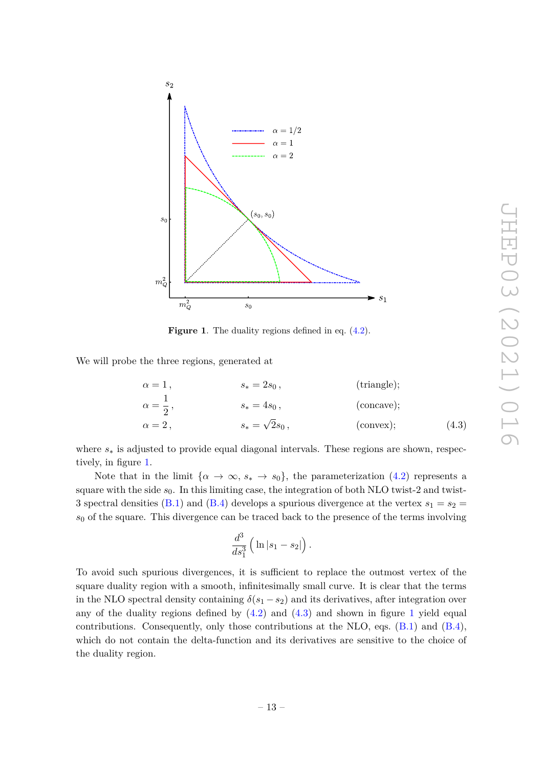

<span id="page-13-0"></span>**Figure 1.** The duality regions defined in eq.  $(4.2)$ .

We will probe the three regions, generated at

$$
\alpha = 1, \qquad s_* = 2s_0, \qquad \text{(triangle);}
$$
  
\n
$$
\alpha = \frac{1}{2}, \qquad s_* = 4s_0, \qquad \text{(concave);}
$$
  
\n
$$
\alpha = 2, \qquad s_* = \sqrt{2}s_0, \qquad \text{(convex);} \qquad \text{(4.3)}
$$

where *s*<sup>∗</sup> is adjusted to provide equal diagonal intervals. These regions are shown, respectively, in figure [1.](#page-13-0)

Note that in the limit  $\{\alpha \to \infty, s_* \to s_0\}$ , the parameterization [\(4.2\)](#page-12-2) represents a square with the side  $s_0$ . In this limiting case, the integration of both NLO twist-2 and twist-3 spectral densities [\(B.1\)](#page-33-1) and [\(B.4\)](#page-34-0) develops a spurious divergence at the vertex  $s_1 = s_2$ *s*<sup>0</sup> of the square. This divergence can be traced back to the presence of the terms involving

<span id="page-13-1"></span>
$$
\frac{d^3}{ds_1^3}\left(\ln|s_1-s_2|\right).
$$

To avoid such spurious divergences, it is sufficient to replace the outmost vertex of the square duality region with a smooth, infinitesimally small curve. It is clear that the terms in the NLO spectral density containing  $\delta(s_1 - s_2)$  and its derivatives, after integration over any of the duality regions defined by  $(4.2)$  and  $(4.3)$  and shown in figure [1](#page-13-0) yield equal contributions. Consequently, only those contributions at the NLO, eqs.  $(B.1)$  and  $(B.4)$ , which do not contain the delta-function and its derivatives are sensitive to the choice of the duality region.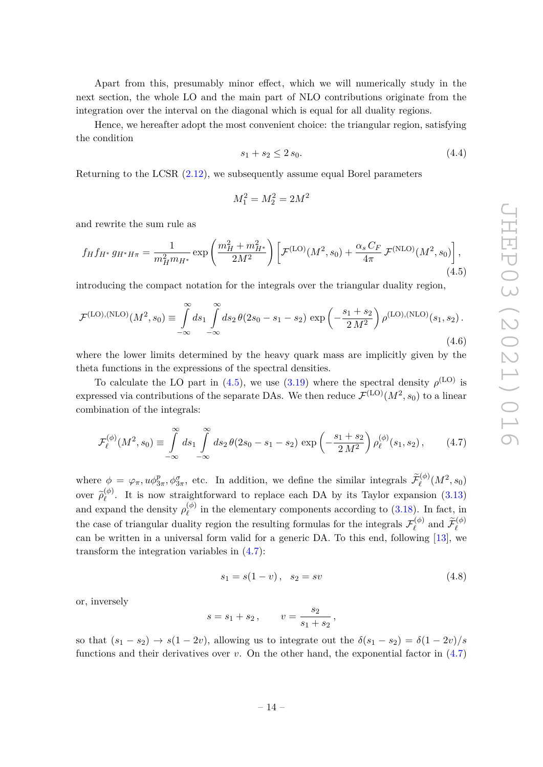Apart from this, presumably minor effect, which we will numerically study in the next section, the whole LO and the main part of NLO contributions originate from the integration over the interval on the diagonal which is equal for all duality regions.

Hence, we hereafter adopt the most convenient choice: the triangular region, satisfying the condition

$$
s_1 + s_2 \le 2 s_0. \tag{4.4}
$$

Returning to the LCSR [\(2.12\)](#page-6-2), we subsequently assume equal Borel parameters

$$
M_1^2 = M_2^2 = 2M^2
$$

and rewrite the sum rule as

<span id="page-14-0"></span>
$$
f_H f_{H^*} g_{H^* H \pi} = \frac{1}{m_H^2 m_{H^*}} \exp\left(\frac{m_H^2 + m_{H^*}^2}{2M^2}\right) \left[ \mathcal{F}^{(\text{LO})}(M^2, s_0) + \frac{\alpha_s C_F}{4\pi} \mathcal{F}^{(\text{NLO})}(M^2, s_0) \right],\tag{4.5}
$$

introducing the compact notation for the integrals over the triangular duality region,

<span id="page-14-2"></span>
$$
\mathcal{F}^{(\text{LO}),(\text{NLO})}(M^2, s_0) \equiv \int_{-\infty}^{\infty} ds_1 \int_{-\infty}^{\infty} ds_2 \,\theta(2s_0 - s_1 - s_2) \, \exp\left(-\frac{s_1 + s_2}{2 \, M^2}\right) \rho^{(\text{LO}),(\text{NLO})}(s_1, s_2). \tag{4.6}
$$

where the lower limits determined by the heavy quark mass are implicitly given by the theta functions in the expressions of the spectral densities.

To calculate the LO part in [\(4.5\)](#page-14-0), we use [\(3.19\)](#page-10-1) where the spectral density  $\rho^{\text{(LO)}}$  is expressed via contributions of the separate DAs. We then reduce  $\mathcal{F}^{(\mathrm{LO})}(M^2,s_0)$  to a linear combination of the integrals:

<span id="page-14-1"></span>
$$
\mathcal{F}_{\ell}^{(\phi)}(M^2, s_0) \equiv \int_{-\infty}^{\infty} ds_1 \int_{-\infty}^{\infty} ds_2 \,\theta(2s_0 - s_1 - s_2) \, \exp\left(-\frac{s_1 + s_2}{2 \, M^2}\right) \rho_{\ell}^{(\phi)}(s_1, s_2) \,,\tag{4.7}
$$

where  $\phi = \varphi_{\pi}, u \phi_{3\pi}^p, \phi_{3\pi}^{\sigma}$ , etc. In addition, we define the similar integrals  $\tilde{\mathcal{F}}_{\ell}^{(\phi)}(M^2, s_0)$  $over \ \widetilde{\rho}_{\ell}^{(\phi)}$ *`* . It is now straightforward to replace each DA by its Taylor expansion [\(3.13\)](#page-9-0) and expand the density  $\rho_{\ell}^{(\phi)}$  $\chi_{\ell}^{(9)}$  in the elementary components according to [\(3.18\)](#page-9-2). In fact, in the case of triangular duality region the resulting formulas for the integrals  $\mathcal{F}_{\rho}^{(\phi)}$  $\widetilde{\mathcal{F}}_{\ell}^{(\phi)}$  and  $\widetilde{\mathcal{F}}_{\ell}^{(\phi)}$ can be written in a universal form valid for a generic DA. To this end, following [\[13\]](#page-38-1), we transform the integration variables in [\(4.7\)](#page-14-1):

$$
s_1 = s(1 - v), \quad s_2 = sv \tag{4.8}
$$

or, inversely

$$
s = s_1 + s_2
$$
,  $v = \frac{s_2}{s_1 + s_2}$ ,

so that  $(s_1 - s_2) \rightarrow s(1 - 2v)$ , allowing us to integrate out the  $\delta(s_1 - s_2) = \delta(1 - 2v)/s$ functions and their derivatives over *v*. On the other hand, the exponential factor in [\(4.7\)](#page-14-1)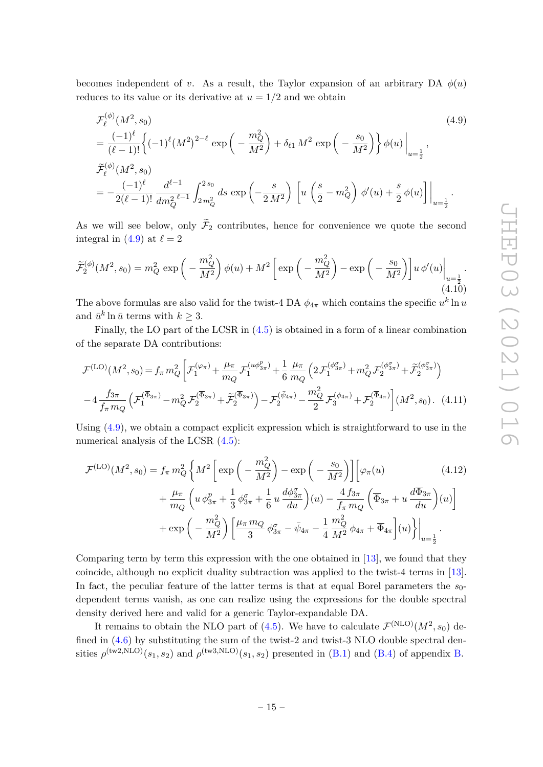becomes independent of *v*. As a result, the Taylor expansion of an arbitrary DA  $\phi(u)$ reduces to its value or its derivative at  $u = 1/2$  and we obtain

<span id="page-15-0"></span>
$$
\mathcal{F}_{\ell}^{(\phi)}(M^{2}, s_{0})
$$
\n
$$
= \frac{(-1)^{\ell}}{(\ell-1)!} \left\{ (-1)^{\ell} (M^{2})^{2-\ell} \exp\left(-\frac{m_{Q}^{2}}{M^{2}}\right) + \delta_{\ell 1} M^{2} \exp\left(-\frac{s_{0}}{M^{2}}\right) \right\} \phi(u) \Big|_{u=\frac{1}{2}},
$$
\n
$$
\widetilde{\mathcal{F}}_{\ell}^{(\phi)}(M^{2}, s_{0})
$$
\n
$$
= -\frac{(-1)^{\ell}}{2(\ell-1)!} \frac{d^{\ell-1}}{dm_{Q}^{2}} \int_{2m_{Q}^{2}}^{2s_{0}} ds \exp\left(-\frac{s}{2M^{2}}\right) \left[ u \left(\frac{s}{2} - m_{Q}^{2}\right) \phi'(u) + \frac{s}{2} \phi(u) \right] \Big|_{u=\frac{1}{2}}.
$$
\n(4.9)

As we will see below, only  $\mathcal{F}_2$  contributes, hence for convenience we quote the second integral in [\(4.9\)](#page-15-0) at  $\ell = 2$ 

$$
\widetilde{\mathcal{F}}_2^{(\phi)}(M^2, s_0) = m_Q^2 \exp\left(-\frac{m_Q^2}{M^2}\right) \phi(u) + M^2 \left[\exp\left(-\frac{m_Q^2}{M^2}\right) - \exp\left(-\frac{s_0}{M^2}\right)\right] u \, \phi'(u) \bigg|_{u = \frac{1}{2}}.\tag{4.10}
$$

The above formulas are also valid for the twist-4 DA  $\phi_{4\pi}$  which contains the specific  $u^k \ln u$ and  $\bar{u}^k \ln \bar{u}$  terms with  $k \geq 3$ .

Finally, the LO part of the LCSR in [\(4.5\)](#page-14-0) is obtained in a form of a linear combination of the separate DA contributions:

$$
\mathcal{F}^{(\text{LO})}(M^{2}, s_{0}) = f_{\pi} m_{Q}^{2} \left[ \mathcal{F}_{1}^{(\varphi_{\pi})} + \frac{\mu_{\pi}}{m_{Q}} \mathcal{F}_{1}^{(u\phi_{3\pi}^{p})} + \frac{1}{6} \frac{\mu_{\pi}}{m_{Q}} \left( 2 \mathcal{F}_{1}^{(\phi_{3\pi}^{q})} + m_{Q}^{2} \mathcal{F}_{2}^{(\phi_{3\pi}^{q})} + \tilde{\mathcal{F}}_{2}^{(\phi_{3\pi}^{q})} \right) \right]
$$

$$
-4 \frac{f_{3\pi}}{f_{\pi} m_{Q}} \left( \mathcal{F}_{1}^{(\overline{\Phi}_{3\pi})} - m_{Q}^{2} \mathcal{F}_{2}^{(\overline{\Phi}_{3\pi})} + \tilde{\mathcal{F}}_{2}^{(\overline{\Phi}_{3\pi})} \right) - \mathcal{F}_{2}^{(\bar{\psi}_{4\pi})} - \frac{m_{Q}^{2}}{2} \mathcal{F}_{3}^{(\phi_{4\pi})} + \mathcal{F}_{2}^{(\overline{\Phi}_{4\pi})} \left[ (M^{2}, s_{0}). (4.11) \right]
$$

Using [\(4.9\)](#page-15-0), we obtain a compact explicit expression which is straightforward to use in the numerical analysis of the LCSR  $(4.5)$ :

<span id="page-15-1"></span>
$$
\mathcal{F}^{(\text{LO})}(M^2, s_0) = f_\pi m_Q^2 \left\{ M^2 \left[ \exp\left( -\frac{m_Q^2}{M^2} \right) - \exp\left( -\frac{s_0}{M^2} \right) \right] \left[ \varphi_\pi(u) \right. \right. \\
\left. + \frac{\mu_\pi}{m_Q} \left( u \, \phi_{3\pi}^p + \frac{1}{3} \, \phi_{3\pi}^q + \frac{1}{6} u \, \frac{d\phi_{3\pi}^q}{du} \right) (u) - \frac{4 f_{3\pi}}{f_\pi m_Q} \left( \overline{\Phi}_{3\pi} + u \, \frac{d\overline{\Phi}_{3\pi}}{du} \right) (u) \right] \\
+ \exp\left( -\frac{m_Q^2}{M^2} \right) \left[ \frac{\mu_\pi m_Q}{3} \, \phi_{3\pi}^q - \bar{\psi}_{4\pi} - \frac{1}{4} \frac{m_Q^2}{M^2} \, \phi_{4\pi} + \overline{\Phi}_{4\pi} \right] (u) \right\} \Big|_{u=\frac{1}{2}}.
$$
\n(4.12)

Comparing term by term this expression with the one obtained in [\[13\]](#page-38-1), we found that they coincide, although no explicit duality subtraction was applied to the twist-4 terms in [\[13\]](#page-38-1). In fact, the peculiar feature of the latter terms is that at equal Borel parameters the *s*0 dependent terms vanish, as one can realize using the expressions for the double spectral density derived here and valid for a generic Taylor-expandable DA.

It remains to obtain the NLO part of [\(4.5\)](#page-14-0). We have to calculate  $\mathcal{F}^{(NLO)}(M^2,s_0)$  defined in  $(4.6)$  by substituting the sum of the twist-2 and twist-3 NLO double spectral densities  $\rho^{(\text{tw2,NLO})}(s_1, s_2)$  and  $\rho^{(\text{tw3,NLO})}(s_1, s_2)$  presented in [\(B.1\)](#page-33-1) and [\(B.4\)](#page-34-0) of appendix [B.](#page-33-0)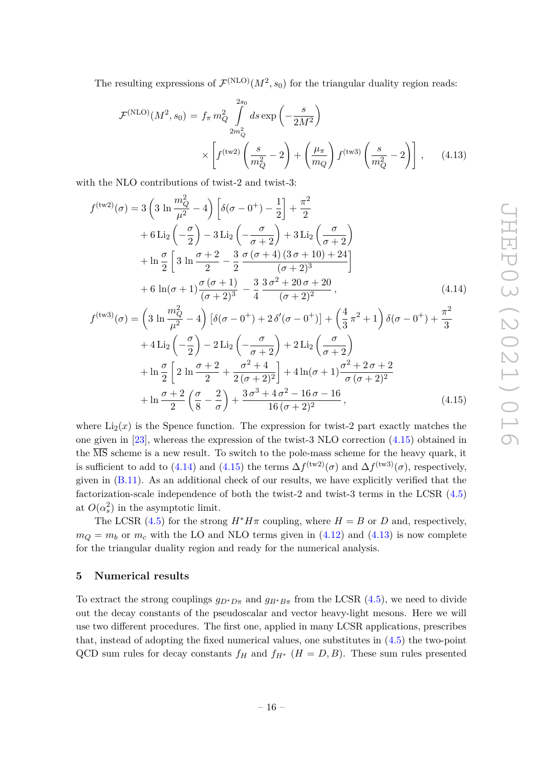The resulting expressions of  $\mathcal{F}^{(NLO)}(M^2, s_0)$  for the triangular duality region reads:

<span id="page-16-3"></span>
$$
\mathcal{F}^{(\text{NLO})}(M^2, s_0) = f_{\pi} m_Q^2 \int_{2m_Q^2}^{2s_0} ds \exp\left(-\frac{s}{2M^2}\right) \times \left[ f^{(\text{tw2})} \left(\frac{s}{m_Q^2} - 2\right) + \left(\frac{\mu_{\pi}}{m_Q}\right) f^{(\text{tw3})} \left(\frac{s}{m_Q^2} - 2\right) \right], \quad (4.13)
$$

with the NLO contributions of twist-2 and twist-3:

$$
f^{(\text{tw2})}(\sigma) = 3\left(3\ln\frac{m_Q^2}{\mu^2} - 4\right)\left[\delta(\sigma - 0^+) - \frac{1}{2}\right] + \frac{\pi^2}{2} + 6\operatorname{Li}_2\left(-\frac{\sigma}{2}\right) - 3\operatorname{Li}_2\left(-\frac{\sigma}{\sigma + 2}\right) + 3\operatorname{Li}_2\left(\frac{\sigma}{\sigma + 2}\right) + \ln\frac{\sigma}{2}\left[3\ln\frac{\sigma + 2}{2} - \frac{3}{2}\frac{\sigma(\sigma + 4)(3\sigma + 10) + 24}{(\sigma + 2)^3}\right] + 6\ln(\sigma + 1)\frac{\sigma(\sigma + 1)}{(\sigma + 2)^3} - \frac{3}{4}\frac{3\sigma^2 + 20\sigma + 20}{(\sigma + 2)^2},
$$
(4.14)

<span id="page-16-2"></span><span id="page-16-1"></span>
$$
f^{(\text{tw3})}(\sigma) = \left(3 \ln \frac{m_Q^2}{\mu^2} - 4\right) \left[\delta(\sigma - 0^+) + 2 \delta'(\sigma - 0^+)\right] + \left(\frac{4}{3} \pi^2 + 1\right) \delta(\sigma - 0^+) + \frac{\pi^2}{3} + 4 \text{Li}_2\left(-\frac{\sigma}{2}\right) - 2 \text{Li}_2\left(-\frac{\sigma}{\sigma + 2}\right) + 2 \text{Li}_2\left(\frac{\sigma}{\sigma + 2}\right) + \ln \frac{\sigma}{2} \left[2 \ln \frac{\sigma + 2}{2} + \frac{\sigma^2 + 4}{2(\sigma + 2)^2}\right] + 4 \ln(\sigma + 1) \frac{\sigma^2 + 2 \sigma + 2}{\sigma (\sigma + 2)^2} + \ln \frac{\sigma + 2}{2} \left(\frac{\sigma}{8} - \frac{2}{\sigma}\right) + \frac{3 \sigma^3 + 4 \sigma^2 - 16 \sigma - 16}{16 (\sigma + 2)^2},
$$
(4.15)

where  $Li_2(x)$  is the Spence function. The expression for twist-2 part exactly matches the one given in [\[23\]](#page-38-7), whereas the expression of the twist-3 NLO correction [\(4.15\)](#page-16-1) obtained in the  $\overline{\text{MS}}$  scheme is a new result. To switch to the pole-mass scheme for the heavy quark, it is sufficient to add to [\(4.14\)](#page-16-2) and [\(4.15\)](#page-16-1) the terms  $\Delta f^{(\text{tw2})}(\sigma)$  and  $\Delta f^{(\text{tw3})}(\sigma)$ , respectively, given in [\(B.11\)](#page-35-1). As an additional check of our results, we have explicitly verified that the factorization-scale independence of both the twist-2 and twist-3 terms in the LCSR [\(4.5\)](#page-14-0) at  $O(\alpha_s^2)$  in the asymptotic limit.

The LCSR [\(4.5\)](#page-14-0) for the strong  $H^*H\pi$  coupling, where  $H = B$  or *D* and, respectively,  $m_Q = m_b$  or  $m_c$  with the LO and NLO terms given in [\(4.12\)](#page-15-1) and [\(4.13\)](#page-16-3) is now complete for the triangular duality region and ready for the numerical analysis.

#### <span id="page-16-0"></span>**5 Numerical results**

To extract the strong couplings  $g_{D^*D\pi}$  and  $g_{B^*B\pi}$  from the LCSR [\(4.5\)](#page-14-0), we need to divide out the decay constants of the pseudoscalar and vector heavy-light mesons. Here we will use two different procedures. The first one, applied in many LCSR applications, prescribes that, instead of adopting the fixed numerical values, one substitutes in [\(4.5\)](#page-14-0) the two-point QCD sum rules for decay constants  $f_H$  and  $f_{H^*}$  ( $H = D, B$ ). These sum rules presented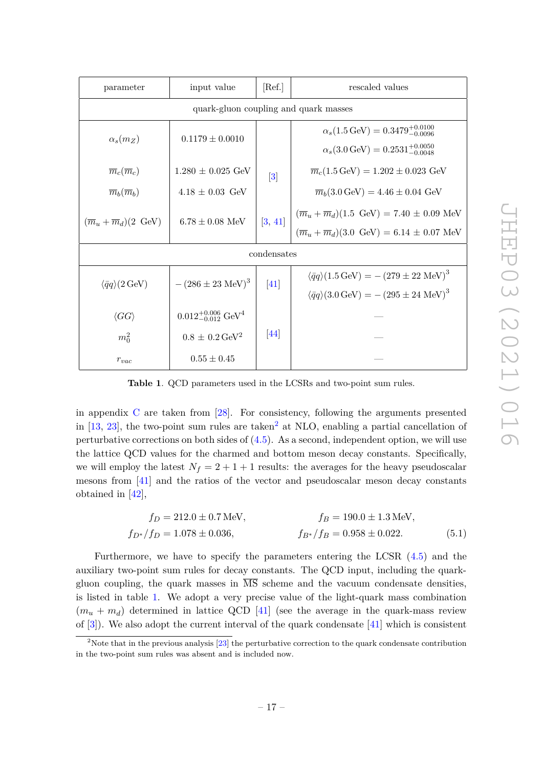| input value<br>parameter                           |                                            | [Ref.]           | rescaled values                                                                  |  |  |  |
|----------------------------------------------------|--------------------------------------------|------------------|----------------------------------------------------------------------------------|--|--|--|
| quark-gluon coupling and quark masses              |                                            |                  |                                                                                  |  |  |  |
| $\alpha_s(m_Z)$<br>$0.1179 \pm 0.0010$             |                                            |                  | $\alpha_s(1.5 \,\text{GeV}) = 0.3479_{-0.0096}^{+0.0100}$                        |  |  |  |
|                                                    |                                            |                  | $\alpha_s(3.0 \,\text{GeV}) = 0.2531^{+0.0050}_{-0.0048}$                        |  |  |  |
| $\overline{m}_c(\overline{m}_c)$                   | $1.280 \pm 0.025$ GeV                      | $\left 3\right $ | $\overline{m}_c(1.5 \,\text{GeV}) = 1.202 \pm 0.023 \,\text{GeV}$                |  |  |  |
| $\overline{m}_b(\overline{m}_b)$                   | $4.18 \pm 0.03$ GeV                        |                  | $\overline{m}_b(3.0 \,\text{GeV}) = 4.46 \pm 0.04 \,\text{GeV}$                  |  |  |  |
| $(\overline{m}_u + \overline{m}_d)(2 \text{ GeV})$ | $6.78 \pm 0.08$ MeV                        | [3, 41]          | $(\overline{m}_u + \overline{m}_d)(1.5 \text{ GeV}) = 7.40 \pm 0.09 \text{ MeV}$ |  |  |  |
|                                                    |                                            |                  | $(\overline{m}_u + \overline{m}_d)(3.0 \text{ GeV}) = 6.14 \pm 0.07 \text{ MeV}$ |  |  |  |
|                                                    |                                            | condensates      |                                                                                  |  |  |  |
| $\langle \bar{q}q \rangle (2 \,\text{GeV})$        | $-(286 \pm 23 \text{ MeV})^3$              | [41]             | $\langle \bar{q}q \rangle (1.5 \,\text{GeV}) = -(279 \pm 22 \,\text{MeV})^3$     |  |  |  |
|                                                    |                                            |                  | $\langle \bar{q}q \rangle (3.0 \,\text{GeV}) = -(295 \pm 24 \,\text{MeV})^3$     |  |  |  |
| $\langle GG \rangle$                               | $0.012_{-0.012}^{+0.006}$ GeV <sup>4</sup> |                  |                                                                                  |  |  |  |
| $m_0^2$                                            | $0.8\,\pm\,0.2\,\rm{GeV^2}$                | 44               |                                                                                  |  |  |  |
| $r_{vac}$                                          | $0.55 \pm 0.45$                            |                  |                                                                                  |  |  |  |

<span id="page-17-1"></span>**Table 1**. QCD parameters used in the LCSRs and two-point sum rules.

in appendix [C](#page-35-0) are taken from [\[28\]](#page-38-12). For consistency, following the arguments presented in  $[13, 23]$  $[13, 23]$  $[13, 23]$ , the two-point sum rules are taken<sup>[2](#page-17-0)</sup> at NLO, enabling a partial cancellation of perturbative corrections on both sides of  $(4.5)$ . As a second, independent option, we will use the lattice QCD values for the charmed and bottom meson decay constants. Specifically, we will employ the latest  $N_f = 2 + 1 + 1$  results: the averages for the heavy pseudoscalar mesons from [\[41\]](#page-39-12) and the ratios of the vector and pseudoscalar meson decay constants obtained in [\[42\]](#page-39-14),

<span id="page-17-2"></span>
$$
f_D = 212.0 \pm 0.7 \,\text{MeV}, \qquad f_B = 190.0 \pm 1.3 \,\text{MeV},
$$
  
\n
$$
f_{D^*}/f_D = 1.078 \pm 0.036, \qquad f_{B^*}/f_B = 0.958 \pm 0.022. \tag{5.1}
$$

Furthermore, we have to specify the parameters entering the LCSR [\(4.5\)](#page-14-0) and the auxiliary two-point sum rules for decay constants. The QCD input, including the quarkgluon coupling, the quark masses in  $\overline{MS}$  scheme and the vacuum condensate densities, is listed in table [1.](#page-17-1) We adopt a very precise value of the light-quark mass combination  $(m_u + m_d)$  determined in lattice QCD [\[41\]](#page-39-12) (see the average in the quark-mass review of [\[3\]](#page-37-1)). We also adopt the current interval of the quark condensate [\[41\]](#page-39-12) which is consistent

<span id="page-17-0"></span><sup>&</sup>lt;sup>2</sup>Note that in the previous analysis [\[23\]](#page-38-7) the perturbative correction to the quark condensate contribution in the two-point sum rules was absent and is included now.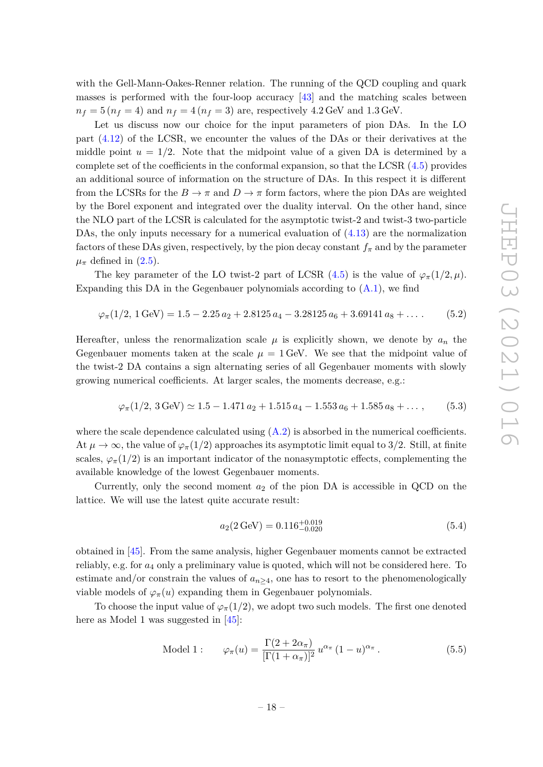with the Gell-Mann-Oakes-Renner relation. The running of the QCD coupling and quark masses is performed with the four-loop accuracy [\[43\]](#page-39-15) and the matching scales between  $n_f = 5 (n_f = 4)$  and  $n_f = 4 (n_f = 3)$  are, respectively 4.2 GeV and 1.3 GeV.

Let us discuss now our choice for the input parameters of pion DAs. In the LO part [\(4.12\)](#page-15-1) of the LCSR, we encounter the values of the DAs or their derivatives at the middle point  $u = 1/2$ . Note that the midpoint value of a given DA is determined by a complete set of the coefficients in the conformal expansion, so that the LCSR  $(4.5)$  provides an additional source of information on the structure of DAs. In this respect it is different from the LCSRs for the  $B \to \pi$  and  $D \to \pi$  form factors, where the pion DAs are weighted by the Borel exponent and integrated over the duality interval. On the other hand, since the NLO part of the LCSR is calculated for the asymptotic twist-2 and twist-3 two-particle DAs, the only inputs necessary for a numerical evaluation of  $(4.13)$  are the normalization factors of these DAs given, respectively, by the pion decay constant  $f_{\pi}$  and by the parameter  $\mu_{\pi}$  defined in [\(2.5\)](#page-4-4).

The key parameter of the LO twist-2 part of LCSR  $(4.5)$  is the value of  $\varphi_{\pi}(1/2,\mu)$ . Expanding this DA in the Gegenbauer polynomials according to  $(A.1)$ , we find

<span id="page-18-2"></span> $\varphi_{\pi}(1/2, 1 \text{ GeV}) = 1.5 - 2.25 a_2 + 2.8125 a_4 - 3.28125 a_6 + 3.69141 a_8 + \ldots$  (5.2)

Hereafter, unless the renormalization scale  $\mu$  is explicitly shown, we denote by  $a_n$  the Gegenbauer moments taken at the scale  $\mu = 1$  GeV. We see that the midpoint value of the twist-2 DA contains a sign alternating series of all Gegenbauer moments with slowly growing numerical coefficients. At larger scales, the moments decrease, e.g.:

$$
\varphi_{\pi}(1/2, 3 \text{ GeV}) \simeq 1.5 - 1.471 a_2 + 1.515 a_4 - 1.553 a_6 + 1.585 a_8 + \dots, \qquad (5.3)
$$

where the scale dependence calculated using  $(A.2)$  is absorbed in the numerical coefficients. At  $\mu \to \infty$ , the value of  $\varphi_{\pi}(1/2)$  approaches its asymptotic limit equal to 3/2. Still, at finite scales,  $\varphi_{\pi}(1/2)$  is an important indicator of the nonasymptotic effects, complementing the available knowledge of the lowest Gegenbauer moments.

Currently, only the second moment *a*<sup>2</sup> of the pion DA is accessible in QCD on the lattice. We will use the latest quite accurate result:

<span id="page-18-0"></span>
$$
a_2(2 \,\text{GeV}) = 0.116^{+0.019}_{-0.020} \tag{5.4}
$$

obtained in [\[45\]](#page-39-16). From the same analysis, higher Gegenbauer moments cannot be extracted reliably, e.g. for *a*<sup>4</sup> only a preliminary value is quoted, which will not be considered here. To estimate and/or constrain the values of  $a_{n>4}$ , one has to resort to the phenomenologically viable models of  $\varphi_{\pi}(u)$  expanding them in Gegenbauer polynomials.

To choose the input value of  $\varphi_{\pi}(1/2)$ , we adopt two such models. The first one denoted here as Model 1 was suggested in [\[45\]](#page-39-16):

<span id="page-18-1"></span>Model 1: 
$$
\varphi_{\pi}(u) = \frac{\Gamma(2 + 2\alpha_{\pi})}{[\Gamma(1 + \alpha_{\pi})]^2} u^{\alpha_{\pi}} (1 - u)^{\alpha_{\pi}}.
$$
 (5.5)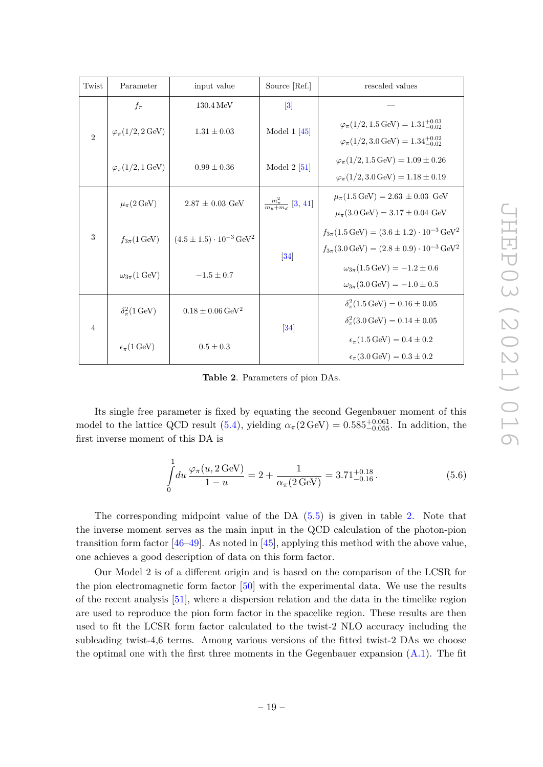| Twist          | Parameter                                                                                                                                                             | input value                      | Source [Ref.]                                                             | rescaled values                                                           |
|----------------|-----------------------------------------------------------------------------------------------------------------------------------------------------------------------|----------------------------------|---------------------------------------------------------------------------|---------------------------------------------------------------------------|
|                |                                                                                                                                                                       |                                  |                                                                           |                                                                           |
|                | $f_{\pi}$                                                                                                                                                             | $130.4\,\text{MeV}$              | $\vert 3 \vert$                                                           |                                                                           |
|                | $\varphi_{\pi}(1/2, 2 \,\text{GeV})$                                                                                                                                  | $1.31 \pm 0.03$                  | Model $1 \, [45]$                                                         | $\varphi_{\pi}(1/2, 1.5 \,\text{GeV}) = 1.31^{+0.03}_{-0.02}$             |
| $\overline{2}$ |                                                                                                                                                                       |                                  |                                                                           | $\varphi_{\pi}(1/2,3.0 \,\text{GeV}) = 1.34^{+0.02}_{-0.02}$              |
|                | $\varphi_{\pi}(1/2, 1 \,\text{GeV})$                                                                                                                                  | $0.99 \pm 0.36$                  | Model $2$ [51]                                                            | $\varphi_{\pi}(1/2, 1.5 \,\text{GeV}) = 1.09 \pm 0.26$                    |
|                |                                                                                                                                                                       |                                  |                                                                           | $\varphi_{\pi}(1/2,3.0 \,\text{GeV}) = 1.18 \pm 0.19$                     |
|                | $2.87 \pm 0.03$ GeV<br>$\mu_{\pi}(2 \,\text{GeV})$<br>$(4.5 \pm 1.5) \cdot 10^{-3} \,\text{GeV}^2$<br>$f_{3\pi}$ (1 GeV)<br>$\omega_{3\pi}$ (1 GeV)<br>$-1.5 \pm 0.7$ |                                  | $\frac{m_{\pi}^2}{m_{\pi}+m_{\pi}}$ [3, 41]                               | $\mu_{\pi}(1.5 \,\text{GeV}) = 2.63 \pm 0.03 \,\text{GeV}$                |
|                |                                                                                                                                                                       |                                  |                                                                           | $\mu_{\pi}(3.0 \,\text{GeV}) = 3.17 \pm 0.04 \,\text{GeV}$                |
| 3              |                                                                                                                                                                       |                                  |                                                                           | $f_{3\pi}(1.5 \,\text{GeV}) = (3.6 \pm 1.2) \cdot 10^{-3} \,\text{GeV}^2$ |
|                |                                                                                                                                                                       | 34                               | $f_{3\pi}(3.0 \,\text{GeV}) = (2.8 \pm 0.9) \cdot 10^{-3} \,\text{GeV}^2$ |                                                                           |
|                |                                                                                                                                                                       |                                  | $\omega_{3\pi}(1.5 \,\text{GeV}) = -1.2 \pm 0.6$                          |                                                                           |
|                |                                                                                                                                                                       |                                  |                                                                           | $\omega_{3\pi}(3.0 \,\text{GeV}) = -1.0 \pm 0.5$                          |
|                | $\delta_{\pi}^2(1 \,\text{GeV})$                                                                                                                                      | $0.18 \pm 0.06 \,\mathrm{GeV^2}$ |                                                                           | $\delta_{\pi}^2(1.5 \,\text{GeV}) = 0.16 \pm 0.05$                        |
| $\overline{4}$ |                                                                                                                                                                       | 34                               | $\delta_{\pi}^2(3.0 \,\text{GeV}) = 0.14 \pm 0.05$                        |                                                                           |
|                | $\epsilon_{\pi}$ (1 GeV)<br>$0.5 \pm 0.3$                                                                                                                             |                                  | $\epsilon_{\pi} (1.5 \,\text{GeV}) = 0.4 \pm 0.2$                         |                                                                           |
|                |                                                                                                                                                                       |                                  |                                                                           | $\epsilon_{\pi}$ (3.0 GeV) = 0.3 ± 0.2                                    |

<span id="page-19-0"></span>**Table 2**. Parameters of pion DAs.

Its single free parameter is fixed by equating the second Gegenbauer moment of this model to the lattice QCD result [\(5.4\)](#page-18-0), yielding  $\alpha_{\pi}(2 \text{ GeV}) = 0.585_{-0.055}^{+0.061}$ . In addition, the first inverse moment of this DA is

$$
\int_{0}^{1} du \frac{\varphi_{\pi}(u, 2 \,\text{GeV})}{1 - u} = 2 + \frac{1}{\alpha_{\pi}(2 \,\text{GeV})} = 3.71^{+0.18}_{-0.16}.
$$
\n(5.6)

The corresponding midpoint value of the DA [\(5.5\)](#page-18-1) is given in table [2.](#page-19-0) Note that the inverse moment serves as the main input in the QCD calculation of the photon-pion transition form factor  $[46-49]$  $[46-49]$ . As noted in  $[45]$ , applying this method with the above value, one achieves a good description of data on this form factor.

Our Model 2 is of a different origin and is based on the comparison of the LCSR for the pion electromagnetic form factor [\[50\]](#page-40-2) with the experimental data. We use the results of the recent analysis [\[51\]](#page-40-0), where a dispersion relation and the data in the timelike region are used to reproduce the pion form factor in the spacelike region. These results are then used to fit the LCSR form factor calculated to the twist-2 NLO accuracy including the subleading twist-4,6 terms. Among various versions of the fitted twist-2 DAs we choose the optimal one with the first three moments in the Gegenbauer expansion  $(A.1)$ . The fit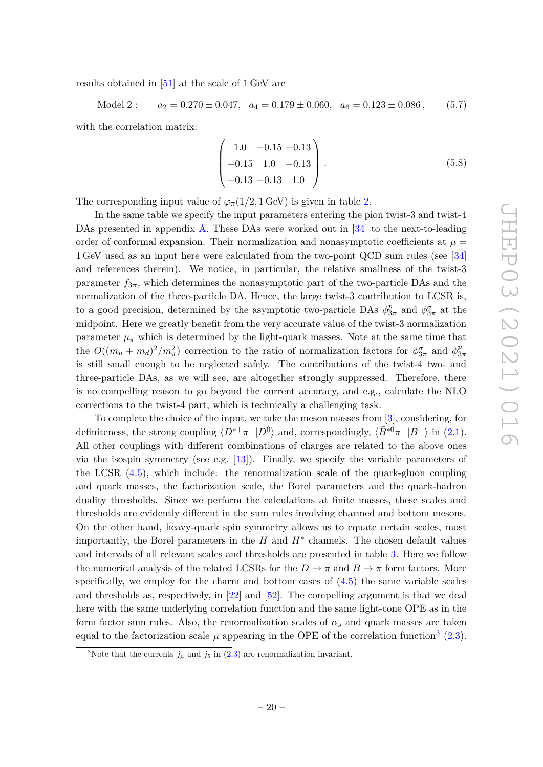results obtained in [\[51\]](#page-40-0) at the scale of 1 GeV are

Model 2: 
$$
a_2 = 0.270 \pm 0.047
$$
,  $a_4 = 0.179 \pm 0.060$ ,  $a_6 = 0.123 \pm 0.086$ , (5.7)

with the correlation matrix:

$$
\begin{pmatrix} 1.0 & -0.15 & -0.13 \\ -0.15 & 1.0 & -0.13 \\ -0.13 & -0.13 & 1.0 \end{pmatrix}.
$$
 (5.8)

The corresponding input value of  $\varphi_{\pi}(1/2, 1 \text{ GeV})$  is given in table [2.](#page-19-0)

In the same table we specify the input parameters entering the pion twist-3 and twist-4 DAs presented in appendix [A.](#page-31-0) These DAs were worked out in [\[34\]](#page-39-5) to the next-to-leading order of conformal expansion. Their normalization and nonasymptotic coefficients at  $\mu =$ 1 GeV used as an input here were calculated from the two-point QCD sum rules (see [\[34\]](#page-39-5) and references therein). We notice, in particular, the relative smallness of the twist-3 parameter  $f_{3\pi}$ , which determines the nonasymptotic part of the two-particle DAs and the normalization of the three-particle DA. Hence, the large twist-3 contribution to LCSR is, to a good precision, determined by the asymptotic two-particle DAs  $\phi_3^p$  $\frac{p}{3\pi}$  and  $\phi_{3\pi}^{\sigma}$  at the midpoint. Here we greatly benefit from the very accurate value of the twist-3 normalization parameter  $\mu_{\pi}$  which is determined by the light-quark masses. Note at the same time that the  $O((m_u + m_d)^2/m_\pi^2)$  correction to the ratio of normalization factors for  $\phi_{3\pi}^{\sigma}$  and  $\phi_{3\pi}^{\rho}$ 3*π* is still small enough to be neglected safely. The contributions of the twist-4 two- and three-particle DAs, as we will see, are altogether strongly suppressed. Therefore, there is no compelling reason to go beyond the current accuracy, and e.g., calculate the NLO corrections to the twist-4 part, which is technically a challenging task.

To complete the choice of the input, we take the meson masses from [\[3\]](#page-37-1), considering, for definiteness, the strong coupling  $\langle D^{*+}\pi^{-}|D^{0}\rangle$  and, correspondingly,  $\langle \bar{B}^{*0}\pi^{-}|B^{-}\rangle$  in [\(2.1\)](#page-4-1). All other couplings with different combinations of charges are related to the above ones via the isospin symmetry (see e.g.  $[13]$ ). Finally, we specify the variable parameters of the LCSR [\(4.5\)](#page-14-0), which include: the renormalization scale of the quark-gluon coupling and quark masses, the factorization scale, the Borel parameters and the quark-hadron duality thresholds. Since we perform the calculations at finite masses, these scales and thresholds are evidently different in the sum rules involving charmed and bottom mesons. On the other hand, heavy-quark spin symmetry allows us to equate certain scales, most importantly, the Borel parameters in the  $H$  and  $H^*$  channels. The chosen default values and intervals of all relevant scales and thresholds are presented in table [3.](#page-21-0) Here we follow the numerical analysis of the related LCSRs for the  $D \to \pi$  and  $B \to \pi$  form factors. More specifically, we employ for the charm and bottom cases of  $(4.5)$  the same variable scales and thresholds as, respectively, in [\[22\]](#page-38-6) and [\[52\]](#page-40-3). The compelling argument is that we deal here with the same underlying correlation function and the same light-cone OPE as in the form factor sum rules. Also, the renormalization scales of  $\alpha_s$  and quark masses are taken equal to the factorization scale  $\mu$  appearing in the OPE of the correlation function<sup>[3](#page-20-0)</sup> [\(2.3\)](#page-4-2).

<span id="page-20-0"></span><sup>&</sup>lt;sup>3</sup>Note that the currents  $j_{\mu}$  and  $j_{5}$  in [\(2.3\)](#page-4-2) are renormalization invariant.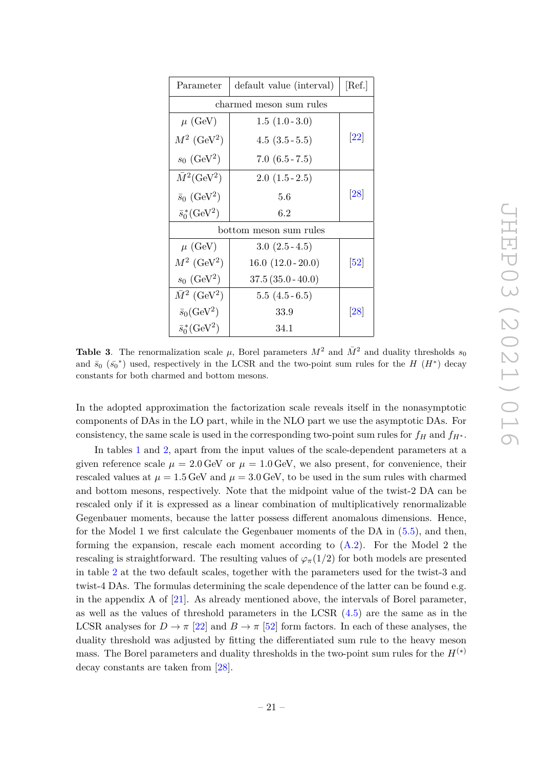| Parameter                            | [Ref.]               |                              |  |  |  |
|--------------------------------------|----------------------|------------------------------|--|--|--|
| charmed meson sum rules              |                      |                              |  |  |  |
| $\mu$ (GeV)                          | $1.5(1.0-3.0)$       |                              |  |  |  |
| $M^2$ (GeV <sup>2</sup> )            | $4.5(3.5-5.5)$       | $\left[ 22\right]$           |  |  |  |
| $s_0$ (GeV <sup>2</sup> )            | $7.0(6.5 - 7.5)$     |                              |  |  |  |
| $M^2$ (GeV <sup>2</sup> )            | $2.0(1.5-2.5)$       |                              |  |  |  |
| $\bar{s}_0$ (GeV <sup>2</sup> )      | [28]                 |                              |  |  |  |
| $\bar{s}_0^*(\text{GeV}^2)$          | $6.2\,$              |                              |  |  |  |
| bottom meson sum rules               |                      |                              |  |  |  |
| $\mu$ (GeV)                          | $3.0(2.5-4.5)$       |                              |  |  |  |
| $M^2$ (GeV <sup>2</sup> )            | $16.0 (12.0 - 20.0)$ | $\left\lceil 52\right\rceil$ |  |  |  |
| $s_0$ (GeV <sup>2</sup> )            | $37.5(35.0 - 40.0)$  |                              |  |  |  |
| $\overline{M}^2$ (GeV <sup>2</sup> ) | $5.5(4.5-6.5)$       |                              |  |  |  |
| $\bar{s}_0$ (GeV <sup>2</sup> )      | 33.9                 | [28]                         |  |  |  |
| $\bar{s}_0^*(\text{GeV}^2)$          | 34.1                 |                              |  |  |  |

<span id="page-21-0"></span>**Table 3**. The renormalization scale  $\mu$ , Borel parameters  $M^2$  and  $\overline{M}^2$  and duality thresholds  $s_0$ and  $\bar{s}_0$  ( $\bar{s}_0^*$ ) used, respectively in the LCSR and the two-point sum rules for the *H* (*H*<sup>\*</sup>) decay constants for both charmed and bottom mesons.

In the adopted approximation the factorization scale reveals itself in the nonasymptotic components of DAs in the LO part, while in the NLO part we use the asymptotic DAs. For consistency, the same scale is used in the corresponding two-point sum rules for  $f_H$  and  $f_{H^*}$ .

In tables [1](#page-17-1) and [2,](#page-19-0) apart from the input values of the scale-dependent parameters at a given reference scale  $\mu = 2.0$  GeV or  $\mu = 1.0$  GeV, we also present, for convenience, their rescaled values at  $\mu = 1.5$  GeV and  $\mu = 3.0$  GeV, to be used in the sum rules with charmed and bottom mesons, respectively. Note that the midpoint value of the twist-2 DA can be rescaled only if it is expressed as a linear combination of multiplicatively renormalizable Gegenbauer moments, because the latter possess different anomalous dimensions. Hence, for the Model 1 we first calculate the Gegenbauer moments of the DA in [\(5.5\)](#page-18-1), and then, forming the expansion, rescale each moment according to  $(A.2)$ . For the Model 2 the rescaling is straightforward. The resulting values of  $\varphi_{\pi}(1/2)$  for both models are presented in table [2](#page-19-0) at the two default scales, together with the parameters used for the twist-3 and twist-4 DAs. The formulas determining the scale dependence of the latter can be found e.g. in the appendix A of [\[21\]](#page-38-13). As already mentioned above, the intervals of Borel parameter, as well as the values of threshold parameters in the LCSR [\(4.5\)](#page-14-0) are the same as in the LCSR analyses for  $D \to \pi$  [\[22\]](#page-38-6) and  $B \to \pi$  [\[52\]](#page-40-3) form factors. In each of these analyses, the duality threshold was adjusted by fitting the differentiated sum rule to the heavy meson mass. The Borel parameters and duality thresholds in the two-point sum rules for the  $H^{(*)}$ decay constants are taken from [\[28\]](#page-38-12).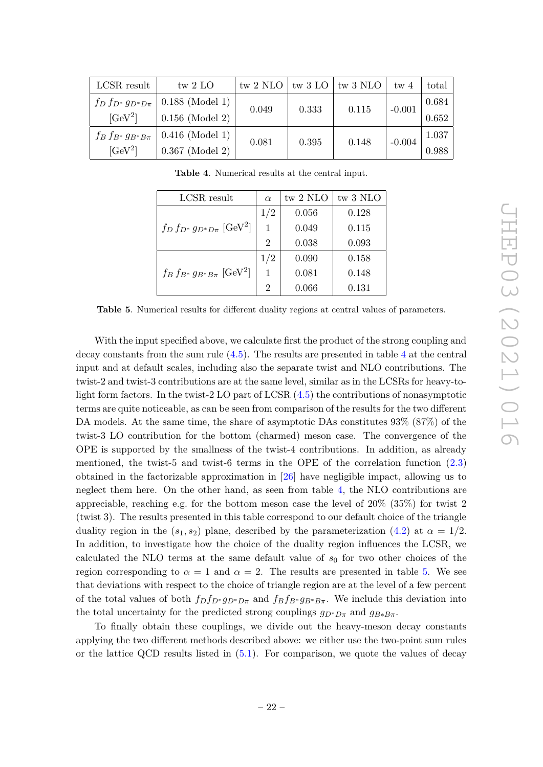| LCSR result               | tw $2$ LO                                   |       |       | tw 2 NLO $\vert$ tw 3 LO $\vert$ tw 3 NLO $\vert$ | tw <sub>4</sub> | total |
|---------------------------|---------------------------------------------|-------|-------|---------------------------------------------------|-----------------|-------|
|                           | $f_D f_{D^*} g_{D^*D\pi}$   0.188 (Model 1) | 0.049 | 0.333 | 0.115                                             | $-0.001$        | 0.684 |
| $[GeV^2]$                 | $0.156$ (Model 2)                           |       |       |                                                   |                 | 0.652 |
| $f_B f_{B^*} g_{B^*B\pi}$ | $0.416$ (Model 1)                           | 0.081 | 0.395 | 0.148                                             | $-0.004$        | 1.037 |
| $[GeV^2]$                 | $0.367$ (Model 2)                           |       |       |                                                   |                 | 0.988 |

<span id="page-22-0"></span>**Table 4**. Numerical results at the central input.

| LCSR result                                   | $\alpha$       | tw 2 NLO | tw 3 NLO |
|-----------------------------------------------|----------------|----------|----------|
|                                               | 1/2            | 0.056    | 0.128    |
| $f_D f_{D^*} g_{D^*D\pi}$ [GeV <sup>2</sup> ] | 1              | 0.049    | 0.115    |
|                                               | $\overline{2}$ | 0.038    | 0.093    |
|                                               | 1/2            | 0.090    | 0.158    |
| $f_B f_{B^*} g_{B^*B\pi}$ [GeV <sup>2</sup> ] | 1              | 0.081    | 0.148    |
|                                               | $\overline{2}$ | 0.066    | 0.131    |

<span id="page-22-1"></span>**Table 5**. Numerical results for different duality regions at central values of parameters.

With the input specified above, we calculate first the product of the strong coupling and decay constants from the sum rule  $(4.5)$ . The results are presented in table [4](#page-22-0) at the central input and at default scales, including also the separate twist and NLO contributions. The twist-2 and twist-3 contributions are at the same level, similar as in the LCSRs for heavy-tolight form factors. In the twist-2 LO part of LCSR [\(4.5\)](#page-14-0) the contributions of nonasymptotic terms are quite noticeable, as can be seen from comparison of the results for the two different DA models. At the same time, the share of asymptotic DAs constitutes 93% (87%) of the twist-3 LO contribution for the bottom (charmed) meson case. The convergence of the OPE is supported by the smallness of the twist-4 contributions. In addition, as already mentioned, the twist-5 and twist-6 terms in the OPE of the correlation function [\(2.3\)](#page-4-2) obtained in the factorizable approximation in [\[26\]](#page-38-10) have negligible impact, allowing us to neglect them here. On the other hand, as seen from table [4,](#page-22-0) the NLO contributions are appreciable, reaching e.g. for the bottom meson case the level of 20% (35%) for twist 2 (twist 3). The results presented in this table correspond to our default choice of the triangle duality region in the  $(s_1, s_2)$  plane, described by the parameterization  $(4.2)$  at  $\alpha = 1/2$ . In addition, to investigate how the choice of the duality region influences the LCSR, we calculated the NLO terms at the same default value of  $s_0$  for two other choices of the region corresponding to  $\alpha = 1$  and  $\alpha = 2$ . The results are presented in table [5.](#page-22-1) We see that deviations with respect to the choice of triangle region are at the level of a few percent of the total values of both  $f_D f_{D^*} g_{D^*D\pi}$  and  $f_B f_{B^*} g_{B^*B\pi}$ . We include this deviation into the total uncertainty for the predicted strong couplings  $g_{D^*D\pi}$  and  $g_{B*B\pi}$ .

To finally obtain these couplings, we divide out the heavy-meson decay constants applying the two different methods described above: we either use the two-point sum rules or the lattice QCD results listed in [\(5.1\)](#page-17-2). For comparison, we quote the values of decay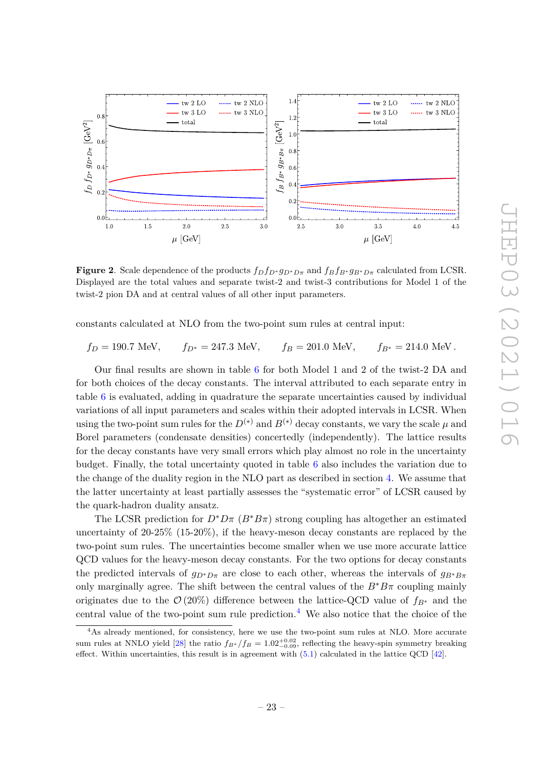

**Figure 2**. Scale dependence of the products  $f_D f_{D^*} g_{D^* D \pi}$  and  $f_B f_{B^*} g_{B^* D \pi}$  calculated from LCSR. Displayed are the total values and separate twist-2 and twist-3 contributions for Model 1 of the twist-2 pion DA and at central values of all other input parameters.

constants calculated at NLO from the two-point sum rules at central input:

$$
f_D = 190.7
$$
 MeV,  $f_{D^*} = 247.3$  MeV,  $f_B = 201.0$  MeV,  $f_{B^*} = 214.0$  MeV.

Our final results are shown in table [6](#page-24-0) for both Model 1 and 2 of the twist-2 DA and for both choices of the decay constants. The interval attributed to each separate entry in table [6](#page-24-0) is evaluated, adding in quadrature the separate uncertainties caused by individual variations of all input parameters and scales within their adopted intervals in LCSR. When using the two-point sum rules for the  $D^{(*)}$  and  $B^{(*)}$  decay constants, we vary the scale  $\mu$  and Borel parameters (condensate densities) concertedly (independently). The lattice results for the decay constants have very small errors which play almost no role in the uncertainty budget. Finally, the total uncertainty quoted in table [6](#page-24-0) also includes the variation due to the change of the duality region in the NLO part as described in section [4.](#page-12-0) We assume that the latter uncertainty at least partially assesses the "systematic error" of LCSR caused by the quark-hadron duality ansatz.

The LCSR prediction for  $D^*D\pi$  ( $B^*B\pi$ ) strong coupling has altogether an estimated uncertainty of 20-25% (15-20%), if the heavy-meson decay constants are replaced by the two-point sum rules. The uncertainties become smaller when we use more accurate lattice QCD values for the heavy-meson decay constants. For the two options for decay constants the predicted intervals of  $g_{D^*D\pi}$  are close to each other, whereas the intervals of  $g_{B^*B\pi}$ only marginally agree. The shift between the central values of the  $B^*B\pi$  coupling mainly originates due to the  $\mathcal{O}(20\%)$  difference between the lattice-QCD value of  $f_{B^*}$  and the central value of the two-point sum rule prediction.<sup>[4](#page-23-0)</sup> We also notice that the choice of the

<span id="page-23-0"></span><sup>&</sup>lt;sup>4</sup>As already mentioned, for consistency, here we use the two-point sum rules at NLO. More accurate sum rules at NNLO yield [\[28\]](#page-38-12) the ratio  $f_{B*}$  */f<sub>B</sub>* = 1.02<sup>+0.02</sup>, reflecting the heavy-spin symmetry breaking effect. Within uncertainties, this result is in agreement with  $(5.1)$  calculated in the lattice QCD [\[42\]](#page-39-14).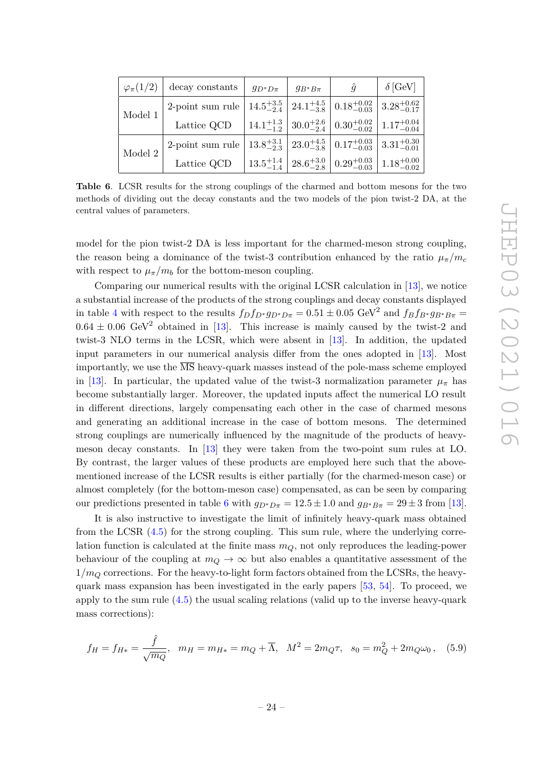| $\varphi_{\pi}(1/2)$ | decay constants                                                                                                                  | $g_{D^*D\pi}$ | $g_{B^*B\pi}$ | $\hat{g}$                                                                                                       | $\delta$ [GeV] |
|----------------------|----------------------------------------------------------------------------------------------------------------------------------|---------------|---------------|-----------------------------------------------------------------------------------------------------------------|----------------|
| Model 1              | 2-point sum rule $ 14.5_{-2.4}^{+3.5} $ $ 24.1_{-3.8}^{+4.5} $ $ 0.18_{-0.03}^{+0.02} $ $ 3.28_{-0.17}^{+0.62} $                 |               |               |                                                                                                                 |                |
|                      | Lattice QCD $\left  14.1_{-1.2}^{+1.3} \right  30.0_{-2.4}^{+2.6} \left  0.30_{-0.02}^{+0.02} \right  1.17_{-0.04}^{+0.04}$      |               |               |                                                                                                                 |                |
| Model $2$            | 2-point sum rule $\left  13.8^{+3.1}_{-2.3} \right  23.0^{+4.5}_{-3.8} \left  0.17^{+0.03}_{-0.03} \right  3.31^{+0.30}_{-0.01}$ |               |               |                                                                                                                 |                |
|                      | Lattice QCD                                                                                                                      |               |               | $\left  13.5_{-1.4}^{+1.4} \right  28.6_{-2.8}^{+3.0} \left  0.29_{-0.03}^{+0.03} \right  1.18_{-0.02}^{+0.00}$ |                |

<span id="page-24-0"></span>**Table 6**. LCSR results for the strong couplings of the charmed and bottom mesons for the two methods of dividing out the decay constants and the two models of the pion twist-2 DA, at the central values of parameters.

model for the pion twist-2 DA is less important for the charmed-meson strong coupling, the reason being a dominance of the twist-3 contribution enhanced by the ratio  $\mu_{\pi}/m_c$ with respect to  $\mu_{\pi}/m_b$  for the bottom-meson coupling.

Comparing our numerical results with the original LCSR calculation in [\[13\]](#page-38-1), we notice a substantial increase of the products of the strong couplings and decay constants displayed in table [4](#page-22-0) with respect to the results  $f_D f_{D^*} g_{D^*D\pi} = 0.51 \pm 0.05 \text{ GeV}^2$  and  $f_B f_{B^*} g_{B^*B\pi} =$  $0.64 \pm 0.06$  GeV<sup>2</sup> obtained in [\[13\]](#page-38-1). This increase is mainly caused by the twist-2 and twist-3 NLO terms in the LCSR, which were absent in [\[13\]](#page-38-1). In addition, the updated input parameters in our numerical analysis differ from the ones adopted in [\[13\]](#page-38-1). Most importantly, we use the  $\overline{\text{MS}}$  heavy-quark masses instead of the pole-mass scheme employed in [\[13\]](#page-38-1). In particular, the updated value of the twist-3 normalization parameter  $\mu_{\pi}$  has become substantially larger. Moreover, the updated inputs affect the numerical LO result in different directions, largely compensating each other in the case of charmed mesons and generating an additional increase in the case of bottom mesons. The determined strong couplings are numerically influenced by the magnitude of the products of heavymeson decay constants. In [\[13\]](#page-38-1) they were taken from the two-point sum rules at LO. By contrast, the larger values of these products are employed here such that the abovementioned increase of the LCSR results is either partially (for the charmed-meson case) or almost completely (for the bottom-meson case) compensated, as can be seen by comparing our predictions presented in table [6](#page-24-0) with  $g_{D^*D\pi} = 12.5 \pm 1.0$  and  $g_{B^*B\pi} = 29 \pm 3$  from [\[13\]](#page-38-1).

It is also instructive to investigate the limit of infinitely heavy-quark mass obtained from the LCSR [\(4.5\)](#page-14-0) for the strong coupling. This sum rule, where the underlying correlation function is calculated at the finite mass *mQ*, not only reproduces the leading-power behaviour of the coupling at  $m_Q \to \infty$  but also enables a quantitative assessment of the  $1/m<sub>O</sub>$  corrections. For the heavy-to-light form factors obtained from the LCSRs, the heavyquark mass expansion has been investigated in the early papers [\[53,](#page-40-4) [54\]](#page-40-5). To proceed, we apply to the sum rule [\(4.5\)](#page-14-0) the usual scaling relations (valid up to the inverse heavy-quark mass corrections):

$$
f_H = f_{H*} = \frac{\hat{f}}{\sqrt{m_Q}}, \quad m_H = m_{H*} = m_Q + \overline{\Lambda}, \quad M^2 = 2m_Q \tau, \quad s_0 = m_Q^2 + 2m_Q \omega_0, \quad (5.9)
$$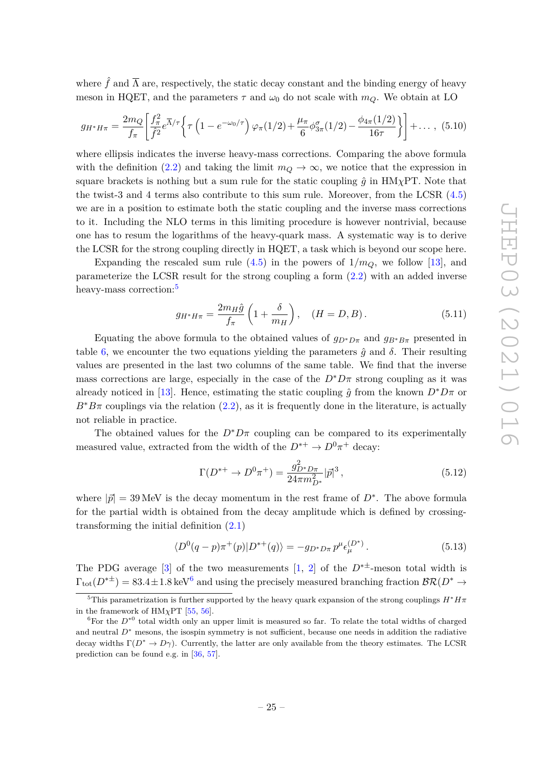where  $\hat{f}$  and  $\overline{\Lambda}$  are, respectively, the static decay constant and the binding energy of heavy meson in HQET, and the parameters  $\tau$  and  $\omega_0$  do not scale with  $m_Q$ . We obtain at LO

$$
g_{H^*H\pi} = \frac{2m_Q}{f_\pi} \left[ \frac{f_\pi^2}{\hat{f}^2} e^{\overline{\Lambda}/\tau} \left\{ \tau \left( 1 - e^{-\omega_0/\tau} \right) \varphi_\pi(1/2) + \frac{\mu_\pi}{6} \phi_{3\pi}^\sigma(1/2) - \frac{\phi_{4\pi}(1/2)}{16\tau} \right\} \right] + \dots , \tag{5.10}
$$

where ellipsis indicates the inverse heavy-mass corrections. Comparing the above formula with the definition [\(2.2\)](#page-4-5) and taking the limit  $m_Q \to \infty$ , we notice that the expression in square brackets is nothing but a sum rule for the static coupling  $\hat{q}$  in HM<sub>*X*</sub>PT. Note that the twist-3 and 4 terms also contribute to this sum rule. Moreover, from the LCSR [\(4.5\)](#page-14-0) we are in a position to estimate both the static coupling and the inverse mass corrections to it. Including the NLO terms in this limiting procedure is however nontrivial, because one has to resum the logarithms of the heavy-quark mass. A systematic way is to derive the LCSR for the strong coupling directly in HQET, a task which is beyond our scope here.

Expanding the rescaled sum rule  $(4.5)$  in the powers of  $1/m_Q$ , we follow [\[13\]](#page-38-1), and parameterize the LCSR result for the strong coupling a form [\(2.2\)](#page-4-5) with an added inverse heavy-mass correction:<sup>[5](#page-25-0)</sup>

<span id="page-25-3"></span>
$$
g_{H^*H\pi} = \frac{2m_H\hat{g}}{f_{\pi}} \left( 1 + \frac{\delta}{m_H} \right), \quad (H = D, B). \tag{5.11}
$$

Equating the above formula to the obtained values of  $g_{D^*D\pi}$  and  $g_{B^*B\pi}$  presented in table [6,](#page-24-0) we encounter the two equations yielding the parameters  $\hat{g}$  and  $\delta$ . Their resulting values are presented in the last two columns of the same table. We find that the inverse mass corrections are large, especially in the case of the  $D^*D\pi$  strong coupling as it was already noticed in [\[13\]](#page-38-1). Hence, estimating the static coupling  $\hat{g}$  from the known  $D^*D\pi$  or  $B^*B\pi$  couplings via the relation [\(2.2\)](#page-4-5), as it is frequently done in the literature, is actually not reliable in practice.

The obtained values for the  $D^*D\pi$  coupling can be compared to its experimentally measured value, extracted from the width of the  $D^{*+} \to D^0 \pi^+$  decay:

$$
\Gamma(D^{*+} \to D^0 \pi^+) = \frac{g_{D^* D \pi}^2}{24 \pi m_{D^*}^2} |\vec{p}|^3, \qquad (5.12)
$$

where  $|\vec{p}| = 39 \text{ MeV}$  is the decay momentum in the rest frame of  $D^*$ . The above formula for the partial width is obtained from the decay amplitude which is defined by crossingtransforming the initial definition [\(2.1\)](#page-4-1)

<span id="page-25-2"></span>
$$
\langle D^{0}(q-p)\pi^{+}(p)|D^{*+}(q)\rangle = -g_{D^{*}D\pi}p^{\mu}\epsilon_{\mu}^{(D^{*})}.
$$
\n(5.13)

The PDG average [\[3\]](#page-37-1) of the two measurements [\[1,](#page-37-0) [2\]](#page-37-5) of the  $D^{*\pm}$ -meson total width is  $\Gamma_{\text{tot}}(D^{*\pm}) = 83.4 \pm 1.8 \,\text{keV}^6$  $\Gamma_{\text{tot}}(D^{*\pm}) = 83.4 \pm 1.8 \,\text{keV}^6$  and using the precisely measured branching fraction  $\mathcal{BR}(D^* \to \mathbb{R})$ 

<span id="page-25-0"></span><sup>&</sup>lt;sup>5</sup>This parametrization is further supported by the heavy quark expansion of the strong couplings  $H^*H\pi$ in the framework of  $HM_{\chi}PT$  [\[55,](#page-40-6) [56\]](#page-40-7).

<span id="page-25-1"></span> ${}^6$ For the  $D^*{}^0$  total width only an upper limit is measured so far. To relate the total widths of charged and neutral  $D^*$  mesons, the isospin symmetry is not sufficient, because one needs in addition the radiative decay widths  $\Gamma(D^* \to D\gamma)$ . Currently, the latter are only available from the theory estimates. The LCSR prediction can be found e.g. in [\[36,](#page-39-7) [57\]](#page-40-8).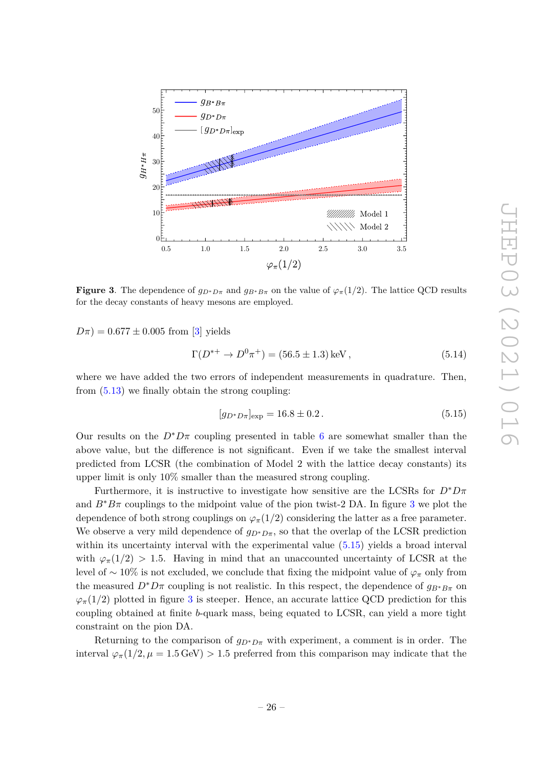

<span id="page-26-0"></span>**Figure 3**. The dependence of  $g_{D^*D\pi}$  and  $g_{B^*B\pi}$  on the value of  $\varphi_\pi(1/2)$ . The lattice QCD results for the decay constants of heavy mesons are employed.

 $D\pi$ ) = 0.677  $\pm$  0.005 from [\[3\]](#page-37-1) yields

$$
\Gamma(D^{*+} \to D^0 \pi^+) = (56.5 \pm 1.3) \,\text{keV} \,,\tag{5.14}
$$

where we have added the two errors of independent measurements in quadrature. Then, from [\(5.13\)](#page-25-2) we finally obtain the strong coupling:

<span id="page-26-1"></span>
$$
[g_{D^*D\pi}]_{\text{exp}} = 16.8 \pm 0.2. \tag{5.15}
$$

Our results on the  $D^*D\pi$  coupling presented in table [6](#page-24-0) are somewhat smaller than the above value, but the difference is not significant. Even if we take the smallest interval predicted from LCSR (the combination of Model 2 with the lattice decay constants) its upper limit is only 10% smaller than the measured strong coupling.

Furthermore, it is instructive to investigate how sensitive are the LCSRs for  $D^*D\pi$ and  $B^*B\pi$  couplings to the midpoint value of the pion twist-2 DA. In figure [3](#page-26-0) we plot the dependence of both strong couplings on  $\varphi_{\pi}(1/2)$  considering the latter as a free parameter. We observe a very mild dependence of  $g_{D^*D\pi}$ , so that the overlap of the LCSR prediction within its uncertainty interval with the experimental value  $(5.15)$  yields a broad interval with  $\varphi_{\pi}(1/2) > 1.5$ . Having in mind that an unaccounted uncertainty of LCSR at the level of ∼ 10% is not excluded, we conclude that fixing the midpoint value of *ϕ<sup>π</sup>* only from the measured  $D^*D\pi$  coupling is not realistic. In this respect, the dependence of  $g_{B^*B\pi}$  on  $\varphi_{\pi}(1/2)$  plotted in figure [3](#page-26-0) is steeper. Hence, an accurate lattice QCD prediction for this coupling obtained at finite *b*-quark mass, being equated to LCSR, can yield a more tight constraint on the pion DA.

Returning to the comparison of  $g_{D^*D\pi}$  with experiment, a comment is in order. The interval  $\varphi_{\pi}(1/2, \mu = 1.5 \text{ GeV}) > 1.5$  preferred from this comparison may indicate that the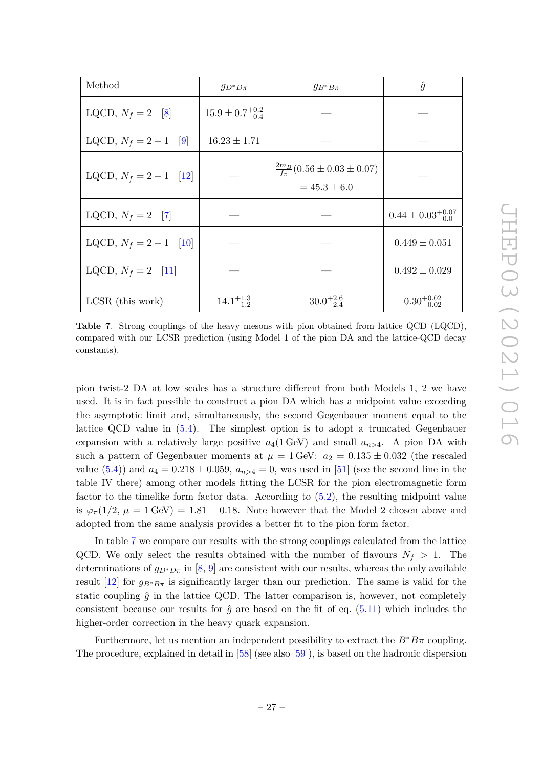| Method                   | $g_{D^*D\pi}$                | $g_{B^*B\pi}$                                                      | $\hat{g}$                      |
|--------------------------|------------------------------|--------------------------------------------------------------------|--------------------------------|
| LQCD, $N_f = 2$ [8]      | $15.9 \pm 0.7^{+0.2}_{-0.4}$ |                                                                    |                                |
| LQCD, $N_f = 2 + 1$ [9]  | $16.23 \pm 1.71$             |                                                                    |                                |
| LQCD, $N_f = 2 + 1$ [12] |                              | $\frac{2m_B}{f_{\pi}}(0.56 \pm 0.03 \pm 0.07)$<br>$= 45.3 \pm 6.0$ |                                |
| LQCD, $N_f = 2$ [7]      |                              |                                                                    | $0.44 \pm 0.03_{-0.0}^{+0.07}$ |
| LQCD, $N_f = 2 + 1$ [10] |                              |                                                                    | $0.449 \pm 0.051$              |
| LQCD, $N_f = 2$ [11]     |                              |                                                                    | $0.492 \pm 0.029$              |
| $LCSR$ (this work)       | $14.1^{+1.3}_{-1.2}$         | $30.0^{+2.6}_{-2.4}$                                               | $0.30_{-0.02}^{+0.02}$         |

<span id="page-27-0"></span>**Table 7**. Strong couplings of the heavy mesons with pion obtained from lattice QCD (LQCD), compared with our LCSR prediction (using Model 1 of the pion DA and the lattice-QCD decay constants).

pion twist-2 DA at low scales has a structure different from both Models 1, 2 we have used. It is in fact possible to construct a pion DA which has a midpoint value exceeding the asymptotic limit and, simultaneously, the second Gegenbauer moment equal to the lattice QCD value in [\(5.4\)](#page-18-0). The simplest option is to adopt a truncated Gegenbauer expansion with a relatively large positive  $a_4(1 \text{ GeV})$  and small  $a_{n>4}$ . A pion DA with such a pattern of Gegenbauer moments at  $\mu = 1$  GeV:  $a_2 = 0.135 \pm 0.032$  (the rescaled value [\(5.4\)](#page-18-0)) and  $a_4 = 0.218 \pm 0.059$ ,  $a_{n>4} = 0$ , was used in [\[51\]](#page-40-0) (see the second line in the table IV there) among other models fitting the LCSR for the pion electromagnetic form factor to the timelike form factor data. According to [\(5.2\)](#page-18-2), the resulting midpoint value is  $\varphi_{\pi}(1/2, \mu = 1 \text{ GeV}) = 1.81 \pm 0.18$ . Note however that the Model 2 chosen above and adopted from the same analysis provides a better fit to the pion form factor.

In table [7](#page-27-0) we compare our results with the strong couplings calculated from the lattice QCD. We only select the results obtained with the number of flavours  $N_f > 1$ . The determinations of  $g_{D^*D\pi}$  in [\[8,](#page-37-6) [9\]](#page-37-7) are consistent with our results, whereas the only available result  $[12]$  for  $g_{B^*B\pi}$  is significantly larger than our prediction. The same is valid for the static coupling  $\hat{g}$  in the lattice QCD. The latter comparison is, however, not completely consistent because our results for  $\hat{g}$  are based on the fit of eq. [\(5.11\)](#page-25-3) which includes the higher-order correction in the heavy quark expansion.

Furthermore, let us mention an independent possibility to extract the  $B^*B\pi$  coupling. The procedure, explained in detail in [\[58\]](#page-40-9) (see also [\[59\]](#page-40-10)), is based on the hadronic dispersion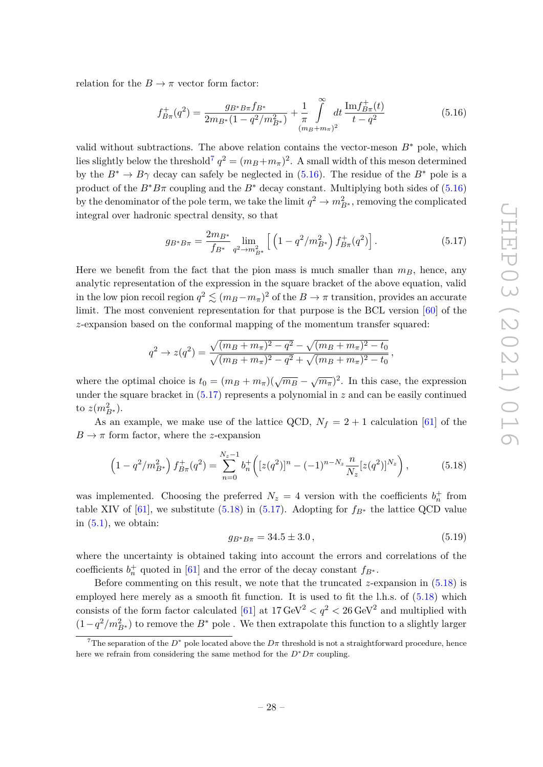relation for the  $B \to \pi$  vector form factor:

<span id="page-28-1"></span>
$$
f_{B\pi}^+(q^2) = \frac{g_{B^*B\pi}f_{B^*}}{2m_{B^*}(1-q^2/m_{B^*}^2)} + \frac{1}{\pi} \int_{(m_B+m_\pi)^2}^{\infty} dt \frac{\text{Im}f_{B\pi}^+(t)}{t-q^2}
$$
(5.16)

valid without subtractions. The above relation contains the vector-meson  $B^*$  pole, which lies slightly below the threshold<sup>[7](#page-28-0)</sup>  $q^2 = (m_B + m_\pi)^2$ . A small width of this meson determined by the  $B^* \to B\gamma$  decay can safely be neglected in [\(5.16\)](#page-28-1). The residue of the  $B^*$  pole is a product of the  $B^*B\pi$  coupling and the  $B^*$  decay constant. Multiplying both sides of [\(5.16\)](#page-28-1) by the denominator of the pole term, we take the limit  $q^2 \to m_{B^*}^2$ , removing the complicated integral over hadronic spectral density, so that

<span id="page-28-2"></span>
$$
g_{B^*B\pi} = \frac{2m_{B^*}}{f_{B^*}} \lim_{q^2 \to m_{B^*}^2} \left[ \left( 1 - q^2 / m_{B^*}^2 \right) f_{B\pi}^+(q^2) \right]. \tag{5.17}
$$

Here we benefit from the fact that the pion mass is much smaller than  $m_B$ , hence, any analytic representation of the expression in the square bracket of the above equation, valid in the low pion recoil region  $q^2 \lesssim (m_B - m_\pi)^2$  of the  $B \to \pi$  transition, provides an accurate limit. The most convenient representation for that purpose is the BCL version [\[60\]](#page-40-11) of the *z*-expansion based on the conformal mapping of the momentum transfer squared:

$$
q^{2} \rightarrow z(q^{2}) = \frac{\sqrt{(m_{B} + m_{\pi})^{2} - q^{2}} - \sqrt{(m_{B} + m_{\pi})^{2} - t_{0}}}{\sqrt{(m_{B} + m_{\pi})^{2} - q^{2}} + \sqrt{(m_{B} + m_{\pi})^{2} - t_{0}}},
$$

where the optimal choice is  $t_0 = (m_B + m_\pi)(\sqrt{m_B} - \sqrt{m_\pi})^2$ . In this case, the expression under the square bracket in [\(5.17\)](#page-28-2) represents a polynomial in *z* and can be easily continued to  $z(m_{B^*}^2)$ .

As an example, we make use of the lattice QCD,  $N_f = 2 + 1$  calculation [\[61\]](#page-40-12) of the  $B \to \pi$  form factor, where the *z*-expansion

<span id="page-28-3"></span>
$$
\left(1 - q^2/m_{B^*}^2\right) f_{B\pi}^+(q^2) = \sum_{n=0}^{N_z - 1} b_n^+ \left( [z(q^2)]^n - (-1)^{n - N_z} \frac{n}{N_z} [z(q^2)]^{N_z} \right),\tag{5.18}
$$

was implemented. Choosing the preferred  $N_z = 4$  version with the coefficients  $b_n^+$  from table XIV of [\[61\]](#page-40-12), we substitute [\(5.18\)](#page-28-3) in [\(5.17\)](#page-28-2). Adopting for  $f_{B^*}$  the lattice QCD value in  $(5.1)$ , we obtain:

<span id="page-28-4"></span>
$$
g_{B^*B\pi} = 34.5 \pm 3.0\,,\tag{5.19}
$$

where the uncertainty is obtained taking into account the errors and correlations of the coefficients  $b_n^+$  quoted in [\[61\]](#page-40-12) and the error of the decay constant  $f_{B^*}$ .

Before commenting on this result, we note that the truncated  $z$ -expansion in  $(5.18)$  is employed here merely as a smooth fit function. It is used to fit the l.h.s. of [\(5.18\)](#page-28-3) which consists of the form factor calculated  $[61]$  at  $17 \,\text{GeV}^2 < q^2 < 26 \,\text{GeV}^2$  and multiplied with  $(1-q^2/m_{B^*}^2)$  to remove the  $B^*$  pole . We then extrapolate this function to a slightly larger

<span id="page-28-0"></span><sup>&</sup>lt;sup>7</sup>The separation of the  $D^*$  pole located above the  $D\pi$  threshold is not a straightforward procedure, hence here we refrain from considering the same method for the  $D^*D\pi$  coupling.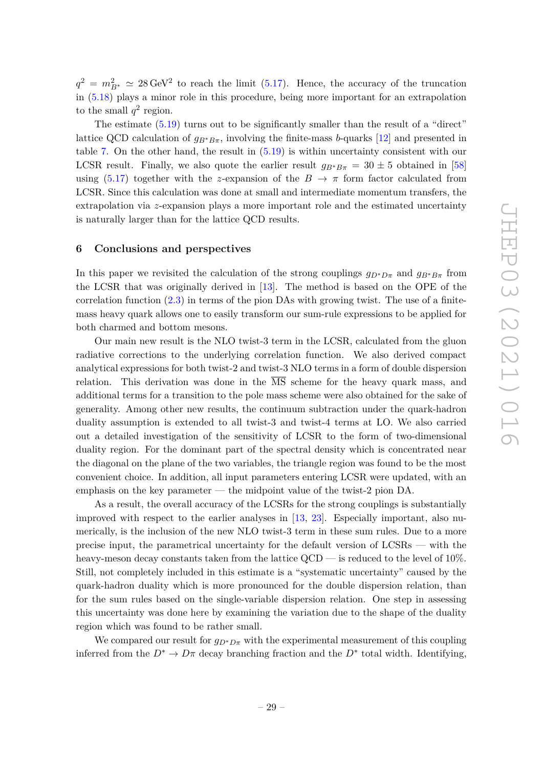$q^2 = m_{B^*}^2 \simeq 28 \,\text{GeV}^2$  to reach the limit [\(5.17\)](#page-28-2). Hence, the accuracy of the truncation in [\(5.18\)](#page-28-3) plays a minor role in this procedure, being more important for an extrapolation to the small  $q^2$  region.

The estimate  $(5.19)$  turns out to be significantly smaller than the result of a "direct" lattice QCD calculation of  $g_{B^*B\pi}$ , involving the finite-mass *b*-quarks [\[12\]](#page-38-0) and presented in table [7.](#page-27-0) On the other hand, the result in [\(5.19\)](#page-28-4) is within uncertainty consistent with our LCSR result. Finally, we also quote the earlier result  $g_{B^*B\pi} = 30 \pm 5$  obtained in [\[58\]](#page-40-9) using [\(5.17\)](#page-28-2) together with the *z*-expansion of the  $B \to \pi$  form factor calculated from LCSR. Since this calculation was done at small and intermediate momentum transfers, the extrapolation via *z*-expansion plays a more important role and the estimated uncertainty is naturally larger than for the lattice QCD results.

#### <span id="page-29-0"></span>**6 Conclusions and perspectives**

In this paper we revisited the calculation of the strong couplings  $g_{D^*D\pi}$  and  $g_{B^*B\pi}$  from the LCSR that was originally derived in [\[13\]](#page-38-1). The method is based on the OPE of the correlation function  $(2.3)$  in terms of the pion DAs with growing twist. The use of a finitemass heavy quark allows one to easily transform our sum-rule expressions to be applied for both charmed and bottom mesons.

Our main new result is the NLO twist-3 term in the LCSR, calculated from the gluon radiative corrections to the underlying correlation function. We also derived compact analytical expressions for both twist-2 and twist-3 NLO terms in a form of double dispersion relation. This derivation was done in the  $\overline{\text{MS}}$  scheme for the heavy quark mass, and additional terms for a transition to the pole mass scheme were also obtained for the sake of generality. Among other new results, the continuum subtraction under the quark-hadron duality assumption is extended to all twist-3 and twist-4 terms at LO. We also carried out a detailed investigation of the sensitivity of LCSR to the form of two-dimensional duality region. For the dominant part of the spectral density which is concentrated near the diagonal on the plane of the two variables, the triangle region was found to be the most convenient choice. In addition, all input parameters entering LCSR were updated, with an emphasis on the key parameter — the midpoint value of the twist-2 pion DA.

As a result, the overall accuracy of the LCSRs for the strong couplings is substantially improved with respect to the earlier analyses in [\[13,](#page-38-1) [23\]](#page-38-7). Especially important, also numerically, is the inclusion of the new NLO twist-3 term in these sum rules. Due to a more precise input, the parametrical uncertainty for the default version of LCSRs — with the heavy-meson decay constants taken from the lattice  $QCD$  — is reduced to the level of 10%. Still, not completely included in this estimate is a "systematic uncertainty" caused by the quark-hadron duality which is more pronounced for the double dispersion relation, than for the sum rules based on the single-variable dispersion relation. One step in assessing this uncertainty was done here by examining the variation due to the shape of the duality region which was found to be rather small.

We compared our result for  $g_{D^*D\pi}$  with the experimental measurement of this coupling inferred from the  $D^* \to D\pi$  decay branching fraction and the  $D^*$  total width. Identifying,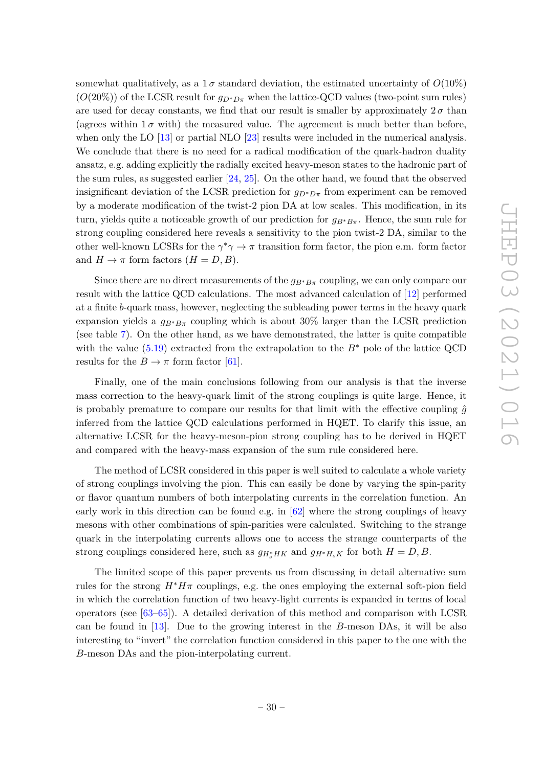somewhat qualitatively, as a  $1\sigma$  standard deviation, the estimated uncertainty of  $O(10\%)$  $(O(20\%))$  of the LCSR result for  $q_{D^*D\pi}$  when the lattice-QCD values (two-point sum rules) are used for decay constants, we find that our result is smaller by approximately  $2\sigma$  than (agrees within  $1\sigma$  with) the measured value. The agreement is much better than before, when only the LO [\[13\]](#page-38-1) or partial NLO [\[23\]](#page-38-7) results were included in the numerical analysis. We conclude that there is no need for a radical modification of the quark-hadron duality ansatz, e.g. adding explicitly the radially excited heavy-meson states to the hadronic part of the sum rules, as suggested earlier [\[24,](#page-38-8) [25\]](#page-38-9). On the other hand, we found that the observed insignificant deviation of the LCSR prediction for  $g_{D^*D\pi}$  from experiment can be removed by a moderate modification of the twist-2 pion DA at low scales. This modification, in its turn, yields quite a noticeable growth of our prediction for *gB*∗*Bπ*. Hence, the sum rule for strong coupling considered here reveals a sensitivity to the pion twist-2 DA, similar to the other well-known LCSRs for the  $\gamma^* \gamma \to \pi$  transition form factor, the pion e.m. form factor and  $H \to \pi$  form factors  $(H = D, B)$ .

Since there are no direct measurements of the  $g_{B^*B\pi}$  coupling, we can only compare our result with the lattice QCD calculations. The most advanced calculation of [\[12\]](#page-38-0) performed at a finite *b*-quark mass, however, neglecting the subleading power terms in the heavy quark expansion yields a  $g_{B^*B_{\pi}}$  coupling which is about 30% larger than the LCSR prediction (see table [7\)](#page-27-0). On the other hand, as we have demonstrated, the latter is quite compatible with the value [\(5.19\)](#page-28-4) extracted from the extrapolation to the *B*<sup>∗</sup> pole of the lattice QCD results for the  $B \to \pi$  form factor [\[61\]](#page-40-12).

Finally, one of the main conclusions following from our analysis is that the inverse mass correction to the heavy-quark limit of the strong couplings is quite large. Hence, it is probably premature to compare our results for that limit with the effective coupling  $\hat{q}$ inferred from the lattice QCD calculations performed in HQET. To clarify this issue, an alternative LCSR for the heavy-meson-pion strong coupling has to be derived in HQET and compared with the heavy-mass expansion of the sum rule considered here.

The method of LCSR considered in this paper is well suited to calculate a whole variety of strong couplings involving the pion. This can easily be done by varying the spin-parity or flavor quantum numbers of both interpolating currents in the correlation function. An early work in this direction can be found e.g. in  $[62]$  where the strong couplings of heavy mesons with other combinations of spin-parities were calculated. Switching to the strange quark in the interpolating currents allows one to access the strange counterparts of the strong couplings considered here, such as  $g_{H^*HK}$  and  $g_{H^*H_sK}$  for both  $H = D, B$ .

The limited scope of this paper prevents us from discussing in detail alternative sum rules for the strong  $H^*H\pi$  couplings, e.g. the ones employing the external soft-pion field in which the correlation function of two heavy-light currents is expanded in terms of local operators (see [\[63](#page-40-14)[–65\]](#page-40-15)). A detailed derivation of this method and comparison with LCSR can be found in [\[13\]](#page-38-1). Due to the growing interest in the *B*-meson DAs, it will be also interesting to "invert" the correlation function considered in this paper to the one with the *B*-meson DAs and the pion-interpolating current.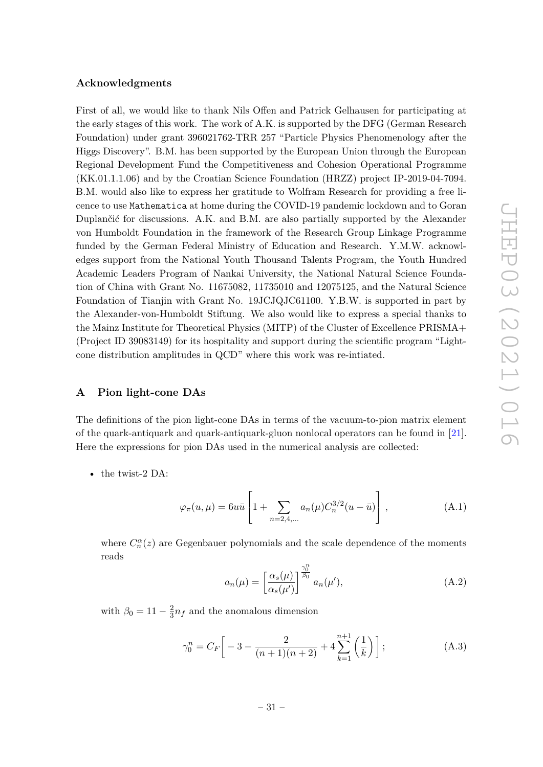# **Acknowledgments**

First of all, we would like to thank Nils Offen and Patrick Gelhausen for participating at the early stages of this work. The work of A.K. is supported by the DFG (German Research Foundation) under grant 396021762-TRR 257 "Particle Physics Phenomenology after the Higgs Discovery". B.M. has been supported by the European Union through the European Regional Development Fund the Competitiveness and Cohesion Operational Programme (KK.01.1.1.06) and by the Croatian Science Foundation (HRZZ) project IP-2019-04-7094. B.M. would also like to express her gratitude to Wolfram Research for providing a free licence to use Mathematica at home during the COVID-19 pandemic lockdown and to Goran Duplančić for discussions. A.K. and B.M. are also partially supported by the Alexander von Humboldt Foundation in the framework of the Research Group Linkage Programme funded by the German Federal Ministry of Education and Research. Y.M.W. acknowledges support from the National Youth Thousand Talents Program, the Youth Hundred Academic Leaders Program of Nankai University, the National Natural Science Foundation of China with Grant No. 11675082, 11735010 and 12075125, and the Natural Science Foundation of Tianjin with Grant No. 19JCJQJC61100. Y.B.W. is supported in part by the Alexander-von-Humboldt Stiftung. We also would like to express a special thanks to the Mainz Institute for Theoretical Physics (MITP) of the Cluster of Excellence PRISMA+ (Project ID 39083149) for its hospitality and support during the scientific program "Lightcone distribution amplitudes in QCD" where this work was re-intiated.

#### <span id="page-31-0"></span>**A Pion light-cone DAs**

The definitions of the pion light-cone DAs in terms of the vacuum-to-pion matrix element of the quark-antiquark and quark-antiquark-gluon nonlocal operators can be found in [\[21\]](#page-38-13). Here the expressions for pion DAs used in the numerical analysis are collected:

• the twist-2 DA:

<span id="page-31-1"></span>
$$
\varphi_{\pi}(u,\mu) = 6u\bar{u} \left[ 1 + \sum_{n=2,4,...} a_n(\mu) C_n^{3/2} (u - \bar{u}) \right], \qquad (A.1)
$$

where  $C_n^{\alpha}(z)$  are Gegenbauer polynomials and the scale dependence of the moments reads

<span id="page-31-2"></span>
$$
a_n(\mu) = \left[\frac{\alpha_s(\mu)}{\alpha_s(\mu')}\right]^{\frac{\gamma_0^n}{\beta_0}} a_n(\mu'), \tag{A.2}
$$

with  $\beta_0 = 11 - \frac{2}{3}$  $\frac{2}{3}n_f$  and the anomalous dimension

$$
\gamma_0^n = C_F \left[ -3 - \frac{2}{(n+1)(n+2)} + 4 \sum_{k=1}^{n+1} \left( \frac{1}{k} \right) \right];
$$
 (A.3)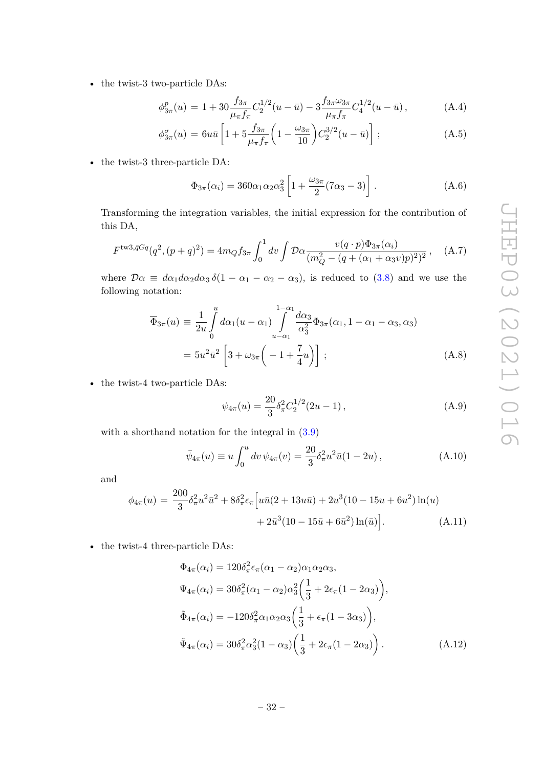• the twist-3 two-particle DAs:

<span id="page-32-0"></span>
$$
\phi_{3\pi}^p(u) = 1 + 30 \frac{f_{3\pi}}{\mu_{\pi} f_{\pi}} C_2^{1/2} (u - \bar{u}) - 3 \frac{f_{3\pi} \omega_{3\pi}}{\mu_{\pi} f_{\pi}} C_4^{1/2} (u - \bar{u}), \tag{A.4}
$$

$$
\phi_{3\pi}^{\sigma}(u) = 6u\bar{u} \left[ 1 + 5\frac{f_{3\pi}}{\mu_{\pi}f_{\pi}} \left( 1 - \frac{\omega_{3\pi}}{10} \right) C_{2}^{3/2}(u - \bar{u}) \right]; \tag{A.5}
$$

• the twist-3 three-particle DA:

$$
\Phi_{3\pi}(\alpha_i) = 360\alpha_1\alpha_2\alpha_3^2 \left[ 1 + \frac{\omega_{3\pi}}{2} (7\alpha_3 - 3) \right]. \tag{A.6}
$$

Transforming the integration variables, the initial expression for the contribution of this DA,

$$
F^{\text{tw3},\bar{q}Gq}(q^2,(p+q)^2) = 4m_Q f_{3\pi} \int_0^1 dv \int \mathcal{D}\alpha \frac{v(q \cdot p)\Phi_{3\pi}(\alpha_i)}{(m_Q^2 - (q + (\alpha_1 + \alpha_3 v)p)^2)^2}, \quad (A.7)
$$

where  $\mathcal{D}\alpha \equiv d\alpha_1 d\alpha_2 d\alpha_3 \delta(1 - \alpha_1 - \alpha_2 - \alpha_3)$ , is reduced to [\(3.8\)](#page-8-3) and we use the following notation:

$$
\overline{\Phi}_{3\pi}(u) \equiv \frac{1}{2u} \int_{0}^{u} d\alpha_{1}(u - \alpha_{1}) \int_{u - \alpha_{1}}^{1 - \alpha_{1}} \frac{d\alpha_{3}}{\alpha_{3}^{2}} \Phi_{3\pi}(\alpha_{1}, 1 - \alpha_{1} - \alpha_{3}, \alpha_{3})
$$

$$
= 5u^{2}\overline{u}^{2} \left[ 3 + \omega_{3\pi} \left( -1 + \frac{7}{4}u \right) \right];
$$
(A.8)

• the twist-4 two-particle DAs:

$$
\psi_{4\pi}(u) = \frac{20}{3} \delta_{\pi}^2 C_2^{1/2} (2u - 1) , \qquad (A.9)
$$

with a shorthand notation for the integral in  $(3.9)$ 

$$
\bar{\psi}_{4\pi}(u) \equiv u \int_0^u dv \, \psi_{4\pi}(v) = \frac{20}{3} \delta_\pi^2 u^2 \bar{u} (1 - 2u) \,, \tag{A.10}
$$

and

$$
\phi_{4\pi}(u) = \frac{200}{3} \delta_{\pi}^2 u^2 \bar{u}^2 + 8\delta_{\pi}^2 \epsilon_{\pi} \Big[ u\bar{u}(2+13u\bar{u}) + 2u^3(10-15u+6u^2) \ln(u) + 2\bar{u}^3(10-15\bar{u}+6\bar{u}^2) \ln(\bar{u}) \Big].
$$
\n(A.11)

• the twist-4 three-particle DAs:

$$
\Phi_{4\pi}(\alpha_i) = 120\delta_{\pi}^2 \epsilon_{\pi}(\alpha_1 - \alpha_2)\alpha_1\alpha_2\alpha_3,
$$
  
\n
$$
\Psi_{4\pi}(\alpha_i) = 30\delta_{\pi}^2(\alpha_1 - \alpha_2)\alpha_3^2 \left(\frac{1}{3} + 2\epsilon_{\pi}(1 - 2\alpha_3)\right),
$$
  
\n
$$
\tilde{\Phi}_{4\pi}(\alpha_i) = -120\delta_{\pi}^2\alpha_1\alpha_2\alpha_3 \left(\frac{1}{3} + \epsilon_{\pi}(1 - 3\alpha_3)\right),
$$
  
\n
$$
\tilde{\Psi}_{4\pi}(\alpha_i) = 30\delta_{\pi}^2\alpha_3^2(1 - \alpha_3) \left(\frac{1}{3} + 2\epsilon_{\pi}(1 - 2\alpha_3)\right).
$$
\n(A.12)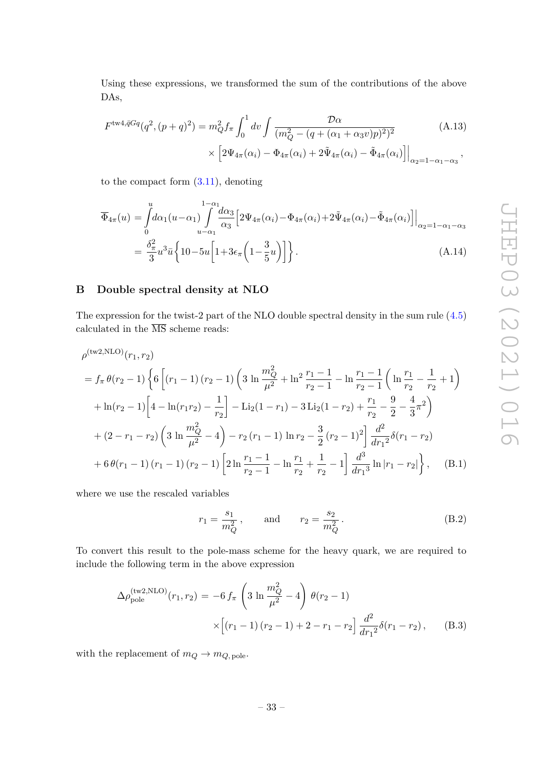Using these expressions, we transformed the sum of the contributions of the above DAs,

$$
F^{\text{tw4},\bar{q}Gq}(q^2,(p+q)^2) = m_Q^2 f_\pi \int_0^1 dv \int \frac{\mathcal{D}\alpha}{(m_Q^2 - (q + (\alpha_1 + \alpha_3 v)p)^2)^2} \times \left[2\Psi_{4\pi}(\alpha_i) - \Phi_{4\pi}(\alpha_i) + 2\tilde{\Psi}_{4\pi}(\alpha_i) - \tilde{\Phi}_{4\pi}(\alpha_i)\right]\Big|_{\alpha_2=1-\alpha_1-\alpha_3},
$$
\n(A.13)

to the compact form  $(3.11)$ , denoting

$$
\overline{\Phi}_{4\pi}(u) = \int_{0}^{u} d\alpha_{1}(u-\alpha_{1}) \int_{u-\alpha_{1}}^{1-\alpha_{1}} d\alpha_{3} \left[ 2\Psi_{4\pi}(\alpha_{i}) - \Phi_{4\pi}(\alpha_{i}) + 2\tilde{\Psi}_{4\pi}(\alpha_{i}) - \tilde{\Phi}_{4\pi}(\alpha_{i}) \right] \Big|_{\alpha_{2}=1-\alpha_{1}-\alpha_{3}}
$$
\n
$$
= \frac{\delta_{\pi}^{2}}{3} u^{3} \bar{u} \left\{ 10 - 5u \left[ 1 + 3\epsilon_{\pi} \left( 1 - \frac{3}{5} u \right) \right] \right\}. \tag{A.14}
$$

# <span id="page-33-0"></span>**B Double spectral density at NLO**

The expression for the twist-2 part of the NLO double spectral density in the sum rule [\(4.5\)](#page-14-0) calculated in the  $\overline{\rm MS}$  scheme reads:

$$
\rho^{(\text{tw2,NLO})}(r_1, r_2)
$$
\n
$$
= f_{\pi} \theta(r_2 - 1) \left\{ 6 \left[ (r_1 - 1) (r_2 - 1) \left( 3 \ln \frac{m_Q^2}{\mu^2} + \ln^2 \frac{r_1 - 1}{r_2 - 1} - \ln \frac{r_1 - 1}{r_2 - 1} \left( \ln \frac{r_1}{r_2} - \frac{1}{r_2} + 1 \right) \right) \right\}
$$
\n
$$
+ \ln(r_2 - 1) \left[ 4 - \ln(r_1 r_2) - \frac{1}{r_2} \right] - \text{Li}_2(1 - r_1) - 3 \text{Li}_2(1 - r_2) + \frac{r_1}{r_2} - \frac{9}{2} - \frac{4}{3} \pi^2 \right)
$$
\n
$$
+ (2 - r_1 - r_2) \left( 3 \ln \frac{m_Q^2}{\mu^2} - 4 \right) - r_2 (r_1 - 1) \ln r_2 - \frac{3}{2} (r_2 - 1)^2 \left[ \frac{d^2}{dr_1^2} \delta(r_1 - r_2) \right.
$$
\n
$$
+ 6 \theta(r_1 - 1) (r_1 - 1) (r_2 - 1) \left[ 2 \ln \frac{r_1 - 1}{r_2 - 1} - \ln \frac{r_1}{r_2} + \frac{1}{r_2} - 1 \right] \frac{d^3}{dr_1^3} \ln |r_1 - r_2| \right\}, \quad (B.1)
$$

where we use the rescaled variables

<span id="page-33-1"></span>
$$
r_1 = \frac{s_1}{m_Q^2}
$$
, and  $r_2 = \frac{s_2}{m_Q^2}$ . (B.2)

To convert this result to the pole-mass scheme for the heavy quark, we are required to include the following term in the above expression

$$
\Delta \rho_{\text{pole}}^{(\text{tw2,NLO})}(r_1, r_2) = -6 f_\pi \left( 3 \ln \frac{m_Q^2}{\mu^2} - 4 \right) \theta(r_2 - 1)
$$

$$
\times \left[ (r_1 - 1)(r_2 - 1) + 2 - r_1 - r_2 \right] \frac{d^2}{dr_1^2} \delta(r_1 - r_2), \qquad (B.3)
$$

with the replacement of  $m_Q \to m_{Q,\text{pole}}$ .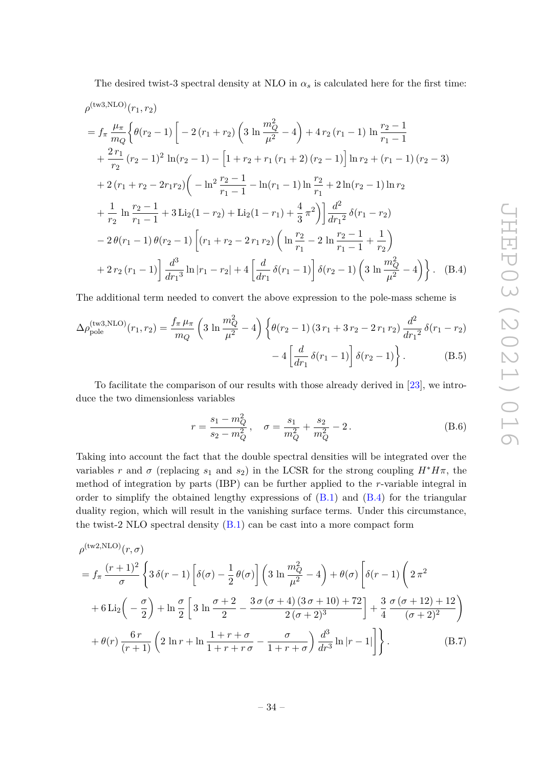The desired twist-3 spectral density at NLO in  $\alpha_s$  is calculated here for the first time:

$$
\rho^{(\text{tw3,NLO})}(r_1, r_2)
$$
\n
$$
= f_{\pi} \frac{\mu_{\pi}}{m_Q} \Big\{ \theta(r_2 - 1) \Big[ -2(r_1 + r_2) \Big( 3 \ln \frac{m_Q^2}{\mu^2} - 4 \Big) + 4r_2(r_1 - 1) \ln \frac{r_2 - 1}{r_1 - 1} + \frac{2r_1}{r_2}(r_2 - 1)^2 \ln(r_2 - 1) - \Big[ 1 + r_2 + r_1(r_1 + 2)(r_2 - 1) \Big] \ln r_2 + (r_1 - 1)(r_2 - 3) + 2(r_1 + r_2 - 2r_1r_2) \Big( -\ln^2 \frac{r_2 - 1}{r_1 - 1} - \ln(r_1 - 1) \ln \frac{r_2}{r_1} + 2 \ln(r_2 - 1) \ln r_2 + \frac{1}{r_2} \ln \frac{r_2 - 1}{r_1 - 1} + 3 \text{Li}_2(1 - r_2) + \text{Li}_2(1 - r_1) + \frac{4}{3} \pi^2 \Big) \Big] \frac{d^2}{dr_1^2} \delta(r_1 - r_2) - 2 \theta(r_1 - 1) \theta(r_2 - 1) \Big[ (r_1 + r_2 - 2r_1r_2) \Big( \ln \frac{r_2}{r_1} - 2 \ln \frac{r_2 - 1}{r_1 - 1} + \frac{1}{r_2} \Big) + 2r_2(r_1 - 1) \Big] \frac{d^3}{dr_1^3} \ln |r_1 - r_2| + 4 \Big[ \frac{d}{dr_1} \delta(r_1 - 1) \Big] \delta(r_2 - 1) \Big( 3 \ln \frac{m_Q^2}{\mu^2} - 4 \Big) \Big\} . \quad (B.4)
$$

The additional term needed to convert the above expression to the pole-mass scheme is

$$
\Delta \rho_{\text{pole}}^{(\text{tw3,NLO})}(r_1, r_2) = \frac{f_\pi \mu_\pi}{m_Q} \left( 3 \ln \frac{m_Q^2}{\mu^2} - 4 \right) \left\{ \theta(r_2 - 1) \left( 3r_1 + 3r_2 - 2r_1 r_2 \right) \frac{d^2}{dr_1^2} \delta(r_1 - r_2) - 4 \left[ \frac{d}{dr_1} \delta(r_1 - 1) \right] \delta(r_2 - 1) \right\}.
$$
\n(B.5)

To facilitate the comparison of our results with those already derived in [\[23\]](#page-38-7), we introduce the two dimensionless variables

<span id="page-34-1"></span><span id="page-34-0"></span>
$$
r = \frac{s_1 - m_Q^2}{s_2 - m_Q^2}, \quad \sigma = \frac{s_1}{m_Q^2} + \frac{s_2}{m_Q^2} - 2.
$$
 (B.6)

Taking into account the fact that the double spectral densities will be integrated over the variables *r* and  $\sigma$  (replacing  $s_1$  and  $s_2$ ) in the LCSR for the strong coupling  $H^*H\pi$ , the method of integration by parts (IBP) can be further applied to the *r*-variable integral in order to simplify the obtained lengthy expressions of  $(B.1)$  and  $(B.4)$  for the triangular duality region, which will result in the vanishing surface terms. Under this circumstance, the twist-2 NLO spectral density  $(B.1)$  can be cast into a more compact form

$$
\rho^{(\text{tw2,NLO})}(r,\sigma)
$$
\n
$$
= f_{\pi} \frac{(r+1)^2}{\sigma} \left\{ 3 \delta(r-1) \left[ \delta(\sigma) - \frac{1}{2} \theta(\sigma) \right] \left( 3 \ln \frac{m_Q^2}{\mu^2} - 4 \right) + \theta(\sigma) \left[ \delta(r-1) \left( 2 \pi^2 + 6 \ln(2\pi) - \frac{\sigma}{2} \right) + \ln \frac{\sigma}{2} \left[ 3 \ln \frac{\sigma+2}{2} - \frac{3 \sigma (\sigma+4) (3 \sigma+10) + 72}{2 (\sigma+2)^3} \right] + \frac{3}{4} \frac{\sigma (\sigma+12) + 12}{(\sigma+2)^2} \right)
$$
\n
$$
+ \theta(r) \frac{6r}{(r+1)} \left( 2 \ln r + \ln \frac{1+r+\sigma}{1+r+r\sigma} - \frac{\sigma}{1+r+\sigma} \right) \frac{d^3}{dr^3} \ln |r-1| \right\}.
$$
\n(B.7)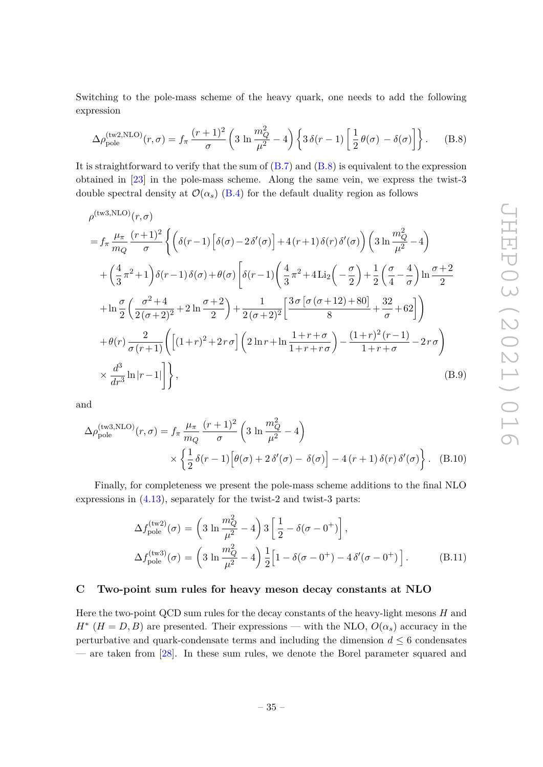Switching to the pole-mass scheme of the heavy quark, one needs to add the following expression

<span id="page-35-2"></span>
$$
\Delta \rho_{\rm pole}^{\rm (tw2,NLO)}(r,\sigma) = f_\pi \frac{(r+1)^2}{\sigma} \left( 3 \ln \frac{m_Q^2}{\mu^2} - 4 \right) \left\{ 3 \delta(r-1) \left[ \frac{1}{2} \theta(\sigma) - \delta(\sigma) \right] \right\}.
$$
 (B.8)

It is straightforward to verify that the sum of  $(B.7)$  and  $(B.8)$  is equivalent to the expression obtained in [\[23\]](#page-38-7) in the pole-mass scheme. Along the same vein, we express the twist-3 double spectral density at  $\mathcal{O}(\alpha_s)$  [\(B.4\)](#page-34-0) for the default duality region as follows

$$
\rho^{(\text{tw3,NLO})}(r,\sigma)
$$
\n
$$
= f_{\pi} \frac{\mu_{\pi}}{m_Q} \frac{(r+1)^2}{\sigma} \left\{ \left( \delta(r-1) \left[ \delta(\sigma) - 2\delta'(\sigma) \right] + 4(r+1)\delta(r)\delta'(\sigma) \right) \left( 3 \ln \frac{m_Q^2}{\mu^2} - 4 \right) \right\}
$$
\n
$$
+ \left( \frac{4}{3} \pi^2 + 1 \right) \delta(r-1)\delta(\sigma) + \theta(\sigma) \left[ \delta(r-1) \left( \frac{4}{3} \pi^2 + 4 \text{Li}_2 \left( -\frac{\sigma}{2} \right) + \frac{1}{2} \left( \frac{\sigma}{4} - \frac{4}{\sigma} \right) \ln \frac{\sigma + 2}{2} \right) \right\}
$$
\n
$$
+ \ln \frac{\sigma}{2} \left( \frac{\sigma^2 + 4}{2(\sigma + 2)^2} + 2 \ln \frac{\sigma + 2}{2} \right) + \frac{1}{2(\sigma + 2)^2} \left[ \frac{3\sigma \left[ \sigma(\sigma + 12) + 80 \right]}{8} + \frac{32}{\sigma} + 62 \right] \right)
$$
\n
$$
+ \theta(r) \frac{2}{\sigma(r+1)} \left( \left[ (1+r)^2 + 2r\sigma \right] \left( 2 \ln r + \ln \frac{1+r+\sigma}{1+r+r\sigma} \right) - \frac{(1+r)^2(r-1)}{1+r+\sigma} - 2r\sigma \right)
$$
\n
$$
\times \frac{d^3}{dr^3} \ln |r-1| \right\}, \tag{B.9}
$$

and

$$
\Delta \rho_{\text{pole}}^{(\text{tw3,NLO})}(r,\sigma) = f_{\pi} \frac{\mu_{\pi}}{m_Q} \frac{(r+1)^2}{\sigma} \left( 3 \ln \frac{m_Q^2}{\mu^2} - 4 \right)
$$

$$
\times \left\{ \frac{1}{2} \delta(r-1) \left[ \theta(\sigma) + 2 \delta'(\sigma) - \delta(\sigma) \right] - 4 (r+1) \delta(r) \delta'(\sigma) \right\}. \quad (B.10)
$$

Finally, for completeness we present the pole-mass scheme additions to the final NLO expressions in [\(4.13\)](#page-16-3), separately for the twist-2 and twist-3 parts:

<span id="page-35-1"></span>
$$
\Delta f_{\text{pole}}^{(\text{tw2})}(\sigma) = \left(3 \ln \frac{m_Q^2}{\mu^2} - 4\right) 3 \left[\frac{1}{2} - \delta(\sigma - 0^+)\right],
$$
  

$$
\Delta f_{\text{pole}}^{(\text{tw3})}(\sigma) = \left(3 \ln \frac{m_Q^2}{\mu^2} - 4\right) \frac{1}{2} \left[1 - \delta(\sigma - 0^+) - 4 \delta'(\sigma - 0^+)\right].
$$
 (B.11)

#### <span id="page-35-0"></span>**C Two-point sum rules for heavy meson decay constants at NLO**

Here the two-point QCD sum rules for the decay constants of the heavy-light mesons *H* and  $H^*$  ( $H = D, B$ ) are presented. Their expressions — with the NLO,  $O(\alpha_s)$  accuracy in the perturbative and quark-condensate terms and including the dimension  $d \leq 6$  condensates — are taken from [\[28\]](#page-38-12). In these sum rules, we denote the Borel parameter squared and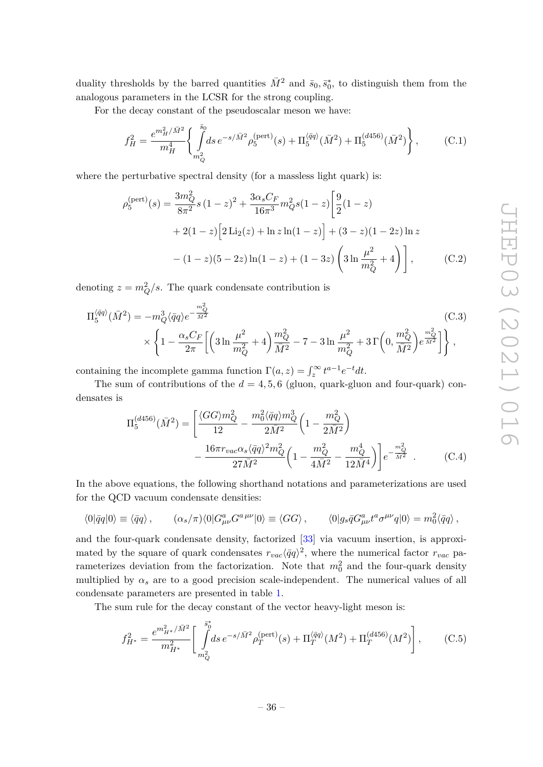duality thresholds by the barred quantities  $\bar{M}^2$  and  $\bar{s}_0, \bar{s}_0^*$ , to distinguish them from the analogous parameters in the LCSR for the strong coupling.

For the decay constant of the pseudoscalar meson we have:

$$
f_H^2 = \frac{e^{m_H^2/\bar{M}^2}}{m_H^4} \left\{ \int\limits_{m_Q^2}^{\bar{s}_0} ds \, e^{-s/\bar{M}^2} \rho_5^{\text{(pert)}}(s) + \Pi_5^{\langle \bar{q}q \rangle}(\bar{M}^2) + \Pi_5^{\text{(d456)}}(\bar{M}^2) \right\},\tag{C.1}
$$

where the perturbative spectral density (for a massless light quark) is:

$$
\rho_5^{\text{(pert)}}(s) = \frac{3m_Q^2}{8\pi^2} s (1-z)^2 + \frac{3\alpha_s C_F}{16\pi^3} m_Q^2 s (1-z) \left[ \frac{9}{2} (1-z) + 2(1-z) \left[ 2 \text{Li}_2(z) + \ln z \ln(1-z) \right] + (3-z)(1-2z) \ln z - (1-z)(5-2z) \ln(1-z) + (1-3z) \left( 3 \ln \frac{\mu^2}{m_Q^2} + 4 \right) \right], \tag{C.2}
$$

denoting  $z = m_Q^2/s$ . The quark condensate contribution is

$$
\Pi_5^{\langle \bar{q}q \rangle}(\bar{M}^2) = -m_Q^3 \langle \bar{q}q \rangle e^{-\frac{m_Q^2}{\bar{M}^2}} \qquad (C.3)
$$
\n
$$
\times \left\{ 1 - \frac{\alpha_s C_F}{2\pi} \left[ \left( 3 \ln \frac{\mu^2}{m_Q^2} + 4 \right) \frac{m_Q^2}{\bar{M}^2} - 7 - 3 \ln \frac{\mu^2}{m_Q^2} + 3 \Gamma \left( 0, \frac{m_Q^2}{\bar{M}^2} \right) e^{\frac{m_Q^2}{\bar{M}^2}} \right] \right\},
$$

containing the incomplete gamma function  $\Gamma(a, z) = \int_z^{\infty} t^{a-1} e^{-t} dt$ .

The sum of contributions of the  $d = 4, 5, 6$  (gluon, quark-gluon and four-quark) condensates is

$$
\Pi_5^{(d456)}(\bar{M}^2) = \left[ \frac{\langle GG \rangle m_Q^2}{12} - \frac{m_0^2 \langle \bar{q}q \rangle m_Q^3}{2\bar{M}^2} \left( 1 - \frac{m_Q^2}{2\bar{M}^2} \right) - \frac{16\pi r_{vac}\alpha_s \langle \bar{q}q \rangle^2 m_Q^2}{27\bar{M}^2} \left( 1 - \frac{m_Q^2}{4\bar{M}^2} - \frac{m_Q^4}{12\bar{M}^4} \right) \right] e^{-\frac{m_Q^2}{\bar{M}^2}} . \tag{C.4}
$$

In the above equations, the following shorthand notations and parameterizations are used for the QCD vacuum condensate densities:

$$
\langle 0|\bar{q}q|0\rangle \equiv \langle \bar{q}q\rangle \,, \qquad (\alpha_s/\pi)\langle 0|G^a_{\mu\nu}G^{a\,\mu\nu}|0\rangle \equiv \langle GG\rangle \,, \qquad \langle 0|g_s\bar{q}G^a_{\mu\nu}t^a\sigma^{\mu\nu}q|0\rangle = m_0^2\langle \bar{q}q\rangle \,,
$$

and the four-quark condensate density, factorized [\[33\]](#page-39-4) via vacuum insertion, is approximated by the square of quark condensates  $r_{vac}\langle \bar{q}q\rangle^2$ , where the numerical factor  $r_{vac}$  parameterizes deviation from the factorization. Note that  $m_0^2$  and the four-quark density multiplied by  $\alpha_s$  are to a good precision scale-independent. The numerical values of all condensate parameters are presented in table [1.](#page-17-1)

The sum rule for the decay constant of the vector heavy-light meson is:

$$
f_{H^*}^2 = \frac{e^{m_{H^*}^2/\bar{M}^2}}{m_{H^*}^2} \left[ \int_{m_Q^2}^{\bar{s}_0^*} ds \, e^{-s/\bar{M}^2} \rho_T^{(\text{pert})}(s) + \Pi_T^{\langle \bar{q}q \rangle}(M^2) + \Pi_T^{\langle d456\rangle}(M^2) \right],\tag{C.5}
$$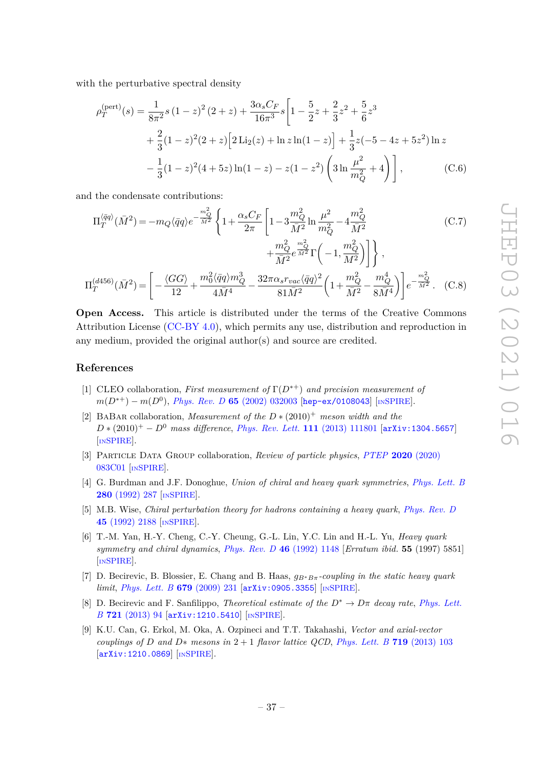with the perturbative spectral density

$$
\rho_T^{\text{(pert)}}(s) = \frac{1}{8\pi^2} s (1-z)^2 (2+z) + \frac{3\alpha_s C_F}{16\pi^3} s \left[ 1 - \frac{5}{2} z + \frac{2}{3} z^2 + \frac{5}{6} z^3 + \frac{2}{3} (1-z)^2 (2+z) \left[ 2 \text{Li}_2(z) + \ln z \ln(1-z) \right] + \frac{1}{3} z (-5 - 4z + 5z^2) \ln z - \frac{1}{3} (1-z)^2 (4+5z) \ln(1-z) - z (1-z^2) \left( 3 \ln \frac{\mu^2}{m_Q^2} + 4 \right) \right], \tag{C.6}
$$

and the condensate contributions:

$$
\Pi_{T}^{\langle \bar{q}q \rangle}(\bar{M}^{2}) = -m_{Q}\langle \bar{q}q \rangle e^{-\frac{m_{Q}^{2}}{\bar{M}^{2}}} \left\{ 1 + \frac{\alpha_{s}C_{F}}{2\pi} \left[ 1 - 3\frac{m_{Q}^{2}}{\bar{M}^{2}} \ln \frac{\mu^{2}}{m_{Q}^{2}} - 4\frac{m_{Q}^{2}}{\bar{M}^{2}} \right. \right. \left. + \frac{m_{Q}^{2}}{\bar{M}^{2}} e^{\frac{m_{Q}^{2}}{\bar{M}^{2}}} \Gamma \left( -1, \frac{m_{Q}^{2}}{\bar{M}^{2}} \right) \right\} , \tag{C.7}
$$

$$
\Pi_T^{(d456)}(\bar{M}^2) = \left[ -\frac{\langle GG \rangle}{12} + \frac{m_0^2 \langle \bar{q}q \rangle m_Q^3}{4\bar{M}^4} - \frac{32\pi \alpha_s r_{vac} \langle \bar{q}q \rangle^2}{81\bar{M}^2} \left( 1 + \frac{m_Q^2}{\bar{M}^2} - \frac{m_Q^4}{8\bar{M}^4} \right) \right] e^{-\frac{m_Q^2}{\bar{M}^2}}. \tag{C.8}
$$

**Open Access.** This article is distributed under the terms of the Creative Commons Attribution License [\(CC-BY 4.0\)](https://creativecommons.org/licenses/by/4.0/), which permits any use, distribution and reproduction in any medium, provided the original author(s) and source are credited.

#### **References**

- <span id="page-37-0"></span>[1] CLEO collaboration, *First measurement of* Γ(*D*<sup>∗</sup><sup>+</sup>) *and precision measurement of m*(*D*<sup>∗+</sup>) − *m*(*D*<sup>0</sup>), *Phys. Rev. D* **65** [\(2002\) 032003](https://doi.org/10.1103/PhysRevD.65.032003) [[hep-ex/0108043](https://arxiv.org/abs/hep-ex/0108043)] [IN[SPIRE](https://inspirehep.net/search?p=find+EPRINT%2Bhep-ex%2F0108043)].
- <span id="page-37-5"></span>[2] BaBar collaboration, *Measurement of the D* ∗ (2010)<sup>+</sup> *meson width and the D* ∗ (2010)<sup>+</sup> − *D*<sup>0</sup> *mass difference*, *[Phys. Rev. Lett.](https://doi.org/10.1103/PhysRevLett.111.111801)* **111** (2013) 111801 [[arXiv:1304.5657](https://arxiv.org/abs/1304.5657)] [IN[SPIRE](https://inspirehep.net/search?p=find+EPRINT%2BarXiv%3A1304.5657)].
- <span id="page-37-1"></span>[3] Particle Data Group collaboration, *Review of particle physics*, *PTEP* **2020** [\(2020\)](https://doi.org/10.1093/ptep/ptaa104) [083C01](https://doi.org/10.1093/ptep/ptaa104) [IN[SPIRE](https://inspirehep.net/search?p=find+J%20%22PTEP%2C2020%2C083C01%22)].
- <span id="page-37-2"></span>[4] G. Burdman and J.F. Donoghue, *Union of chiral and heavy quark symmetries*, *[Phys. Lett. B](https://doi.org/10.1016/0370-2693(92)90068-F)* **280** [\(1992\) 287](https://doi.org/10.1016/0370-2693(92)90068-F) [IN[SPIRE](https://inspirehep.net/search?p=find+J%20%22Phys.Lett.%2CB280%2C287%22)].
- [5] M.B. Wise, *Chiral perturbation theory for hadrons containing a heavy quark*, *[Phys. Rev. D](https://doi.org/10.1103/PhysRevD.45.R2188)* **45** [\(1992\) 2188](https://doi.org/10.1103/PhysRevD.45.R2188) [IN[SPIRE](https://inspirehep.net/search?p=find+J%20%22Phys.Rev.%2CD45%2C2188%22)].
- <span id="page-37-3"></span>[6] T.-M. Yan, H.-Y. Cheng, C.-Y. Cheung, G.-L. Lin, Y.C. Lin and H.-L. Yu, *Heavy quark symmetry and chiral dynamics*, *[Phys. Rev. D](https://doi.org/10.1103/PhysRevD.46.1148)* **46** (1992) 1148 [*Erratum ibid.* **55** (1997) 5851] [IN[SPIRE](https://inspirehep.net/search?p=find+J%20%22Phys.Rev.%2CD46%2C1148%22)].
- <span id="page-37-4"></span>[7] D. Becirevic, B. Blossier, E. Chang and B. Haas, *gB*∗*Bπ-coupling in the static heavy quark limit*, *[Phys. Lett. B](https://doi.org/10.1016/j.physletb.2009.07.031)* **679** (2009) 231 [[arXiv:0905.3355](https://arxiv.org/abs/0905.3355)] [IN[SPIRE](https://inspirehep.net/search?p=find+EPRINT%2BarXiv%3A0905.3355)].
- <span id="page-37-6"></span>[8] D. Becirevic and F. Sanfilippo, *Theoretical estimate of the*  $D^* \to D\pi$  *decay rate, [Phys. Lett.](https://doi.org/10.1016/j.physletb.2013.03.004) B* **721** [\(2013\) 94](https://doi.org/10.1016/j.physletb.2013.03.004) [[arXiv:1210.5410](https://arxiv.org/abs/1210.5410)] [IN[SPIRE](https://inspirehep.net/search?p=find+EPRINT%2BarXiv%3A1210.5410)].
- <span id="page-37-7"></span>[9] K.U. Can, G. Erkol, M. Oka, A. Ozpineci and T.T. Takahashi, *Vector and axial-vector couplings of D and*  $D*$  *mesons in*  $2 + 1$  *flavor lattice QCD*, *Phys. Lett.* B **719** (2013) 103 [[arXiv:1210.0869](https://arxiv.org/abs/1210.0869)] [IN[SPIRE](https://inspirehep.net/search?p=find+EPRINT%2BarXiv%3A1210.0869)].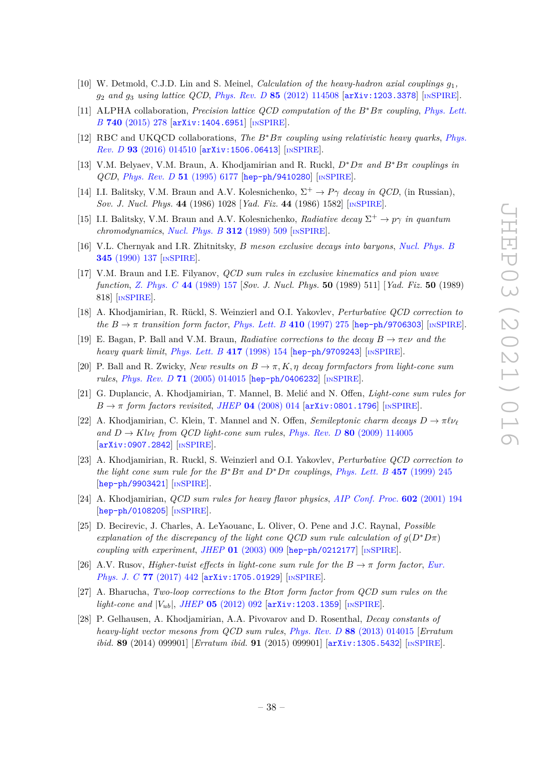- <span id="page-38-17"></span>[10] W. Detmold, C.J.D. Lin and S. Meinel, *Calculation of the heavy-hadron axial couplings*  $q_1$ , *g*<sup>2</sup> *and g*<sup>3</sup> *using lattice QCD*, *Phys. Rev. D* **85** [\(2012\) 114508](https://doi.org/10.1103/PhysRevD.85.114508) [[arXiv:1203.3378](https://arxiv.org/abs/1203.3378)] [IN[SPIRE](https://inspirehep.net/search?p=find+EPRINT%2BarXiv%3A1203.3378)].
- <span id="page-38-18"></span>[11] ALPHA collaboration, *Precision lattice QCD computation of the B*∗*Bπ coupling*, *[Phys. Lett.](https://doi.org/10.1016/j.physletb.2014.11.051) B* **740** [\(2015\) 278](https://doi.org/10.1016/j.physletb.2014.11.051) [[arXiv:1404.6951](https://arxiv.org/abs/1404.6951)] [IN[SPIRE](https://inspirehep.net/search?p=find+EPRINT%2BarXiv%3A1404.6951)].
- <span id="page-38-0"></span>[12] RBC and UKQCD collaborations, *The B*∗*Bπ coupling using relativistic heavy quarks*, *[Phys.](https://doi.org/10.1103/PhysRevD.93.014510) Rev. D* **93** [\(2016\) 014510](https://doi.org/10.1103/PhysRevD.93.014510) [[arXiv:1506.06413](https://arxiv.org/abs/1506.06413)] [IN[SPIRE](https://inspirehep.net/search?p=find+EPRINT%2BarXiv%3A1506.06413)].
- <span id="page-38-1"></span>[13] V.M. Belyaev, V.M. Braun, A. Khodjamirian and R. Ruckl, *D*∗*Dπ and B*∗*Bπ couplings in QCD*, *[Phys. Rev. D](https://doi.org/10.1103/PhysRevD.51.6177)* **51** (1995) 6177 [[hep-ph/9410280](https://arxiv.org/abs/hep-ph/9410280)] [IN[SPIRE](https://inspirehep.net/search?p=find+EPRINT%2Bhep-ph%2F9410280)].
- <span id="page-38-2"></span>[14] I.I. Balitsky, V.M. Braun and A.V. Kolesnichenko,  $\Sigma^+ \to P\gamma$  *decay in QCD*, (in Russian), *Sov. J. Nucl. Phys.* **44** (1986) 1028 [*Yad. Fiz.* **44** (1986) 1582] [IN[SPIRE](https://inspirehep.net/search?p=find+J%20%22Sov.J.Nucl.Phys.%2C44%2C1028%22)].
- <span id="page-38-16"></span>[15] I.I. Balitsky, V.M. Braun and A.V. Kolesnichenko, *Radiative decay*  $\Sigma^+ \to p\gamma$  *in quantum chromodynamics*, *[Nucl. Phys. B](https://doi.org/10.1016/0550-3213(89)90570-1)* **312** (1989) 509 [IN[SPIRE](https://inspirehep.net/search?p=find+J%20%22Nucl.Phys.%2CB312%2C509%22)].
- <span id="page-38-3"></span>[16] V.L. Chernyak and I.R. Zhitnitsky, *B meson exclusive decays into baryons*, *[Nucl. Phys. B](https://doi.org/10.1016/0550-3213(90)90612-H)* **345** [\(1990\) 137](https://doi.org/10.1016/0550-3213(90)90612-H) [IN[SPIRE](https://inspirehep.net/search?p=find+J%20%22Nucl.Phys.%2CB345%2C137%22)].
- <span id="page-38-4"></span>[17] V.M. Braun and I.E. Filyanov, *QCD sum rules in exclusive kinematics and pion wave function*, *[Z. Phys. C](https://doi.org/10.1007/BF01548594)* **44** (1989) 157 [*Sov. J. Nucl. Phys.* **50** (1989) 511] [*Yad. Fiz.* **50** (1989) 818] [IN[SPIRE](https://inspirehep.net/search?p=find+J%20%22Z.Phys.%2CC44%2C157%22)].
- <span id="page-38-5"></span>[18] A. Khodjamirian, R. Rückl, S. Weinzierl and O.I. Yakovlev, *Perturbative QCD correction to the*  $B \to \pi$  *transition form factor, Phys. Lett.* B 410 (1997) 275 [[hep-ph/9706303](https://arxiv.org/abs/hep-ph/9706303)] [IN[SPIRE](https://inspirehep.net/search?p=find+EPRINT%2Bhep-ph%2F9706303)].
- <span id="page-38-15"></span>[19] E. Bagan, P. Ball and V.M. Braun, *Radiative corrections to the decay B* → *πeν and the heavy quark limit*, *[Phys. Lett. B](https://doi.org/10.1016/S0370-2693(97)01371-3)* **417** (1998) 154 [[hep-ph/9709243](https://arxiv.org/abs/hep-ph/9709243)] [IN[SPIRE](https://inspirehep.net/search?p=find+EPRINT%2Bhep-ph%2F9709243)].
- <span id="page-38-14"></span>[20] P. Ball and R. Zwicky, *New results on*  $B \to \pi$ ,  $K, \eta$  *decay formfactors from light-cone sum rules*, *Phys. Rev. D* **71** [\(2005\) 014015](https://doi.org/10.1103/PhysRevD.71.014015) [[hep-ph/0406232](https://arxiv.org/abs/hep-ph/0406232)] [IN[SPIRE](https://inspirehep.net/search?p=find+EPRINT%2Bhep-ph%2F0406232)].
- <span id="page-38-13"></span>[21] G. Duplancic, A. Khodjamirian, T. Mannel, B. Melić and N. Offen, *Light-cone sum rules for*  $B \rightarrow \pi$  *form factors revisited, JHEP* **04** [\(2008\) 014](https://doi.org/10.1088/1126-6708/2008/04/014) [[arXiv:0801.1796](https://arxiv.org/abs/0801.1796)] [IN[SPIRE](https://inspirehep.net/search?p=find+EPRINT%2BarXiv%3A0801.1796)].
- <span id="page-38-6"></span>[22] A. Khodjamirian, C. Klein, T. Mannel and N. Offen, *Semileptonic charm decays*  $D \to \pi \ell \nu_{\ell}$ *and*  $D \rightarrow Kl\nu_{\ell}$  *from QCD light-cone sum rules, Phys. Rev. D* **80** [\(2009\) 114005](https://doi.org/10.1103/PhysRevD.80.114005) [[arXiv:0907.2842](https://arxiv.org/abs/0907.2842)] [IN[SPIRE](https://inspirehep.net/search?p=find+EPRINT%2BarXiv%3A0907.2842)].
- <span id="page-38-7"></span>[23] A. Khodjamirian, R. Ruckl, S. Weinzierl and O.I. Yakovlev, *Perturbative QCD correction to the light cone sum rule for the*  $B^*B\pi$  *and*  $D^*D\pi$  *couplings*, *Phys. Lett.*  $B$  **457** (1999) 245 [[hep-ph/9903421](https://arxiv.org/abs/hep-ph/9903421)] [IN[SPIRE](https://inspirehep.net/search?p=find+EPRINT%2Bhep-ph%2F9903421)].
- <span id="page-38-8"></span>[24] A. Khodjamirian, *QCD sum rules for heavy flavor physics*, *[AIP Conf. Proc.](https://doi.org/10.1063/1.1435927)* **602** (2001) 194 [[hep-ph/0108205](https://arxiv.org/abs/hep-ph/0108205)] [IN[SPIRE](https://inspirehep.net/search?p=find+EPRINT%2Bhep-ph%2F0108205)].
- <span id="page-38-9"></span>[25] D. Becirevic, J. Charles, A. LeYaouanc, L. Oliver, O. Pene and J.C. Raynal, *Possible explanation of the discrepancy of the light cone QCD sum rule calculation of*  $g(D^*D\pi)$ *coupling with experiment*, *JHEP* **01** [\(2003\) 009](https://doi.org/10.1088/1126-6708/2003/01/009) [[hep-ph/0212177](https://arxiv.org/abs/hep-ph/0212177)] [IN[SPIRE](https://inspirehep.net/search?p=find+EPRINT%2Bhep-ph%2F0212177)].
- <span id="page-38-10"></span>[26] A.V. Rusov, *Higher-twist effects in light-cone sum rule for the*  $B \to \pi$  *form factor, [Eur.](https://doi.org/10.1140/epjc/s10052-017-5000-9) [Phys. J. C](https://doi.org/10.1140/epjc/s10052-017-5000-9)* **77** (2017) 442 [[arXiv:1705.01929](https://arxiv.org/abs/1705.01929)] [IN[SPIRE](https://inspirehep.net/search?p=find+EPRINT%2BarXiv%3A1705.01929)].
- <span id="page-38-11"></span>[27] A. Bharucha, *Two-loop corrections to the Btoπ form factor from QCD sum rules on the*  $light-cone$  and  $|V_{ub}|$ , *JHEP* **05** [\(2012\) 092](https://doi.org/10.1007/JHEP05(2012)092) [[arXiv:1203.1359](https://arxiv.org/abs/1203.1359)] [IN[SPIRE](https://inspirehep.net/search?p=find+EPRINT%2BarXiv%3A1203.1359)].
- <span id="page-38-12"></span>[28] P. Gelhausen, A. Khodjamirian, A.A. Pivovarov and D. Rosenthal, *Decay constants of heavy-light vector mesons from QCD sum rules*, *Phys. Rev. D* **88** [\(2013\) 014015](https://doi.org/10.1103/PhysRevD.88.014015) [*Erratum ibid.* **89** (2014) 099901] [*Erratum ibid.* **91** (2015) 099901] [[arXiv:1305.5432](https://arxiv.org/abs/1305.5432)] [IN[SPIRE](https://inspirehep.net/search?p=find+EPRINT%2BarXiv%3A1305.5432)].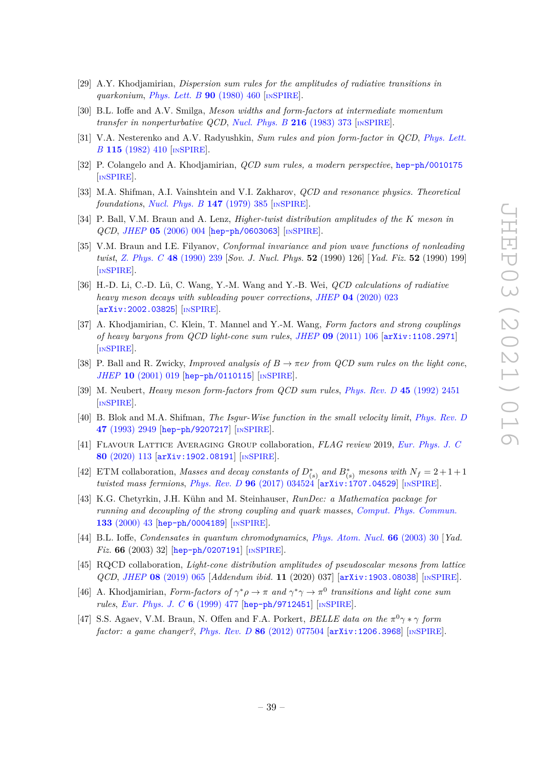- <span id="page-39-0"></span>[29] A.Y. Khodjamirian, *Dispersion sum rules for the amplitudes of radiative transitions in quarkonium*, *[Phys. Lett. B](https://doi.org/10.1016/0370-2693(80)90974-0)* **90** (1980) 460 [IN[SPIRE](https://inspirehep.net/search?p=find+J%20%22Phys.Lett.%2CB90%2C460%22)].
- <span id="page-39-1"></span>[30] B.L. Ioffe and A.V. Smilga, *Meson widths and form-factors at intermediate momentum transfer in nonperturbative QCD*, *[Nucl. Phys. B](https://doi.org/10.1016/0550-3213(83)90291-2)* **216** (1983) 373 [IN[SPIRE](https://inspirehep.net/search?p=find+J%20%22Nucl.Phys.%2CB216%2C373%22)].
- <span id="page-39-2"></span>[31] V.A. Nesterenko and A.V. Radyushkin, *Sum rules and pion form-factor in QCD*, *[Phys. Lett.](https://doi.org/10.1016/0370-2693(82)90528-7) B* **115** [\(1982\) 410](https://doi.org/10.1016/0370-2693(82)90528-7) [IN[SPIRE](https://inspirehep.net/search?p=find+J%20%22Phys.Lett.%2CB115%2C410%22)].
- <span id="page-39-3"></span>[32] P. Colangelo and A. Khodjamirian, *QCD sum rules, a modern perspective*, [hep-ph/0010175](https://arxiv.org/abs/hep-ph/0010175) [IN[SPIRE](https://inspirehep.net/search?p=find+EPRINT%2Bhep-ph%2F0010175)].
- <span id="page-39-4"></span>[33] M.A. Shifman, A.I. Vainshtein and V.I. Zakharov, *QCD and resonance physics. Theoretical foundations*, *[Nucl. Phys. B](https://doi.org/10.1016/0550-3213(79)90022-1)* **147** (1979) 385 [IN[SPIRE](https://inspirehep.net/search?p=find+J%20%22Nucl.Phys.%2CB147%2C385%22)].
- <span id="page-39-5"></span>[34] P. Ball, V.M. Braun and A. Lenz, *Higher-twist distribution amplitudes of the K meson in QCD*, *JHEP* **05** [\(2006\) 004](https://doi.org/10.1088/1126-6708/2006/05/004) [[hep-ph/0603063](https://arxiv.org/abs/hep-ph/0603063)] [IN[SPIRE](https://inspirehep.net/search?p=find+EPRINT%2Bhep-ph%2F0603063)].
- <span id="page-39-6"></span>[35] V.M. Braun and I.E. Filyanov, *Conformal invariance and pion wave functions of nonleading twist*, *[Z. Phys. C](https://doi.org/10.1007/BF01554472)* **48** (1990) 239 [*Sov. J. Nucl. Phys.* **52** (1990) 126] [*Yad. Fiz.* **52** (1990) 199] [IN[SPIRE](https://inspirehep.net/search?p=find+J%20%22Sov.J.Nucl.Phys.%2C52%2C126%22)].
- <span id="page-39-7"></span>[36] H.-D. Li, C.-D. Lü, C. Wang, Y.-M. Wang and Y.-B. Wei, *QCD calculations of radiative heavy meson decays with subleading power corrections*, *JHEP* **04** [\(2020\) 023](https://doi.org/10.1007/JHEP04(2020)023) [[arXiv:2002.03825](https://arxiv.org/abs/2002.03825)] [IN[SPIRE](https://inspirehep.net/search?p=find+EPRINT%2BarXiv%3A2002.03825)].
- <span id="page-39-8"></span>[37] A. Khodjamirian, C. Klein, T. Mannel and Y.-M. Wang, *Form factors and strong couplings of heavy baryons from QCD light-cone sum rules*, *JHEP* **09** [\(2011\) 106](https://doi.org/10.1007/JHEP09(2011)106) [[arXiv:1108.2971](https://arxiv.org/abs/1108.2971)] [IN[SPIRE](https://inspirehep.net/search?p=find+EPRINT%2BarXiv%3A1108.2971)].
- <span id="page-39-9"></span>[38] P. Ball and R. Zwicky, *Improved analysis of*  $B \to \pi e \nu$  *from QCD sum rules on the light cone*, *JHEP* **10** [\(2001\) 019](https://doi.org/10.1088/1126-6708/2001/10/019) [[hep-ph/0110115](https://arxiv.org/abs/hep-ph/0110115)] [IN[SPIRE](https://inspirehep.net/search?p=find+EPRINT%2Bhep-ph%2F0110115)].
- <span id="page-39-10"></span>[39] M. Neubert, *Heavy meson form-factors from QCD sum rules*, *[Phys. Rev. D](https://doi.org/10.1103/PhysRevD.45.2451)* **45** (1992) 2451 [IN[SPIRE](https://inspirehep.net/search?p=find+J%20%22Phys.Rev.%2CD45%2C2451%22)].
- <span id="page-39-11"></span>[40] B. Blok and M.A. Shifman, *The Isgur-Wise function in the small velocity limit*, *[Phys. Rev. D](https://doi.org/10.1103/PhysRevD.47.2949)* **47** [\(1993\) 2949](https://doi.org/10.1103/PhysRevD.47.2949) [[hep-ph/9207217](https://arxiv.org/abs/hep-ph/9207217)] [IN[SPIRE](https://inspirehep.net/search?p=find+EPRINT%2Bhep-ph%2F9207217)].
- <span id="page-39-12"></span>[41] Flavour Lattice Averaging Group collaboration, *FLAG review* 2019, *[Eur. Phys. J. C](https://doi.org/10.1140/epjc/s10052-019-7354-7)* **80** [\(2020\) 113](https://doi.org/10.1140/epjc/s10052-019-7354-7) [[arXiv:1902.08191](https://arxiv.org/abs/1902.08191)] [IN[SPIRE](https://inspirehep.net/search?p=find+EPRINT%2BarXiv%3A1902.08191)].
- <span id="page-39-14"></span>[42] ETM collaboration, *Masses and decay constants of*  $D_{(s)}^*$  *and*  $B_{(s)}^*$  *mesons with*  $N_f = 2 + 1 + 1$ *twisted mass fermions*, *Phys. Rev. D* **96** [\(2017\) 034524](https://doi.org/10.1103/PhysRevD.96.034524) [[arXiv:1707.04529](https://arxiv.org/abs/1707.04529)] [IN[SPIRE](https://inspirehep.net/search?p=find+EPRINT%2BarXiv%3A1707.04529)].
- <span id="page-39-15"></span>[43] K.G. Chetyrkin, J.H. Kühn and M. Steinhauser, *RunDec: a Mathematica package for running and decoupling of the strong coupling and quark masses*, *[Comput. Phys. Commun.](https://doi.org/10.1016/S0010-4655(00)00155-7)* **133** [\(2000\) 43](https://doi.org/10.1016/S0010-4655(00)00155-7) [[hep-ph/0004189](https://arxiv.org/abs/hep-ph/0004189)] [IN[SPIRE](https://inspirehep.net/search?p=find+EPRINT%2Bhep-ph%2F0004189)].
- <span id="page-39-13"></span>[44] B.L. Ioffe, *Condensates in quantum chromodynamics*, *[Phys. Atom. Nucl.](https://doi.org/10.1134/1.1540654)* **66** (2003) 30 [*Yad. Fiz.* **66** (2003) 32] [[hep-ph/0207191](https://arxiv.org/abs/hep-ph/0207191)] [IN[SPIRE](https://inspirehep.net/search?p=find+EPRINT%2Bhep-ph%2F0207191)].
- <span id="page-39-16"></span>[45] RQCD collaboration, *Light-cone distribution amplitudes of pseudoscalar mesons from lattice QCD*, *JHEP* **08** [\(2019\) 065](https://doi.org/10.1007/JHEP08(2019)065) [*Addendum ibid.* **11** (2020) 037] [[arXiv:1903.08038](https://arxiv.org/abs/1903.08038)] [IN[SPIRE](https://inspirehep.net/search?p=find+EPRINT%2BarXiv%3A1903.08038)].
- <span id="page-39-17"></span>[46] A. Khodjamirian, *Form-factors of*  $\gamma^* \rho \to \pi$  *and*  $\gamma^* \gamma \to \pi^0$  *transitions and light cone sum rules*, *[Eur. Phys. J. C](https://doi.org/10.1007/s100520050357)* **6** (1999) 477 [[hep-ph/9712451](https://arxiv.org/abs/hep-ph/9712451)] [IN[SPIRE](https://inspirehep.net/search?p=find+EPRINT%2Bhep-ph%2F9712451)].
- [47] S.S. Agaev, V.M. Braun, N. Offen and F.A. Porkert, *BELLE data on the π* <sup>0</sup>*γ* ∗ *γ form factor: a game changer?*, *Phys. Rev. D* **86** [\(2012\) 077504](https://doi.org/10.1103/PhysRevD.86.077504) [[arXiv:1206.3968](https://arxiv.org/abs/1206.3968)] [IN[SPIRE](https://inspirehep.net/search?p=find+EPRINT%2BarXiv%3A1206.3968)].